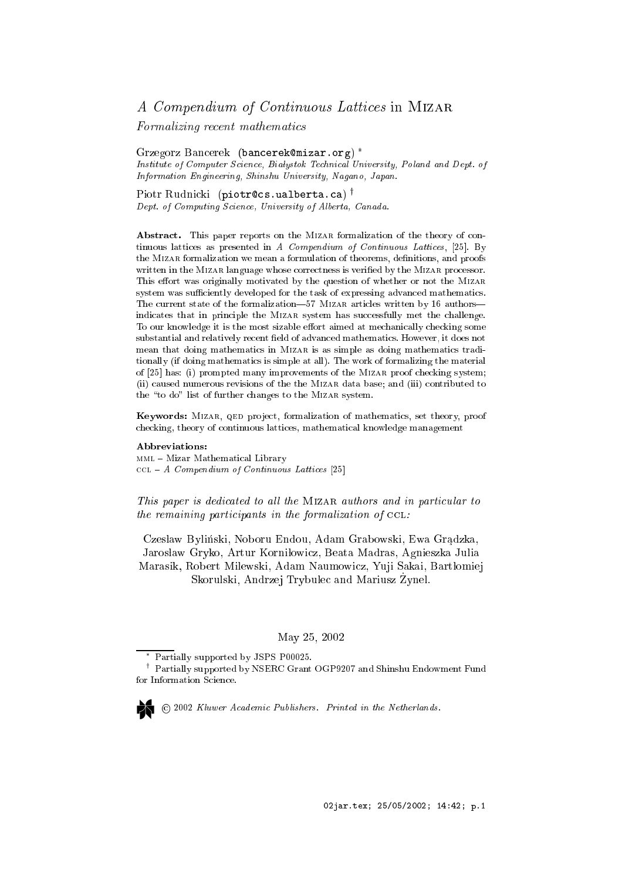# A Compendium of Continuous Lattices in MIZAR

Formalizing re
ent mathemati
s

Grzegorz Ban
erek (ban
erekmizar.org) Institute of Computer Science, Białystok Technical University, Poland and Dept. of Information Engineering, Shinshu University, Nagano, Japan.

Piotr Rudnicki (piotrecs.ualberta.ca)' Dept. of Computing Science, University of Alberta, Canada.

Abstract. This paper reports on the MIZAR formalization of the theory of continuous lattices as presented in  $A$  Compendium of Continuous Lattices, [25]. By the MIZAR formalization we mean a formulation of theorems, definitions, and proofs written in the MIZAR language whose correctness is verified by the MIZAR processor. This effort was originally motivated by the question of whether or not the MIZAR system was sufficiently developed for the task of expressing advanced mathematics. The current state of the formalization—57 MIZAR articles written by 16 authors indicates that in principle the MIZAR system has successfully met the challenge. To our knowledge it is the most sizable effort aimed at mechanically checking some substantial and relatively recent field of advanced mathematics. However, it does not mean that doing mathematics in MIZAR is as simple as doing mathematics traditionally (if doing mathemati
s is simple at all). The work of formalizing the material of  $[25]$  has: (i) prompted many improvements of the MIZAR proof checking system; (ii) aused numerous revisions of the the Mizar data base; and (iii) ontributed to the "to do" list of further changes to the MIZAR system.

Keywords: MIZAR, QED project, formalization of mathematics, set theory, proof he
king, theory of ontinuous latti
es, mathemati
al knowledge management

#### Abbreviations:

mml { Mizar Mathemati
al Library  $\text{CCL} - A$  Compendium of Continuous Lattices [25]

This paper is dedicated to all the MIZAR authors and in particular to the remaining participants in the formalization of  $\text{ccl}:$ 

Czesław Byliński, Noboru Endou, Adam Grabowski, Ewa Grądzka, Jarosław Gryko, Artur Korniłowicz, Beata Madras, Agnieszka Julia Marasik, Robert Milewski, Adam Naumowicz, Yuji Sakai, Bartłomiej Skorulski, Andrzej Trybulec and Mariusz Zynel.

### May 25, 2002

2002 Kluwer A
ademi Publishers. Printed in the Netherlands.

Partially supported by JSPS P00025.

<sup>y</sup> Partially supported by NSERC Grant OGP9207 and Shinshu Endowment Fund for Information Science.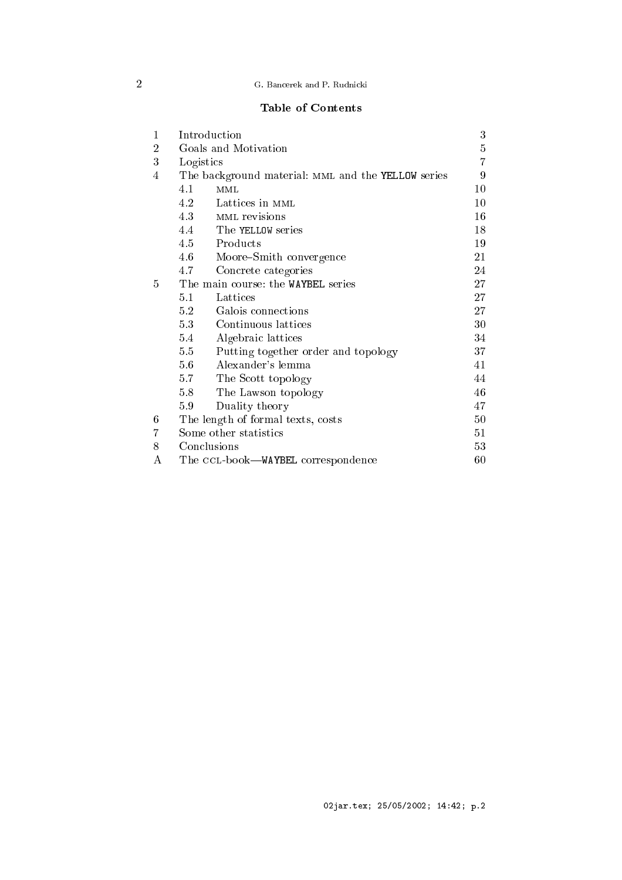# 2 G. Ban
erek and P. Rudni
ki

# Table of Contents

| 1              | Introduction                       |                                                    |    |  |  |  |
|----------------|------------------------------------|----------------------------------------------------|----|--|--|--|
| $\overline{2}$ |                                    | Goals and Motivation                               | 5  |  |  |  |
| 3              | Logistics                          |                                                    | 7  |  |  |  |
| 4              |                                    | The background material: MML and the YELLOW series | 9  |  |  |  |
|                | 4.1                                | MML                                                | 10 |  |  |  |
|                | 4.2                                | Lattices in MML                                    | 10 |  |  |  |
|                | 4.3                                | MML revisions                                      | 16 |  |  |  |
|                |                                    | 4.4 The YELLOW series                              | 18 |  |  |  |
|                |                                    | 4.5 Products                                       | 19 |  |  |  |
|                | 4.6                                | Moore–Smith convergence                            | 21 |  |  |  |
|                | 4.7                                | Concrete categories                                | 24 |  |  |  |
| 5              |                                    | The main course: the WAYBEL series                 | 27 |  |  |  |
|                | 5.1                                | Lattices                                           | 27 |  |  |  |
|                | 5.2                                | Galois connections                                 | 27 |  |  |  |
|                | 5.3                                | Continuous lattices                                | 30 |  |  |  |
|                | 5.4                                | Algebraic lattices                                 | 34 |  |  |  |
|                | 5.5                                | Putting together order and topology                | 37 |  |  |  |
|                | 5.6                                | Alexander's lemma                                  | 41 |  |  |  |
|                | 5.7                                | The Scott topology                                 | 44 |  |  |  |
|                | 5.8                                | The Lawson topology                                | 46 |  |  |  |
|                | 5.9                                | Duality theory                                     | 47 |  |  |  |
| 6              |                                    | The length of formal texts, costs                  | 50 |  |  |  |
| 7              |                                    | Some other statistics                              | 51 |  |  |  |
| 8              |                                    | Conclusions                                        | 53 |  |  |  |
| A              | The CCL-book-WAYBEL correspondence |                                                    |    |  |  |  |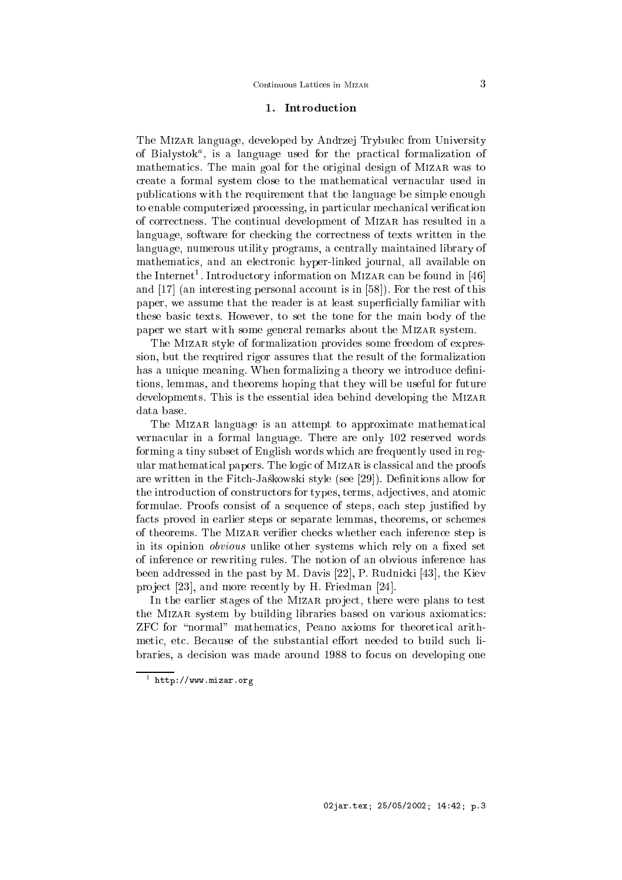### 1. Introdu
tion

The Mizar language, developed by Andrzej Trybule from University of Diarystok , is a language used for the practical formalization of mathematics. The main goal for the original design of MIZAR was to create a formal system close to the mathematical vernacular used in publi
ations with the requirement that the language be simple enough to enable computerized processing, in particular mechanical verification of orre
tness. The ontinual development of Mizar has resulted in a language, software for checking the correctness of texts written in the language, numerous utility programs, a entrally maintained library of mathemati
s, and an ele
troni hyper-linked journal, all available on  $\frac{1}{100}$  the Introductory information on MIZAR can be found in  $\frac{1}{40}$ and  $[17]$  (an interesting personal account is in  $[58]$ ). For the rest of this paper, we assume that the reader is at least superficially familiar with these basi texts. However, to set the tone for the main body of the paper we start with some general remarks about the Mizar system.

The MIZAR style of formalization provides some freedom of expression, but the required rigor assures that the result of the formalization has a unique meaning. When formalizing a theory we introduce definitions, lemmas, and theorems hoping that they will be useful for future developments. This is the essential idea behind developing the Mizar data base.

The MIZAR language is an attempt to approximate mathematical verna
ular in a formal language. There are only 102 reserved words forming a tiny subset of English words whi
h are frequently used in regular mathemati
al papers. The logi of Mizar is lassi
al and the proofs are written in the Fitch-Jaskowski style (see [29]). Definitions allow for the introduction of constructors for types, terms, adjectives, and atomic formulae. Proofs consist of a sequence of steps, each step justified by facts proved in earlier steps or separate lemmas, theorems, or schemes of theorems. The MIZAR verifier checks whether each inference step is in its opinion *obvious* unlike other systems which rely on a fixed set of inferen
e or rewriting rules. The notion of an obvious inferen
e has been addressed in the past by M. Davis  $[22]$ , P. Rudnicki  $[43]$ , the Kiev project  $[23]$ , and more recently by H. Friedman  $[24]$ .

In the earlier stages of the MIZAR project, there were plans to test the MIZAR system by building libraries based on various axiomatics: ZFC for "normal" mathematics. Peano axioms for theoretical arithmetic, etc. Because of the substantial effort needed to build such libraries, a decision was made around 1988 to focus on developing one

<sup>1</sup> http://www.mizar.org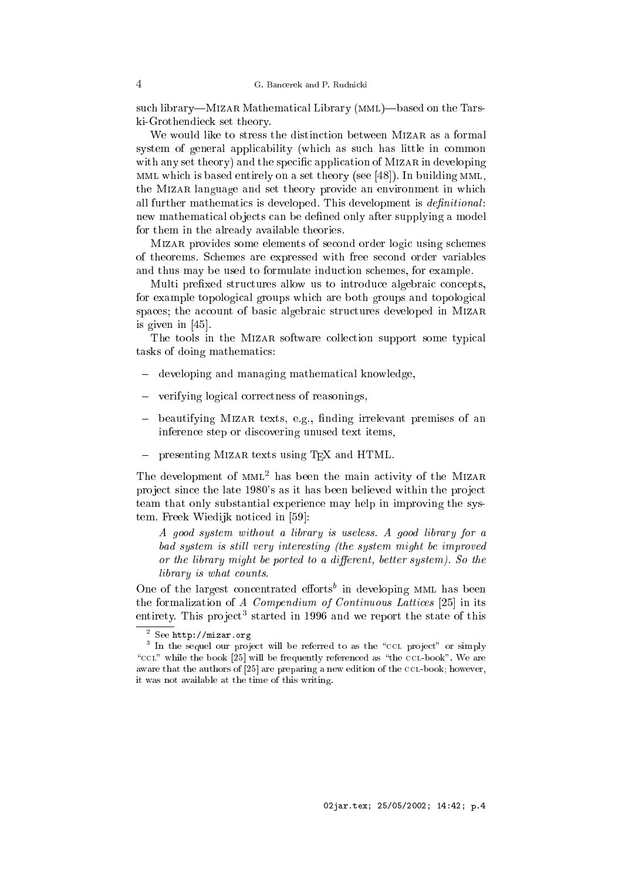such library—MIZAR Mathematical Library (MML)—based on the Tarski-Grothendie
k set theory.

We would like to stress the distinction between MIZAR as a formal system of general applicability (which as such has little in common with any set theory) and the specific application of MIZAR in developing MML which is based entirely on a set theory (see  $[48]$ ). In building MML, the Mizar language and set theory provide an environment in whi
h all further mathematics is developed. This development is *definitional*: new mathematical objects can be defined only after supplying a model for them in the already available theories.

MIZAR provides some elements of second order logic using schemes of theorems. S
hemes are expressed with free se
ond order variables and thus may be used to formulate indu
tion s
hemes, for example.

Multi prefixed structures allow us to introduce algebraic concepts. for example topological groups which are both groups and topological spaces; the account of basic algebraic structures developed in MIZAR is given in  $[45]$ .

The tools in the MIZAR software collection support some typical tasks of doing mathemati
s:

- developing and managing mathemati
al knowledge,
- verifying logi
al orre
tness of reasonings,
- beautifying MIZAR texts, e.g., finding irrelevant premises of an inferen
e step or dis
overing unused text items,
- presenting Mizar texts using TEX and HTML.

The development of mml<sup>2</sup> has been the main a
tivity of the Mizar project since the late 1980's as it has been believed within the project team that only substantial experien
e may help in improving the system. Freek Wiedijk noticed in [59]:

A good system without a library is useless. A good library for a bad system is still very interesting (the system might be improved or the library might be ported to a different, better system). So the library is what counts.

One of the largest concentrated efforts' in developing MML has been the formalization of  $A$  Compendium of Continuous Lattices [25] in its entirety. I his project started in 1990 and we report the state of this

<sup>2</sup> See http://mizar.org

 $^\circ$  in the sequel our project will be referred to as the "CCL project" or simply "CCL" while the book [25] will be frequently referenced as "the CCL-book". We are aware that the authors of  $[25]$  are preparing a new edition of the CCL-book; however, it was not available at the time of this writing.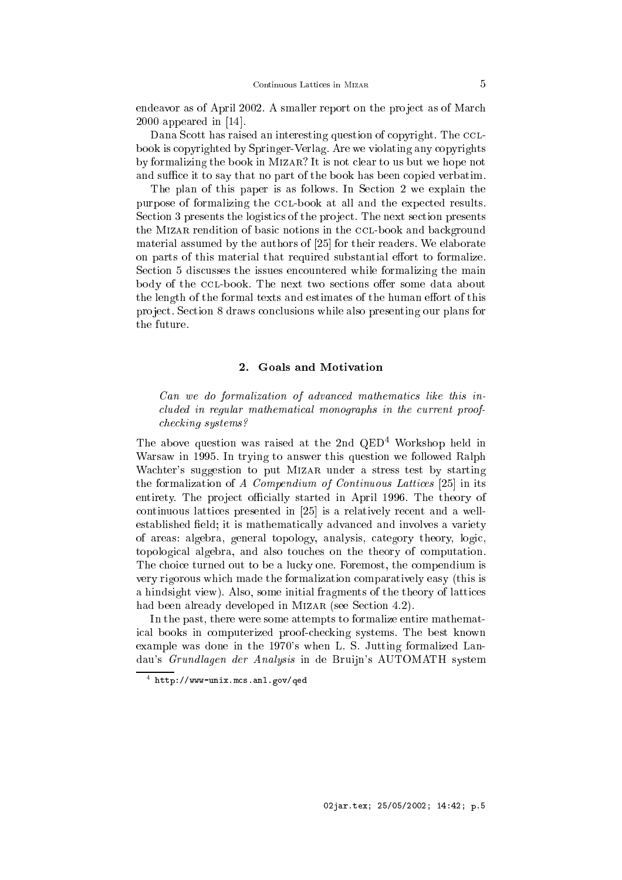endeavor as of April 2002. A smaller report on the project as of March  $2000$  appeared in [14].

Dana Scott has raised an interesting question of copyright. The CCLbook is opyrighted by Springer-Verlag. Are we violating any opyrights by formalizing the book in Mizar? It is not lear to us but we hope not and suffice it to say that no part of the book has been copied verbatim.

The plan of this paper is as follows. In Section 2 we explain the purpose of formalizing the CCL-book at all and the expected results. Section 3 presents the logistics of the project. The next section presents the MIZAR rendition of basic notions in the CCL-book and background material assumed by the authors of [25] for their readers. We elaborate on parts of this material that required substantial effort to formalize. Section 5 discusses the issues encountered while formalizing the main body of the CCL-book. The next two sections offer some data about the length of the formal texts and estimates of the human effort of this project. Section 8 draws conclusions while also presenting our plans for the future.

### 2. Goals and Motivation

Can we do formalization of advanced mathematics like this included in regular mathematical monographs in the current proofhe
king systems?

The above question was raised at the 2nd QED<sup>4</sup> Workshop held in Warsaw in 1995. In trying to answer this question we followed Ralph Wachter's suggestion to put MIZAR under a stress test by starting the formalization of A Compendium of Continuous Lattices  $[25]$  in its entirety. The project officially started in April 1996. The theory of continuous lattices presented in  $[25]$  is a relatively recent and a wellestablished field; it is mathematically advanced and involves a variety of areas: algebra, general topology, analysis, ategory theory, logi
, topologi
al algebra, and also tou
hes on the theory of omputation. The choice turned out to be a lucky one. Foremost, the compendium is very rigorous whi
h made the formalization omparatively easy (this is a hindsight view). Also, some initial fragments of the theory of latti
es had been already developed in MIZAR (see Section 4.2).

In the past, there were some attempts to formalize entire mathemati
al books in omputerized proofhe
king systems. The best known example was done in the 1970's when L. S. Jutting formalized Landau's Grundlagen der Analysis in de Bruijn's AUTOMATH system

http://www-unix.m
s.anl.gov/qed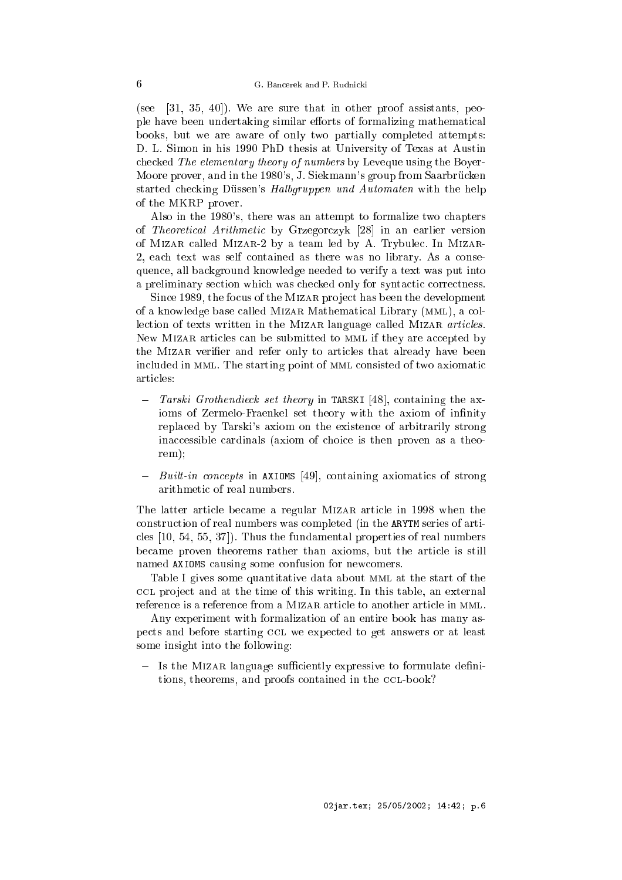(see  $[31, 35, 40]$ ). We are sure that in other proof assistants, people have been undertaking similar efforts of formalizing mathematical books, but we are aware of only two partially completed attempts: D. L. Simon in his 1990 PhD thesis at University of Texas at Austin checked The elementary theory of numbers by Leveque using the Boyer-Moore prover, and in the 1980's, J. Siekmann's group from Saarbrücken started checking Düssen's Halbgruppen und Automaten with the help of the MKRP prover.

Also in the 1980's, there was an attempt to formalize two hapters of Theoretical Arithmetic by Grzegorczyk [28] in an earlier version of MIZAR called MIZAR-2 by a team led by A. Trybulec. In MIZAR-2, ea
h text was self ontained as there was no library. As a onsequen
e, all ba
kground knowledge needed to verify a text was put into a preliminary section which was checked only for syntactic correctness.

Since 1989, the focus of the MIZAR project has been the development of a knowledge base alled Mizar Mathemati
al Library (mml), a ollection of texts written in the MIZAR language called MIZAR articles. New MIZAR articles can be submitted to MML if they are accepted by the MIZAR verifier and refer only to articles that already have been included in MML. The starting point of MML consisted of two axiomatic articles:

- Tarski Grothendieck set theory in TARSKI [48], containing the axioms of Zermelo-Fraenkel set theory with the axiom of infinity repla
ed by Tarski's axiom on the existen
e of arbitrarily strong inaccessible cardinals (axiom of choice is then proven as a theorem);
- $-$  Built-in concepts in AXIOMS [49], containing axiomatics of strong arithmetic of real numbers.

The latter article became a regular MIZAR article in 1998 when the onstru
tion of real numbers was ompleted (in the ARYTM series of arti cles  $[10, 54, 55, 37]$ . Thus the fundamental properties of real numbers be
ame proven theorems rather than axioms, but the arti
le is still named AXIOMS causing some confusion for newcomers.

Table I gives some quantitative data about MML at the start of the CCL project and at the time of this writing. In this table, an external reference is a reference from a MIZAR article to another article in MML.

Any experiment with formalization of an entire book has many aspects and before starting CCL we expected to get answers or at least some insight into the following:

 $\equiv$ Is the MIZAR language sufficiently expressive to formulate definitions, theorems, and proofs contained in the CCL-book?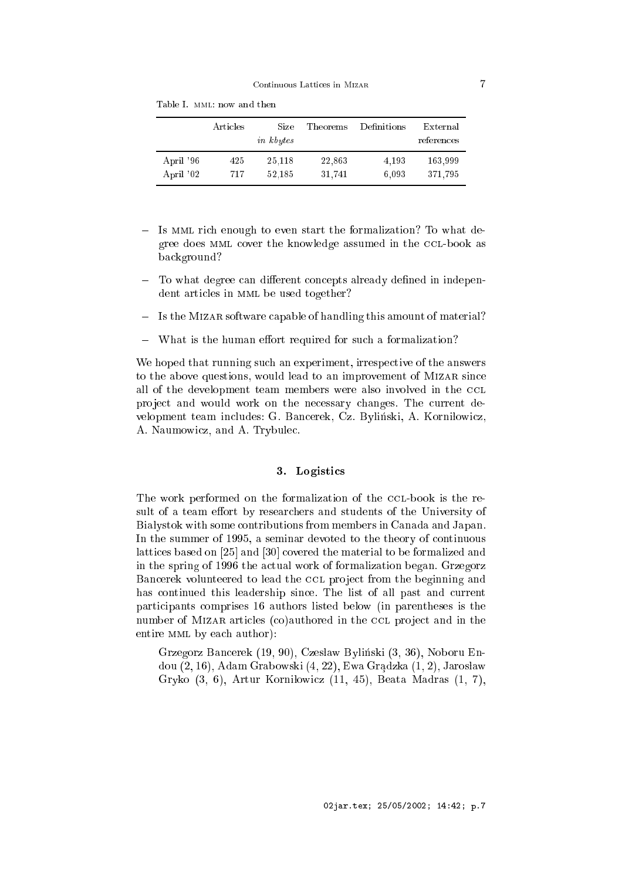| April '96<br>April '02 | 25,118<br>425<br>52,185<br>717 | 22,863<br>31,741 | 4.193<br>6.093 | 163,999<br>371,795 |
|------------------------|--------------------------------|------------------|----------------|--------------------|

Table I. mml: now and then

- Is MML rich enough to even start the formalization? To what degree does MML cover the knowledge assumed in the CCL-book as ba
kground?
- To what degree can different concepts already defined in independent articles in MML be used together?
- Is the Mizar software apable of handling this amount of material?
- What is the human effort required for such a formalization?

We hoped that running such an experiment, irrespective of the answers to the above questions, would lead to an improvement of MIZAR since all of the development team members were also involved in the CCL project and would work on the necessary changes. The current development team includes: G. Bancerek, Cz. Byliński, A. Korniłowicz, A. Naumowi
z, and A. Trybule
.

# 3. Logisti
s

The work performed on the formalization of the CCL-book is the result of a team effort by researchers and students of the University of Białystok with some contributions from members in Canada and Japan. In the summer of 1995, a seminar devoted to the theory of continuous lattices based on [25] and [30] covered the material to be formalized and in the spring of 1996 the actual work of formalization began. Grzegorz Bancerek volunteered to lead the CCL project from the beginning and has continued this leadership since. The list of all past and current parti
ipants omprises 16 authors listed below (in parentheses is the number of MIZAR articles (co)authored in the CCL project and in the entire MML by each author):

Grzegorz Bancerek (19, 90), Czesław Byliński (3, 36), Noboru Endou  $(2, 16)$ , Adam Grabowski  $(4, 22)$ , Ewa Gradzka  $(1, 2)$ , Jarosław Gryko (3, 6), Artur Korni lowicz (11, 45), Beata Madras (1, 7),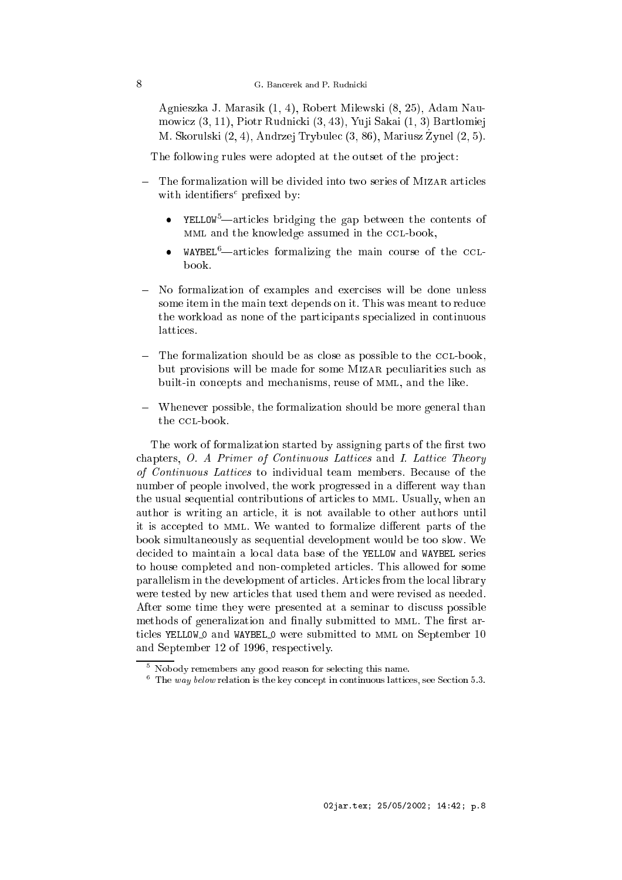Agnieszka J. Marasik (1, 4), Robert Milewski (8, 25), Adam Naumowicz (3, 11), Piotr Rudnicki (3, 43), Yuji Sakai (1, 3) Bartłomiej M. Skorulski (2, 4), Andrzej Trybule (3, 86), Mariusz \_ Zynel (2, 5).

The following rules were adopted at the outset of the project:

- The formalization will be divided into two series of MIZAR articles with identiers prexed by:
	- YELLOW<sup>5</sup>—articles bridging the gap between the contents of MML and the knowledge assumed in the CCL-book,
	- $WAYBEL<sup>6</sup>$  articles formalizing the main course of the CCLbook.
- No formalization of examples and exercises will be done unless some item in the main text depends on it. This was meant to reduce the workload as none of the participants specialized in continuous latti
es.
- The formalization should be as close as possible to the CCL-book, but provisions will be made for some MIZAR peculiarities such as built-in concepts and mechanisms, reuse of MML, and the like.
- Whenever possible, the formalization should be more general than the CCL-book.

The work of formalization started by assigning parts of the first two chapters,  $O.$  A Primer of Continuous Lattices and I. Lattice Theory of Continuous Lattices to individual team members. Because of the number of people involved, the work progressed in a different way than the usual sequential ontributions of arti
les to mml. Usually, when an author is writing an arti
le, it is not available to other authors until it is accepted to MML. We wanted to formalize different parts of the book simultaneously as sequential development would be too slow. We decided to maintain a local data base of the YELLOW and WAYBEL series to house ompleted and nonompleted arti
les. This allowed for some parallelism in the development of arti
les. Arti
les from the lo
al library were tested by new arti
les that used them and were revised as needed. After some time they were presented at a seminar to discuss possible methods of generalization and finally submitted to MML. The first articles YELLOW O and WAYBEL O were submitted to MML on September 10 and September 12 of 1996, respe
tively.

<sup>5</sup> Nobody remembers any good reason for sele
ting this name.

The way below relation is the key concept in continuous lattices, see Section 5.3.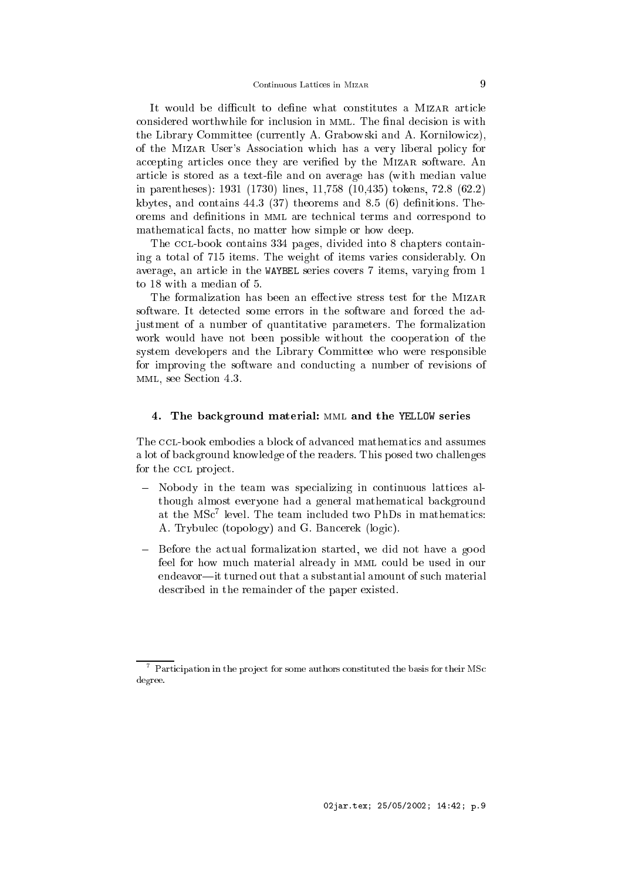It would be difficult to define what constitutes a MIZAR article considered worthwhile for inclusion in MML. The final decision is with the Library Committee (currently A. Grabowski and A. Korniłowicz), of the Mizar User's Asso
iation whi
h has a very liberal poli
y for accepting articles once they are verified by the MIZAR software. An arti
le is stored as a text-le and on average has (with median value in parentheses): 1931 (1730) lines, 11,758 (10,435) tokens, 72.8 (62.2) kbytes, and contains  $44.3$  (37) theorems and 8.5 (6) definitions. The orems and definitions in MML are technical terms and correspond to mathematical facts, no matter how simple or how deep.

The CCL-book contains 334 pages, divided into 8 chapters containing a total of 715 items. The weight of items varies onsiderably. On average, an arti
le in the WAYBEL series overs 7 items, varying from 1 to 18 with a median of 5.

The formalization has been an effective stress test for the MIZAR software. It detected some errors in the software and forced the adjustment of a number of quantitative parameters. The formalization work would have not been possible without the ooperation of the system developers and the Library Committee who were responsible for improving the software and ondu
ting a number of revisions of mml, see Se
tion 4.3.

# 4. The ba
kground material: mml and the YELLOW series

The CCL-book embodies a block of advanced mathematics and assumes a lot of ba
kground knowledge of the readers. This posed two hallenges for the CCL project.

- Nobody in the team was specializing in continuous lattices although almost everyone had a general mathemati
al ba
kground at the MSC level. The team included two PhDs in mathematics: A. Trybule (topology) and G. Ban
erek (logi
).
- Before the actual formalization started, we did not have a good feel for how much material already in MML could be used in our endeavor—it turned out that a substantial amount of such material des
ribed in the remainder of the paper existed.

 $\,$  - Participation in the project for some authors constituted the basis for their MSc degree.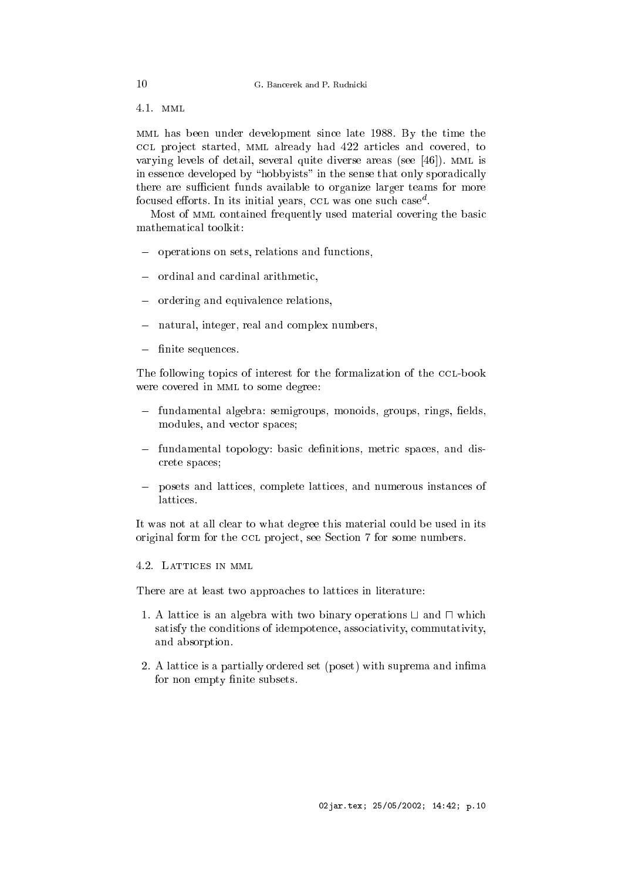4.1. mml

mml has been under development sin
e late 1988. By the time the CCL project started, MML already had 422 articles and covered, to varying levels of detail, several quite diverse areas (see  $[46]$ ). MML is in essence developed by "hobbyists" in the sense that only sporadically there are sufficient funds available to organize larger teams for more rocused enorts. In its initial years, CCL was one such case.

Most of MML contained frequently used material covering the basic mathemati
al toolkit:

- operations on sets, relations and functions,
- ordinal and cardinal arithmetic,
- ordering and equivalen
e relations,
- natural, integer, real and omplex numbers,
- finite sequences.

The following topics of interest for the formalization of the CCL-book were covered in MML to some degree:

- fundamental algebra: semigroups, monoids, groups, rings, fields, modules, and vector spaces;
- fundamental topology: basic definitions, metric spaces, and disrete spa
es;
- posets and latti
es, omplete latti
es, and numerous instan
es of

It was not at all clear to what degree this material could be used in its original form for the CCL project, see Section 7 for some numbers.

4.2. LATTICES IN MML

There are at least two approaches to lattices in literature:

- 1. A lattice is an algebra with two binary operations  $\sqcup$  and  $\sqcap$  which satisfy the conditions of idempotence, associativity, commutativity, and absorption.
- 2. A lattice is a partially ordered set (poset) with suprema and infima for non empty finite subsets.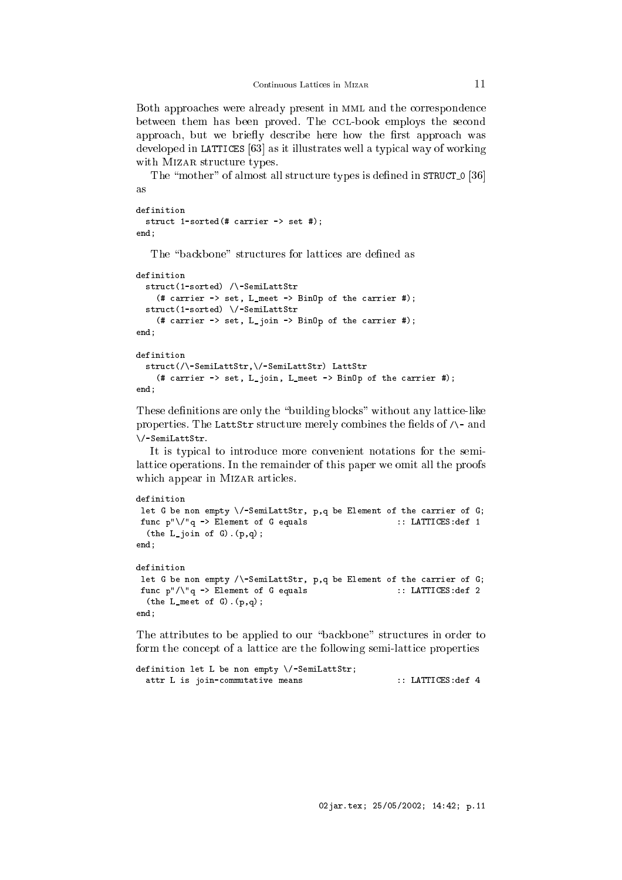Both approaches were already present in MML and the correspondence between them has been proved. The CCL-book employs the second approach, but we briefly describe here how the first approach was developed in LATTICES  $[63]$  as it illustrates well a typical way of working with MIZAR structure types.

The "mother" of almost all structure types is defined in STRUCT<sub>0</sub> [36] as

```
struct 1-sorted(# carrier -> set #);
end:
end;
```
The "backbone" structures for lattices are defined as

```
definition
  stru
t(1-sorted) /\-SemiLattStr
    (# 
arrier -> set, L_meet -> BinOp of the 
arrier #);
  stru
t(1-sorted) \/-SemiLattStr
    (# 
arrier -> set, L_join -> BinOp of the 
arrier #);
end;
definition
  stru
t(/\-SemiLattStr,\/-SemiLattStr) LattStr
    (# 
arrier -> set, L_join, L_meet -> BinOp of the 
arrier #);
end:- - - -
```
These definitions are only the "building blocks" without any lattice-like properties. The LattStr structure merely combines the fields of  $\wedge$ - and \/-SemiLattStr.

It is typical to introduce more convenient notations for the semilatti
e operations. In the remainder of this paper we omit all the proofs which appear in MIZAR articles.

```
definition
let G be non empty \/-SemiLattStr, p,q be Element of the carrier of G;
func p"\/"q -> Element of G equals :: LATTICES:def 1
  (the L-join of G). (p,q);
end;
definition
let G be non empty /\-SemiLattStr, p,q be Element of the carrier of G;
func p"/\"q -> Element of G equals :: LATTICES:def 2
 (the L meet of G). (p, q);
end;
```
The attributes to be applied to our "backbone" structures in order to form the concept of a lattice are the following semi-lattice properties

```
definition let L be non empty \/-SemiLattStr;
 attr L is join-commutative means :: LATTICES: def 4
```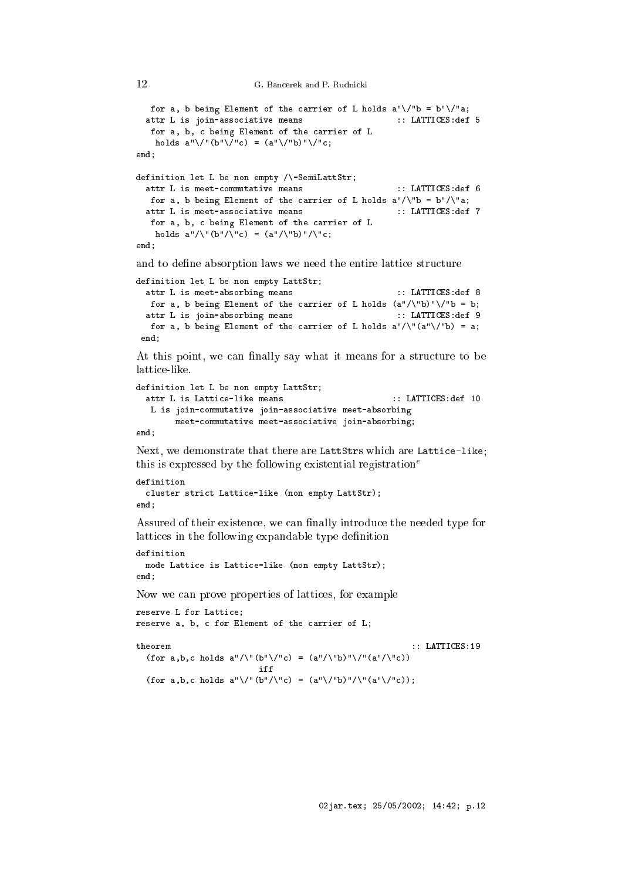```
for a, b being Element of the carrier of L holds a''\sqrt{''b} = b''\sqrt{''a};
  attr L is join-associative means :: LATTICES: def 5
   for a, b, c being Element of the carrier of L
    holds a''\/''(b''\/''c) = (a''\/''b)''\/''c;
end;
definition let L be non empty /\-SemiLattStr;
  attr L is meet-commutative means :: LATTICES: def 6
  for a, b being Element of the carrier of L holds a''/\Upsilon b = b''/\Upsilon a;
  attr L is meet-associative means \cdots :: LATTICES:def 7
   for a, b, c being Element of the carrier of L
    holds a''/\lvert b''/\lvert c' = (a''/\lvert b''\rvert)/\lvert c;end:
end;
```
and to define absorption laws we need the entire lattice structure

```
definition let L be non empty LattStr;
 attr L is meet-absorbing means :: LATTICES:def 8
  for a, b being Element of the carrier of L holds (a''/\nabla b)''\nabla b;
 attr L is join-absorbing means :: LATTICES:def 9
  for a, b being Element of the carrier of L holds a''/\Upsilon(a''\Upsilon') = a;end:- - - -
```
At this point, we can finally say what it means for a structure to be latti
e-like.

```
definition let L be non empty LattStr;
  attr L is Lattice-like means \qquad \qquad \therefore LATTICES:def 10
  L is join-
ommutative join-asso
iative meet-absorbing
        meet-
ommutative meet-asso
iative join-absorbing;
end:
```
Next, we demonstrate that there are LattStrs which are Lattice-like; this is expressed by the following existential registration<sup>e</sup>

```
definition

luster stri
t Latti
e-like (non empty LattStr);
end;
```
end;

12

Assured of their existence, we can finally introduce the needed type for lattices in the following expandable type definition

```
definition
 mode Latti
e is Latti
e-like (non empty LattStr);
end;
```
Now we an prove properties of latti
es, for example

```
reserve L for Latti
e;
reserve a, b, c for Element of the carrier of L;
                                                                                        : : LATTICES:19
theorem
   (f \circ r a, b, c \text{ holds } a''/\Upsilon(b''\Upsilon') = (a''/\Upsilon b)''\Upsilon(a''/\Upsilon c)iff
   (f \circ r a, b, c \text{ holds } a'' \setminus /''(b'' / \neg r) = (a'' \setminus /''b)'' / \neg r(a'' \setminus /''c));
```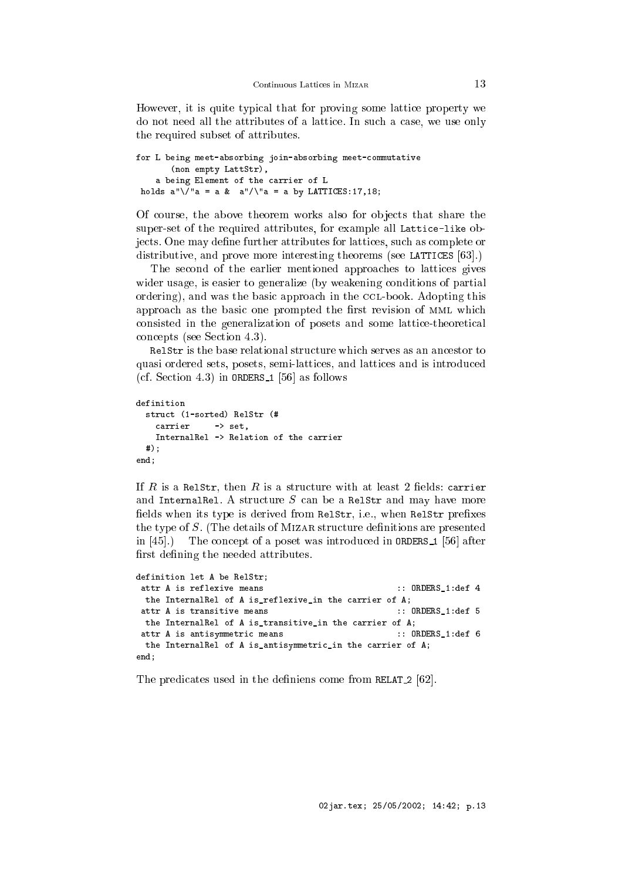However, it is quite typical that for proving some lattice property we do not need all the attributes of a lattice. In such a case, we use only the required subset of attributes.

```
for L being meet-absorbing join-absorbing meet-
ommutative
       (non empty LattStr),
    a being Element of the 
arrier of L
holds a''\sqrt{a} = a \& a''/\sqrt{a} = a \& A''
```
Of course, the above theorem works also for objects that share the super-set of the required attributes, for example all Lattice-like objects. One may define further attributes for lattices, such as complete or distributive, and prove more interesting theorems (see LATTICES [63].)

The second of the earlier mentioned approaches to lattices gives wider usage, is easier to generalize (by weakening conditions of partial ordering), and was the basic approach in the CCL-book. Adopting this approach as the basic one prompted the first revision of MML which consisted in the generalization of posets and some lattice-theoretical concepts (see Section 4.3).

Relstr is the base relational structure which serves as an ancestor to quasi ordered sets, posets, semi-latti
es, and latti
es and is introdu
ed (cf. Section 4.3) in ORDERS<sub>1</sub> [56] as follows

```
definition
  stru
t (1-sorted) RelStr (#
   carrier -> set.
   InternalRel -> Relation of the 
arrier
 #);
end;
```
If R is a RelStr, then R is a structure with at least 2 fields: carrier and InternalRel. A structure  $S$  can be a RelStr and may have more fields when its type is derived from RelStr, i.e., when RelStr prefixes the type of  $S$ . (The details of MIZAR structure definitions are presented in  $[45]$ .) The concept of a poset was introduced in ORDERS 1  $[56]$  after first defining the needed attributes.

```
definition let A be RelStr;
attr A is reflexive means \qquad \qquad :: \text{ ORDERS\_1:def } 4the InternalRel of A is_reflexive_in the 
arrier of A;
 attr A is transitive means \qquad \qquad :: \text{ ORDERS\_1:def } 5the InternalRel of A is_transitive_in the 
arrier of A;
 attr A is antisymmetric means (example 2011): \therefore ORDERS_1:def 6
 the InternalRel of A is_antisymmetric_in the carrier of A;
end;
```
The predicates used in the definiens come from RELAT 2 [62].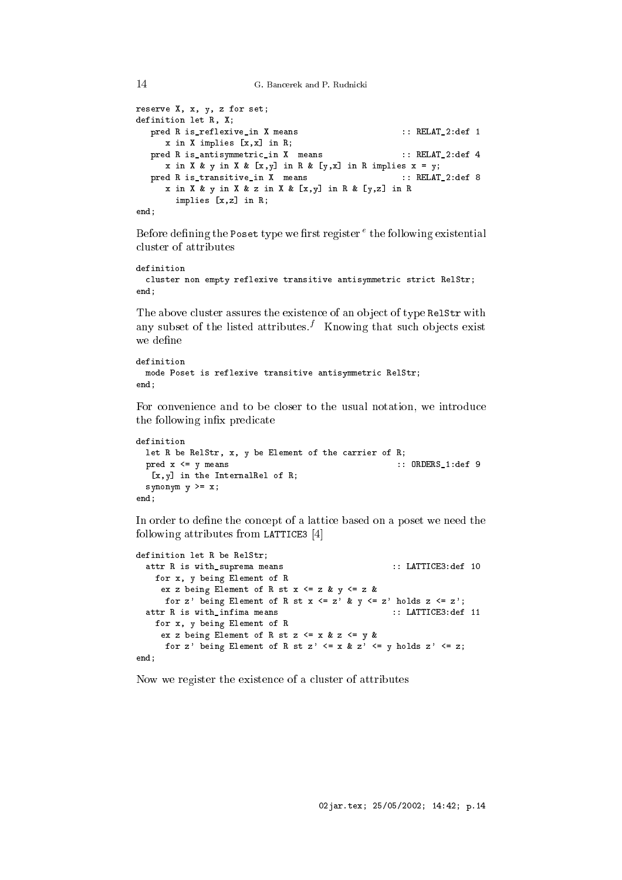```
G. Bancerek and P. Rudnicki
```
14

```
reserve X, x, y, z for set;
definition let R, X;
  pred R is_reflexive_in X means :: RELAT_2:def 1
     x in X implies [x, x] in R;
  pred R is_antisymmetric_in X means :: RELAT_2:def 4
     x in X & y in X & [x,y] in R & [y,x] in R implies x = y;
  pred R is_transitive_in X means :: RELAT_2:def 8
     x in X & y in X & z in X & [x,y] in R & [y,z] in R
      implies [x,z] in R;
end;
```
Before dening the Poset type we rst register <sup>e</sup> the following existential luster of attributes

```
definition
 cluster non empty reflexive transitive antisymmetric strict RelStr;
end:- - - -
```
The above cluster assures the existence of an object of type RelStr with any subset of the listed attributes.<sup> $f$ </sup> Knowing that such objects exist we define

```
definition
 mode Poset is reflexive transitive antisymmetri
 RelStr;
end:
end;
```
For convenience and to be closer to the usual notation, we introduce the following infix predicate

```
definition
 let R be RelStr, x, y be Element of the carrier of R;
 pred x \leq y means :: ORDERS_1:def 9
  [x,y] in the InternalRel of R;
 synonym y \geq x;
end;
```
In order to define the concept of a lattice based on a poset we need the following attributes from LATTICE3  $[4]$ 

```
definition let R be RelStr;
 attr R is with_suprema means :: LATTICE3:def 10
   for x, y being Element of R
    ex z being Element of R st x \leq z & y \leq z &
     for z' being Element of R st x \leq z' & y \leq z' holds z \leq z';
  attr R is with_infima means \cdots :: LATTICE3:def 11
   for x, y being Element of R
    ex z being Element of R st z \le x \& z \le y \& xfor z' being Element of R st z' \leq x & z' \leq y holds z' \leq z;
end;
```
Now we register the existen
e of a luster of attributes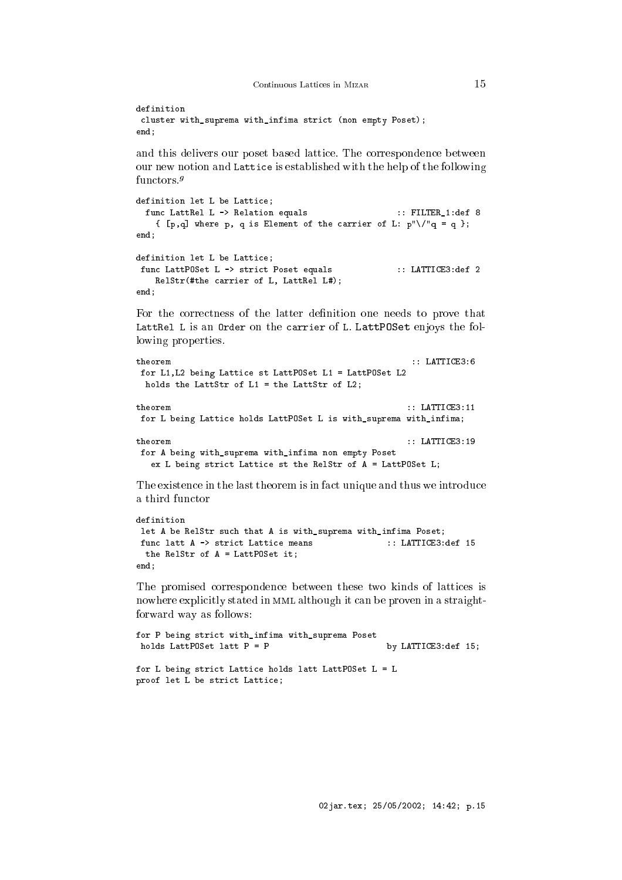```
definition
cluster with_suprema with_infima strict (non empty Poset);
end;
```
and this delivers our poset based latti
e. The orresponden
e between our new notion and Latti
e is established with the help of the following functors.<sup>9</sup>

```
definition let L be Lattice;
 func LattRel L -> Relation equals :: FILTER_1:def 8
   { [p,q] where p, q is Element of the carrier of L: p"\/"q = q };
- - - -definition let L be Lattice;
func LattPOSet L -> strict Poset equals :: LATTICE3:def 2
   RelStr(#the 
arrier of L, LattRel L#);
end;
```
For the correctness of the latter definition one needs to prove that LattRel L is an Order on the carrier of L. LattPOSet enjoys the following properties.

```
theorem :: LATTICE3:6
for L1,L2 being Latti
e st LattPOSet L1 = LattPOSet L2
 holds the LattStr of L1 = the LattStr of L2;
theorem
                                                : LATTICE3:11for L being Lattice holds LattPOSet L is with_suprema with_infima;
                                                : LATTICE3:19theorem
for A being with_suprema with_infima non empty Poset
  ex L being strict Lattice st the RelStr of A = LattPOSet L;
```
The existence in the last theorem is in fact unique and thus we introduce a third fun
tor

```
definition
let A be RelStr such that A is with_suprema with_infima Poset;
func latt A -> strict Lattice means :: LATTICE3:def 15
 the RelStr of A = LattPOSet it;
end;
```
The promised orresponden
e between these two kinds of latti
es is nowhere explicitly stated in MML although it can be proven in a straightforward way as follows:

```
for P being strict with_infima with_suprema Poset
holds LattPOSet latt P = P by LATTICE3:def 15;
for L being strict Lattice holds latt LattPOSet L = Lproof let L be strict Lattice;
```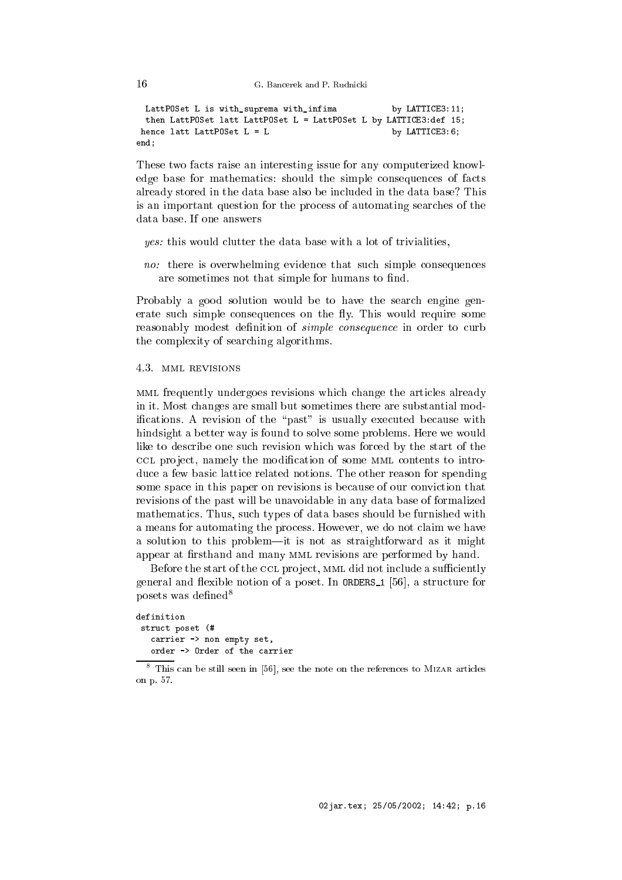G. Bancerek and P. Rudnicki

```
LattPOSet L is with_suprema with_infima by LATTICE3:11;
 then LattPOSet latt LattPOSet L = LattPOSet L by LATTICE3:def 15;
hence latt LattPOSet L = L by LATTICE3:6;
end;
```
These two facts raise an interesting issue for any computerized knowledge base for mathematics: should the simple consequences of facts already stored in the data base also be in
luded in the data base? This is an important question for the pro
ess of automating sear
hes of the data base. If one answers

- yes: this would lutter the data base with a lot of trivialities,
- no: there is overwhelming evidence that such simple consequences are sometimes not that simple for humans to find.

Probably a good solution would be to have the sear
h engine generate such simple consequences on the fly. This would require some reasonably modest definition of *simple consequence* in order to curb the omplexity of sear
hing algorithms.

4.3. mml revisions

mml frequently undergoes revisions whi
h hange the arti
les already in it. Most hanges are small but sometimes there are substantial modifications. A revision of the "past" is usually executed because with hindsight a better way is found to solve some problems. Here we would like to describe one such revision which was forced by the start of the CCL project, namely the modification of some MML contents to introduce a few basic lattice related notions. The other reason for spending some space in this paper on revisions is because of our conviction that revisions of the past will be unavoidable in any data base of formalized mathemati
s. Thus, su
h types of data bases should be furnished with a means for automating the pro
ess. However, we do not laim we have a solution to this problem—it is not as straightforward as it might appear at firsthand and many MML revisions are performed by hand.

Before the start of the CCL project, MML did not include a sufficiently general and flexible notion of a poset. In ORDERS 1 [56], a structure for posets was defined<sup>8</sup>

```
definition
stru
t poset (#

arrier -> non empty set,
   order -> Order of the 
arrier
```
 $^\circ$  This can be still seen in [56], see the note on the references to MIZAR articles on p. 57.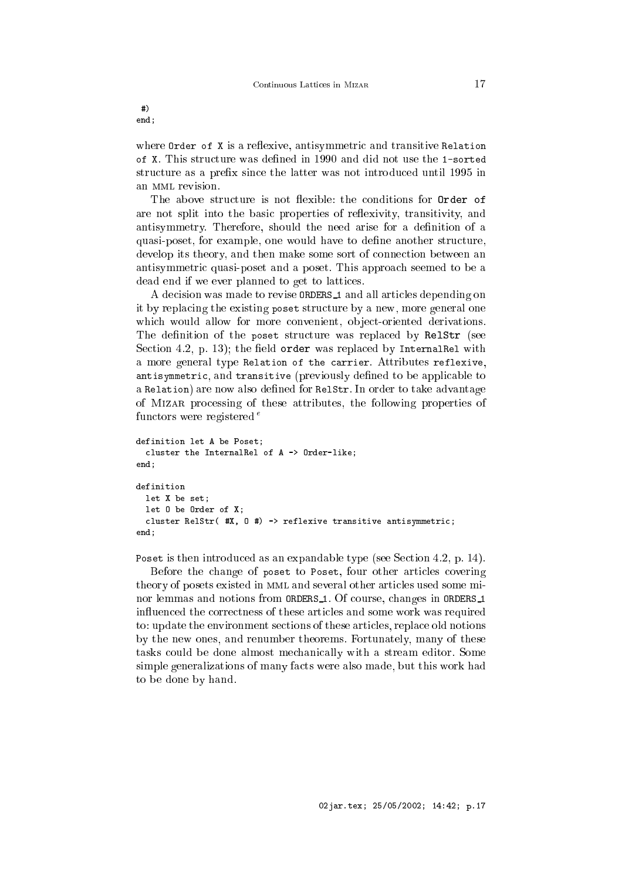#) end;

where  $Order$  of  $X$  is a reflexive, antisymmetric and transitive Relation of X. This stru
ture was dened in 1990 and did not use the 1-sorted structure as a prefix since the latter was not introduced until 1995 in an MML revision.

The above structure is not flexible: the conditions for Order of are not split into the basic properties of reflexivity, transitivity, and antisymmetry. Therefore, should the need arise for a definition of a quasi-poset, for example, one would have to define another structure, develop its theory, and then make some sort of connection between an antisymmetri quasi-poset and a poset. This approa
h seemed to be a dead end if we ever planned to get to latti
es.

A decision was made to revise **ORDERS** 1 and all articles depending on it by repla
ing the existing poset stru
ture by a new, more general one which would allow for more convenient, object-oriented derivations. The definition of the poset structure was replaced by RelStr (see Section 4.2, p. 13); the field order was replaced by InternalRel with a more general type Relation of the arrier. Attributes reflexive, antisymmetric, and transitive (previously defined to be applicable to a Relation) are now also defined for RelStr. In order to take advantage of Mizar pro
essing of these attributes, the following properties of functors were registered  $^e$ 

```
definition let A be Poset;

luster the InternalRel of A -> Order-like;
- - - -definition
  let X be set;
 let O be Order of X;
  cluster RelStr( #X, 0 #) -> reflexive transitive antisymmetric;
end;
```
Poset is then introduced as an expandable type (see Section 4.2, p. 14).

Before the change of poset to Poset, four other articles covering theory of posets existed in mml and several other arti
les used some minor lemmas and notions from ORDERS<sub>1</sub>. Of course, changes in ORDERS<sub>1</sub> in
uen
ed the orre
tness of these arti
les and some work was required to: update the environment sections of these articles, replace old notions by the new ones, and renumber theorems. Fortunately, many of these tasks ould be done almost me
hani
ally with a stream editor. Some simple generalizations of many facts were also made, but this work had to be done by hand.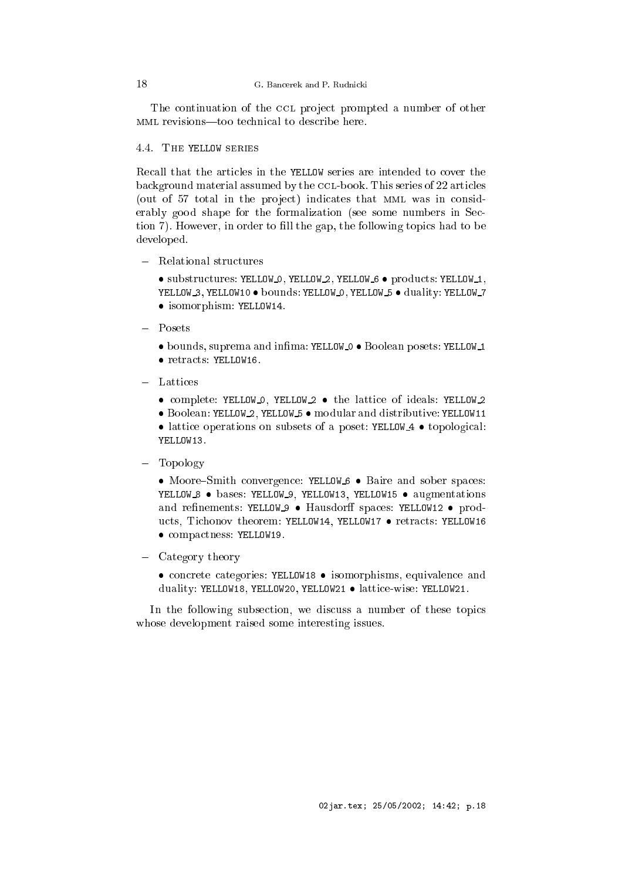The continuation of the CCL project prompted a number of other MML revisions—too technical to describe here.

# 4.4. The YELLOW series

Recall that the articles in the YELLOW series are intended to cover the background material assumed by the CCL-book. This series of 22 articles (out of 57 total in the project) indicates that MML was in considerably good shape for the formalization (see some numbers in Section 7). However, in order to fill the gap, the following topics had to be developed.

- Relational stru
tures
	- substructures: YELLOW\_O, YELLOW\_2, YELLOW\_6 products: YELLOW\_1, YELLOW 3, YELLOW10 . bounds: YELLOW 0, YELLOW 5 . duality: YELLOW 7 isomorphism: YELLOW14.
- $-$  Posets
	- $\bullet$  bounds, suprema and infima: YELLOW 0  $\bullet$  Boolean posets: YELLOW 1
	- $\bullet$  retracts: YELLOW16.
- - complete: YELLOW<sub>-0</sub>, YELLOW<sub>2</sub> the lattice of ideals: YELLOW<sub>2</sub>

 Boolean: YELLOW 2, YELLOW <sup>5</sup> modular and distributive: YELLOW11 • lattice operations on subsets of a poset: YELLOW 4 • topological: YELLOW13.

Topology

• Moore–Smith convergence: YELLOW<sub>-6</sub> • Baire and sober spaces: YELLOW 8 · bases: YELLOW 9, YELLOW13, YELLOW15 · augmentations and refinements: YELLOW 9 · Hausdorff spaces: YELLOW12 · products, Tichonov theorem: YELLOW14, YELLOW17 • retracts: YELLOW16  $\bullet$  compactness: YELLOW19.

Category theory

• concrete categories: YELLOW18 • isomorphisms, equivalence and duality: YELLOW18, YELLOW20, YELLOW21 · lattice-wise: YELLOW21.

In the following subsection, we discuss a number of these topics whose development raised some interesting issues.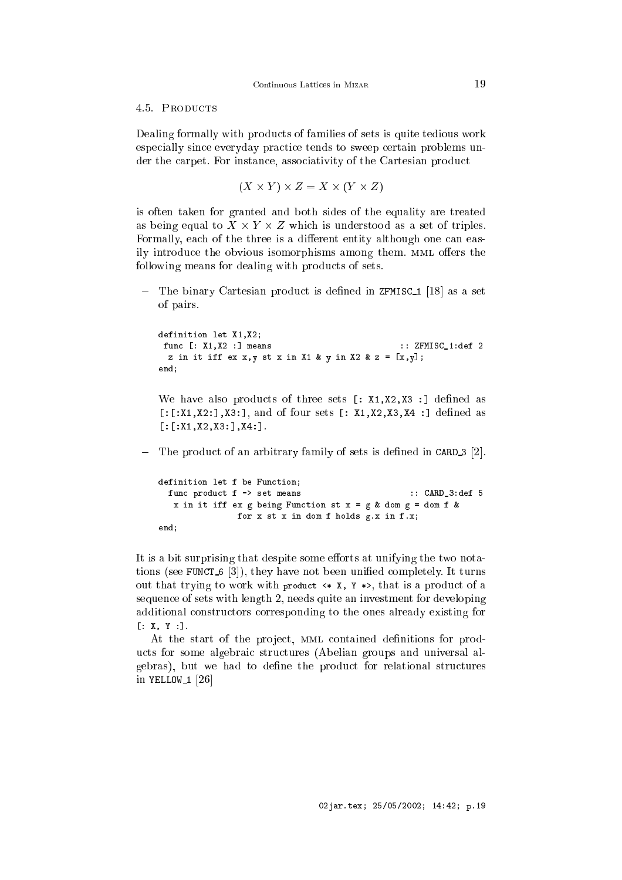### 4.5. PRODUCTS

Dealing formally with products of families of sets is quite tedious work espe
ially sin
e everyday pra
ti
e tends to sweep ertain problems under the carpet. For instance, associativity of the Cartesian product

$$
(X \times Y) \times Z = X \times (Y \times Z)
$$

is often taken for granted and both sides of the equality are treated as being equal to  $X \times Y \times Z$  which is understood as a set of triples. Formally, each of the three is a different entity although one can easily introduce the obvious isomorphisms among them. MML offers the following means for dealing with products of sets.

 $-$  The binary Cartesian product is defined in ZFMISC<sub>1</sub> [18] as a set of pairs.

```
definition let X1,X2;
func [: X1, X2 :] means :: ZFMISC_1:def 2
 z in it iff ex x, y st x in X1 & y in X2 & z = [x, y];
end;
```
We have also products of three sets  $[$ :  $X1, X2, X3$ : ] defined as  $[:x_1,x_2:], x_3:],$  and of four sets  $[:x_1,x_2,x_3,x_4:]$  defined as  $[:[X1,X2,X3:]X4:]$ .

 $\blacksquare$  The product of an arbitrary family of sets is defined in CARD<sub>-3</sub> [2].

```
definition let f be Function;
 func product f -> set means :: CARD_3:def 5
  x in it iff ex g being Function st x = g & dom g = dom f &
              for x st x in dom f holds g.x in f.x;
end;
```
It is a bit surprising that despite some efforts at unifying the two notations (see FUNCT  $6$  [3]), they have not been unified completely. It turns out that trying to work with product  $\langle * \times x, Y \rangle$ , that is a product of a sequen
e of sets with length 2, needs quite an investment for developing additional onstru
tors orresponding to the ones already existing for  $[: X, Y :].$ 

At the start of the project, MML contained definitions for products for some algebraic structures (Abelian groups and universal algebras), but we had to define the product for relational structures in YELLOW<sub>-1</sub>  $[26]$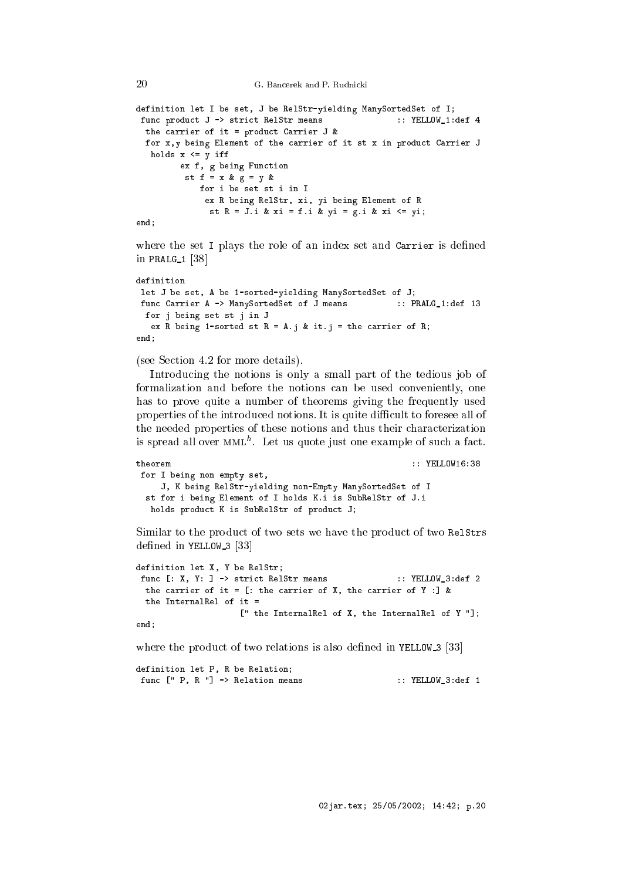G. Bancerek and P. Rudnicki

```
definition let I be set, J be RelStr-yielding ManySortedSet of I;
func product J -> strict RelStr means :: YELLOW_1:def 4
 the 
arrier of it = produ
t Carrier J &
 for x, y being Element of the carrier of it st x in product Carrier J
  holds x \leq y iff
        ex f, g being Function
         st f = x \& g = y \& gfor i be set st i in I
             ex R being RelStr, xi, yi being Element of R
              st R = J.i & xi = f.i & yi = g.i & xi <= yi;
end;
```
where the set I plays the role of an index set and Carrier is defined in PRALG $1$  [38]

```
definition
let J be set, A be 1-sorted-yielding ManySortedSet of J;
func Carrier A -> ManySortedSet of J means :: PRALG_1:def 13
 for j being set st j in J
  ex R being 1-sorted st R = A.j & it.j = the carrier of R;
end:
end;
```
(see Section 4.2 for more details).

Introdu
ing the notions is only a small part of the tedious job of formalization and before the notions can be used conveniently, one has to prove quite a number of theorems giving the frequently used properties of the introduced notions. It is quite difficult to foresee all of the needed properties of these notions and thus their characterization is spread all over MML. Let us quote just one example of such a fact.

```
theorem :: YELLOW16:38
for I being non empty set,
    J, K being RelStr-yielding non-Empty ManySortedSet of I
 st for i being Element of I holds K.i is SubRelStr of J.i
  holds product K is SubRelStr of product J;
```
Similar to the product of two sets we have the product of two RelStrs defined in YELLOW  $3[33]$ 

```
definition let X, Y be RelStr;
func [: X, Y: ] -> strict RelStr means :: YELLOW_3:def 2
 the carrier of it = [: the carrier of X, the carrier of Y : ] &
 the InternalRel of it =
                    [' the InternalRel of X, the InternalRel of Y "];
end;
```
where the product of two relations is also defined in YELLOW  $3$  [33]

```
definition let P, R be Relation;
func [" P, R "] -> Relation means :: YELLOW_3:def 1
```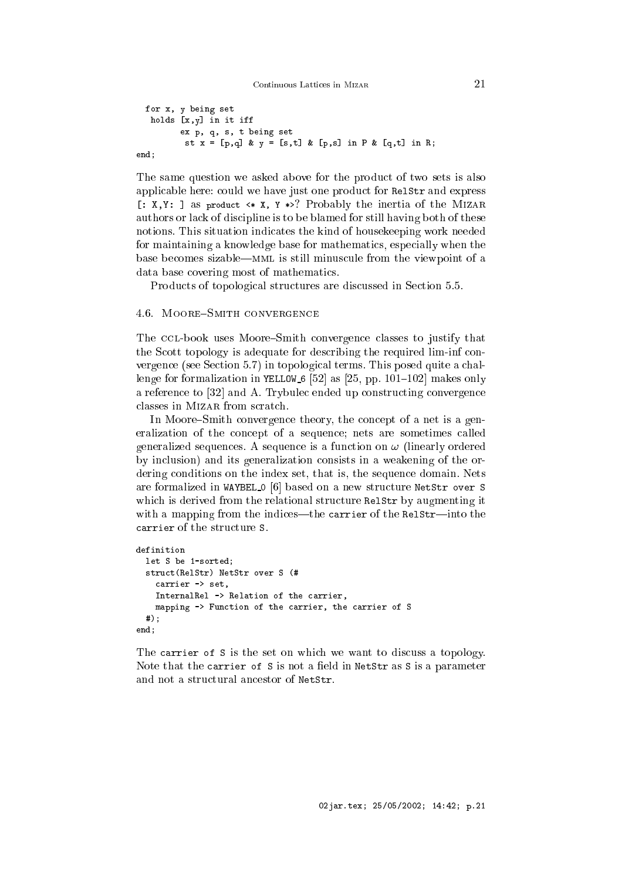```
for x, y being set
  holds [x, y] in it iff
        ex p, q, s, t being set
          st x = [p,q] & y = [s,t] & [p,s] in P & [q,t] in R;
end;
```
The same question we asked above for the produ
t of two sets is also applicable here: could we have just one product for RelStr and express [:  $X, Y:$  ] as product  $\leftrightarrow X$ ,  $Y \leftrightarrow ?$  Probably the inertia of the MIZAR authors or lack of discipline is to be blamed for still having both of these notions. This situation indi
ates the kind of housekeeping work needed for maintaining a knowledge base for mathemati
s, espe
ially when the base becomes sizable—MML is still minuscule from the viewpoint of a data base overing most of mathemati
s.

Products of topological structures are discussed in Section 5.5.

### 4.6. MOORE-SMITH CONVERGENCE

The CCL-book uses Moore–Smith convergence classes to justify that the S
ott topology is adequate for des
ribing the required lim-inf onvergence (see Section 5.7) in topological terms. This posed quite a challenge for formalization in YELLOW 6 [52] as [25, pp. 101-102] makes only a reference to [32] and A. Trybulec ended up constructing convergence classes in MIZAR from scratch.

In Moore–Smith convergence theory, the concept of a net is a generalization of the concept of a sequence; nets are sometimes called generalized sequences. A sequence is a function on  $\omega$  (linearly ordered by in
lusion) and its generalization onsists in a weakening of the ordering conditions on the index set, that is, the sequence domain. Nets are formalized in WAYBEL 0 [6] based on a new structure NetStr over S which is derived from the relational structure RelStr by augmenting it with a mapping from the indices—the carrier of the RelStr—into the arrier of the stru
ture S.

```
definition
 let S be 1-sorted;
  stru
t(RelStr) NetStr over S (#
    carrier -> set,
    InternalRel -> Relation of the 
arrier,
   mapping -> Function of the carrier, the carrier of S
 #);
end;
```
The carrier of S is the set on which we want to discuss a topology. Note that the carrier of S is not a field in NetStr as S is a parameter and not a structural ancestor of NetStr.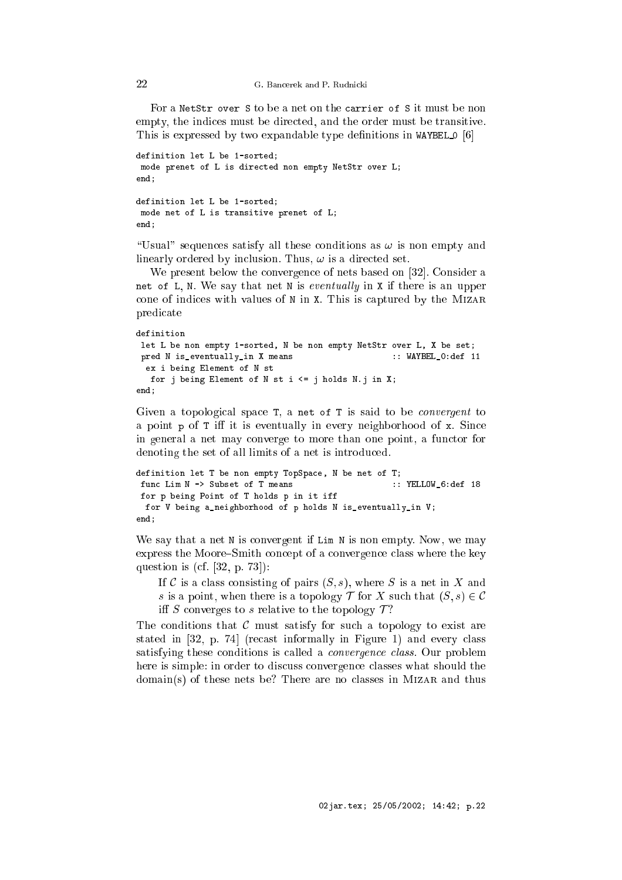For a NetStr over S to be a net on the carrier of S it must be non empty, the indices must be directed, and the order must be transitive. This is expressed by two expandable type definitions in WAYBEL  $[6]$ 

```
definition let L be 1-sorted;
mode prenet of L is directed non empty NetStr over L;
end;
definition let L be 1-sorted;
mode net of L is transitive prenet of L;
end;
```
"Usual" sequences satisfy all these conditions as  $\omega$  is non empty and linearly ordered by inclusion. Thus,  $\omega$  is a directed set.

We present below the convergence of nets based on [32]. Consider a net of L, N. We say that net N is eventually in X if there is an upper cone of indices with values of N in X. This is captured by the MIZAR predi
ate

```
definition
let L be non empty 1-sorted, N be non empty NetStr over L, X be set;
pred N is_eventually_in X means :: WAYBEL_0:def 11
 ex i being Element of N st
  for j being Element of N st i <= j holds N.j in X;
end:
end;
```
Given a topological space T, a net of T is said to be *convergent* to a point  $p$  of  $T$  iff it is eventually in every neighborhood of  $x$ . Since in general a net may onverge to more than one point, a fun
tor for denoting the set of all limits of a net is introduced.

```
definition let T be non empty TopSpa
e, N be net of T;
func Lim N -> Subset of T means :: YELLOW_6:def 18
for p being Point of T holds p in it iff
 for V being a_neighborhood of p holds N is_eventually_in V;
end;
```
We say that a net N is convergent if Lim N is non empty. Now, we may express the Moore-Smith concept of a convergence class where the key question is (cf.  $[32, p. 73]$ ):

If C is a class consisting of pairs  $(S, s)$ , where S is a net in X and s is a point, when there is a topology  $\mathcal T$  for X such that  $(S, s) \in \mathcal C$ iff S converges to s relative to the topology  $\mathcal{T}$ ?

The conditions that  $\mathcal C$  must satisfy for such a topology to exist are stated in [32, p. 74] (recast informally in Figure 1) and every class satisfying these conditions is called a *convergence class*. Our problem here is simple: in order to discuss convergence classes what should the domain(s) of these nets be? There are no classes in MIZAR and thus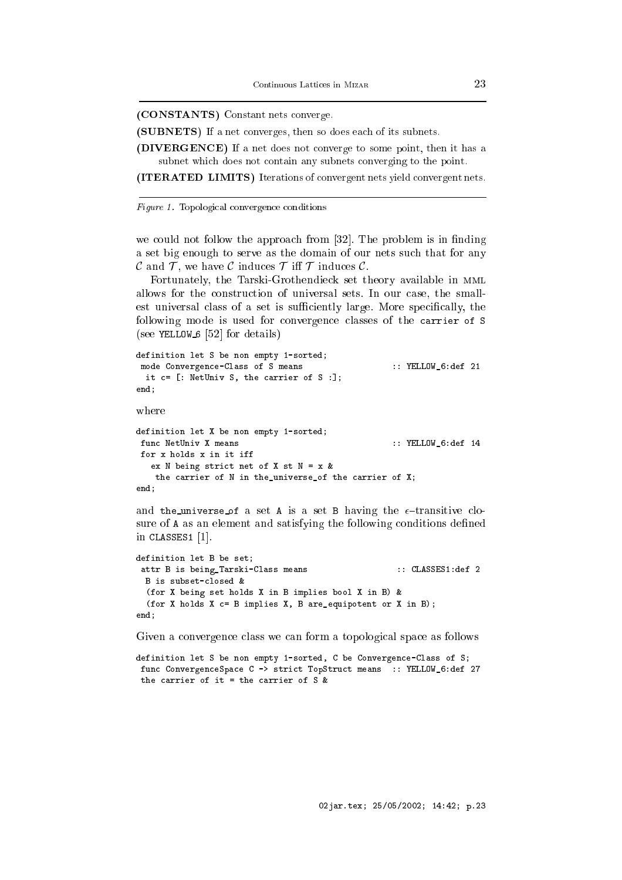(CONSTANTS) Constant nets onverge.

(SUBNETS) If <sup>a</sup> net onverges, then so does ea
h of its subnets.

(DIVERGENCE) If <sup>a</sup> net does not onverge to some point, then it has <sup>a</sup> subnet whi
h does not ontain any subnets onverging to the point.

(ITERATED LIMITS) Iterations of onvergent nets yield onvergent nets.

Figure 1. Topological convergence conditions

 $-$ 

we could not follow the approach from  $[32]$ . The problem is in finding a set big enough to serve as the domain of our nets such that for any C and T, we have C induces T iff T induces C.

Fortunately, the Tarski-Grothendieck set theory available in MML allows for the onstru
tion of universal sets. In our ase, the smallest universal class of a set is sufficiently large. More specifically, the following mode is used for convergence classes of the carrier of S (see YELLOW  $6$  [52] for details)

```
definition let S be non empty 1-sorted;
mode Convergen
e-Class of S means :: YELLOW_6:def 21
 it c= [: NetUniv S, the carrier of S :];
end:- - - -where
definition let X be non empty 1-sorted;
func NetUniv X means :: YELLOW_6:def 14
```

```
for x holds x in it iff
   ex N being strict net of X st N = x kthe 
arrier of N in the_universe_of the 
arrier of X;
end:
```
and the universe of a set A is a set B having the  $\epsilon$ -transitive closure of A as an element and satisfying the following conditions defined in CLASSES1  $[1]$ .

```
definition let B be set;
 attr B is being_Tarski-Class means :: CLASSES1:def 2
 B is subset-
losed &
  (for X being set holds X in B implies bool X in B) &
  (for X holds X c = B implies X, B are_equipotent or X in B);
end;
```
Given a convergence class we can form a topological space as follows

definition let S be non empty 1-sorted, C be Convergence-Class of S; func ConvergenceSpace C -> strict TopStruct means :: YELLOW\_6:def 27 the arrier of it = the arrier of S &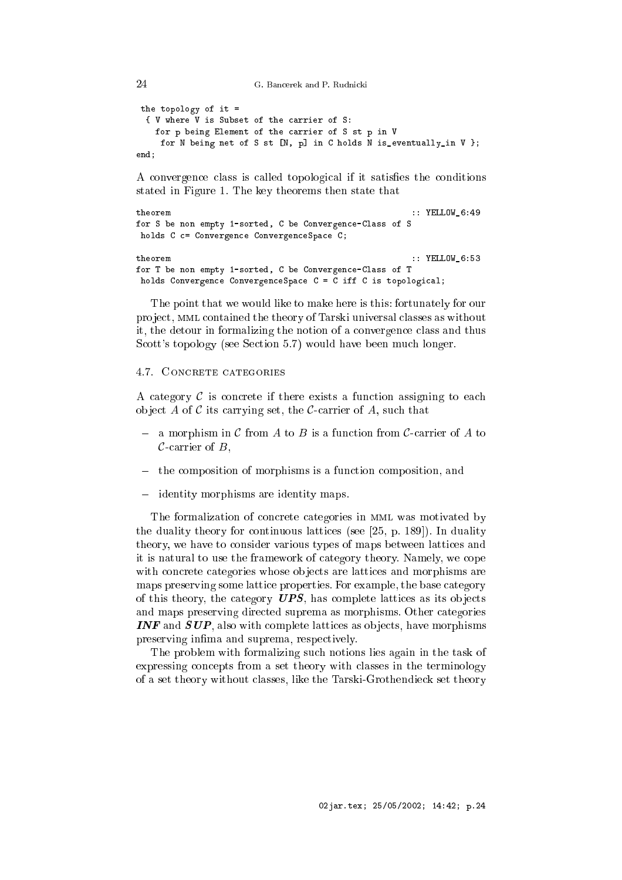G. Bancerek and P. Rudnicki

```
the topology of it =
 { V where V is Subset of the 
arrier of S:
    for p being Element of the 
arrier of S st p in V
     for N being net of S st [N, p] in C holds N is_eventually_in V };
end;
```
A convergence class is called topological if it satisfies the conditions stated in Figure 1. The key theorems then state that

```
:: YELLOW_6:49
theorem
for S be non empty 1-sorted, C be Convergen
e-Class of S
holds C c= Convergence ConvergenceSpace C;
```

```
:: YELLOW_6:53
theorem
for T be non empty 1-sorted, C be Convergen
e-Class of T
holds Convergence ConvergenceSpace C = C iff C is topological;
```
The point that we would like to make here is this: fortunately for our project, MML contained the theory of Tarski universal classes as without it, the detour in formalizing the notion of a onvergen
e lass and thus Scott's topology (see Section 5.7) would have been much longer.

# 4.7. CONCRETE CATEGORIES

A category  $\mathcal C$  is concrete if there exists a function assigning to each object A of C its carrying set, the C-carrier of A, such that

- $-$  a morphism in C from A to B is a function from C-carrier of A to  $\mathcal C$ -carrier of  $B$ ,
- the omposition of morphisms is a fun
tion omposition, and
- identity morphisms are identity maps.

The formalization of concrete categories in MML was motivated by the duality theory for continuous lattices (see  $[25, p. 189]$ ). In duality theory, we have to consider various types of maps between lattices and it is natural to use the framework of ategory theory. Namely, we ope with concrete categories whose objects are lattices and morphisms are maps preserving some latti
e properties. For example, the base ategory of this theory, the category  $UPS$ , has complete lattices as its objects and maps preserving directed suprema as morphisms. Other categories **INF** and  $SUP$ , also with complete lattices as objects, have morphisms preserving infima and suprema, respectively.

The problem with formalizing su
h notions lies again in the task of expressing concepts from a set theory with classes in the terminology of a set theory without lasses, like the Tarski-Grothendie
k set theory

```
24
```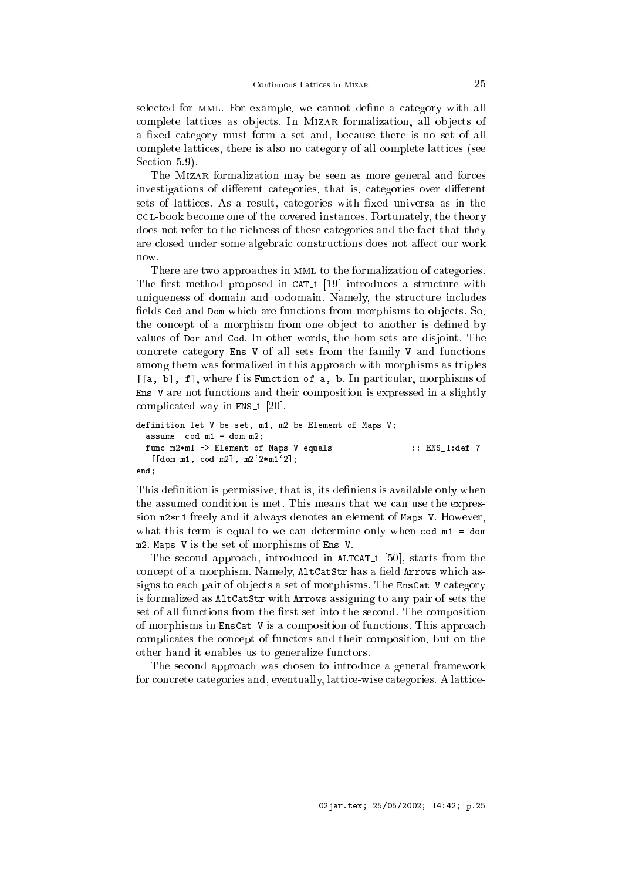selected for MML. For example, we cannot define a category with all complete lattices as objects. In MIZAR formalization, all objects of a fixed category must form a set and, because there is no set of all omplete latti
es, there is also no ategory of all omplete latti
es (see Section 5.9).

The MIZAR formalization may be seen as more general and forces investigations of different categories, that is, categories over different sets of lattices. As a result, categories with fixed universa as in the l-book be
ome one of the overed instan
es. Fortunately, the theory does not refer to the richness of these categories and the fact that they are closed under some algebraic constructions does not affect our work now.

There are two approaches in MML to the formalization of categories. The first method proposed in CAT<sub>1</sub> [19] introduces a structure with uniqueness of domain and codomain. Namely, the structure includes fields Cod and Dom which are functions from morphisms to objects. So, the concept of a morphism from one object to another is defined by values of Dom and Cod. In other words, the hom-sets are disjoint. The concrete category Ens V of all sets from the family V and functions among them was formalized in this approach with morphisms as triples [[a, b], f], where f is Function of a, b. In particular, morphisms of Ens V are not fun
tions and their omposition is expressed in a slightly complicated way in  $ENS_1$  [20].

```
definition let V be set, m1, m2 be Element of Maps V;
 assume 
od m1 = dom m2;
 func m2*m1 -> Element of Maps V equals :: ENS_1:def 7
  [[dom m1, cod m2], m2'2*m1'2];
end:- - - -
```
This definition is permissive, that is, its definiens is available only when the assumed condition is met. This means that we can use the expression m2\*m1 freely and it always denotes an element of Maps V. However, what this term is equal to we can determine only when  $\cot m1 = \tan$ m2. Maps V is the set of morphisms of Ens V.

The second approach, introduced in ALTCAT<sub>1</sub> [50], starts from the concept of a morphism. Namely, AltCatStr has a field Arrows which assigns to each pair of objects a set of morphisms. The EnsCat V category is formalized as AltCatStr with Arrows assigning to any pair of sets the set of all functions from the first set into the second. The composition of morphisms in EnsCat V is a omposition of fun
tions. This approa
h ompli
ates the on
ept of fun
tors and their omposition, but on the other hand it enables us to generalize fun
tors.

The second approach was chosen to introduce a general framework for concrete categories and, eventually, lattice-wise categories. A lattice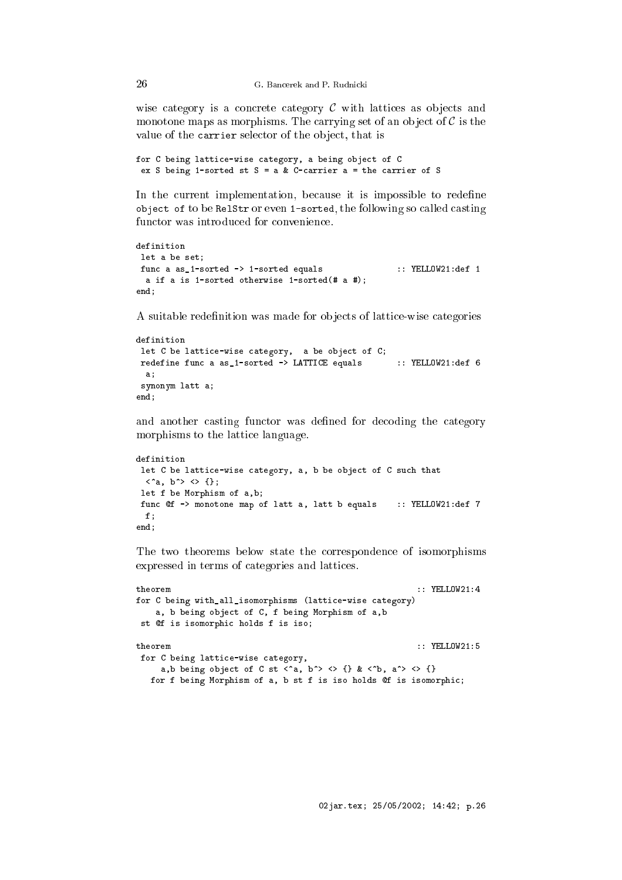wise category is a concrete category  $C$  with lattices as objects and monotone maps as morphisms. The carrying set of an object of  $\mathcal C$  is the value of the carrier selector of the object, that is

```
for C being latti
e-wise 
ategory, a being obje
t of C
ex S being 1-sorted st S = a \& C-carrier a = the carrier of S
```
In the current implementation, because it is impossible to redefine obje
t of to be RelStr or even 1-sorted, the following so alled asting functor was introduced for convenience.

```
definition
let a be set;
func a as_1-sorted -> 1-sorted equals :: YELLOW21:def 1
 a if a is 1-sorted otherwise 1-sorted(# a #);
end:- - - -
```
A suitable redefinition was made for objects of lattice-wise categories

```
definition
let C be lattice-wise category, a be object of C;
redefine func a as_1-sorted -> LATTICE equals :: YELLOW21:def 6
  a:
  \overline{\phantom{a}}synonym latt a;
end:- - - -
```
and another casting functor was defined for decoding the category morphisms to the latti
e language.

```
definition
let C be lattice-wise category, a, b be object of C such that
 \langle ^a, b^> \langle {};
let f be Morphism of a,b;
func @f -> monotone map of latt a, latt b equals :: YELLOW21:def 7
 \mathbf{f}:
  \simend;
```
The two theorems below state the orresponden
e of isomorphisms expressed in terms of categories and lattices.

```
theorem :: YELLOW21:4
for C being with_all_isomorphisms (latti
e-wise 
ategory)
    a, b being obje
t of C, f being Morphism of a,b
st @f is isomorphic holds f is iso;
for C being latti
e-wise 
ategory,
    a,b being object of C st \langle a, b \rangle \langle b \rangle \{ \} & \langle b, a \rangle \langle b, \{ \} \ranglefor f being Morphism of a, b st f is iso holds @f is isomorphic;
```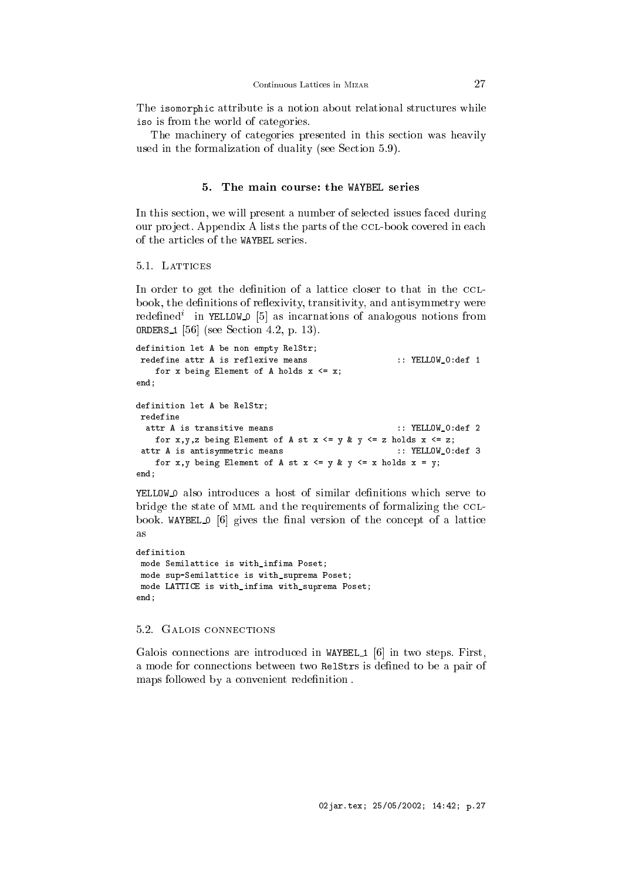The isomorphic attribute is a notion about relational structures while iso is from the world of ategories.

The machinery of categories presented in this section was heavily used in the formalization of duality (see Section 5.9).

#### 5. The main ourse: the WAYBEL series

In this section, we will present a number of selected issues faced during our project. Appendix A lists the parts of the CCL-book covered in each

5.1. LATTICES

 $-$ 

In order to get the definition of a lattice closer to that in the CCLbook, the definitions of reflexivity, transitivity, and antisymmetry were redennedi in YELLOW\_O [5] as incarnations of analogous notions from **ORDERS** 1 [56] (see Section 4.2, p. 13).

```
definition let A be non empty RelStr;
redefine attr A is reflexive means :: YELLOW_O:def 1
   for x being Element of A holds x \leq x;
- - - -definition let A be RelStr;
redefine
 attr A is transitive means :: YELLOW_O:def 2
   for x,y,z being Element of A st x \leq y & y \leq z holds x \leq z;
 attr A is antisymmetric means \qquad \qquad :: \text{YELLOW\_0:def} 3
   for x, y being Element of A st x \le y & y \le x holds x = y;
end:
```
YELLOW<sub>-0</sub> also introduces a host of similar definitions which serve to bridge the state of MML and the requirements of formalizing the CCLbook. WAYBEL  $\Omega$  [6] gives the final version of the concept of a lattice  $\overline{a}$ s

```
definition
mode Semilatti
e is with_infima Poset;
mode sup-Semilatti
e is with_suprema Poset;
mode LATTICE is with_infima with_suprema Poset;
end;
```
# 5.2. GALOIS CONNECTIONS

Galois connections are introduced in WAYBEL  $1 \vert 6 \vert$  in two steps. First, a mode for connections between two RelStrs is defined to be a pair of maps followed by a convenient redefinition.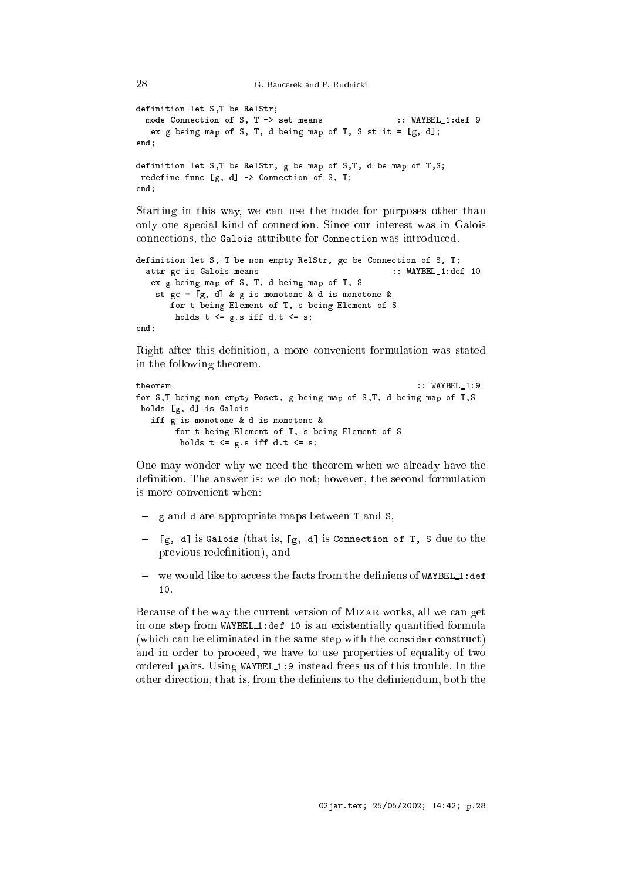```
G. Bancerek and P. Rudnicki
```

```
definition let S,T be RelStr;
 mode Connection of S, T -> set means :: WAYBEL_1:def 9
  ex g being map of S, T, d being map of T, S st it = [g, d];
end;
definition let S,T be RelStr, g be map of S,T, d be map of T,S;
redefine func [g, d] \rightarrow Connection of S, T;
end;
```
Starting in this way, we can use the mode for purposes other than only one spe
ial kind of onne
tion. Sin
e our interest was in Galois connections, the Galois attribute for Connection was introduced.

```
definition let S, T be non empty RelStr, gc be Connection of S, T;
  attr gc is Galois means \qquad \qquad :: \text{WAYBEL_1:def 10}ex g being map of S, T, d being map of T, S
    st gc = [g, d] & g is monotone & d is monotone &
       for t being Element of T, s being Element of S
       holds t \leq g.s iff d.t \leq s;
end;
```
Right after this definition, a more convenient formulation was stated in the following theorem.

```
theorem
                                                          :: WAYBEL 1:9
for S,T being non empty Poset, g being map of S,T, d being map of T,S
holds [g, d] is Galois
   iff g is monotone & d is monotone &
        for t being Element of T, s being Element of S
         holds t \leq g.s iff d.t \leq s;
```
One may wonder why we need the theorem when we already have the definition. The answer is: we do not; however, the second formulation is more onvenient when:

- g and d are appropriate maps between T and S,
- $-$  [g, d] is Galois (that is, [g, d] is Connection of T, S due to the previous redenition), and
- we would like to access the facts from the definiens of WAYBEL 1:def 10.

Because of the way the current version of MIZAR works, all we can get in one step from WAYBEL 1:def <sup>10</sup> is an existentially quantied formula (which can be eliminated in the same step with the consider construct) and in order to pro
eed, we have to use properties of equality of two ordered pairs. Using WAYBEL 1:9 instead frees us of this trouble. In the other direction, that is, from the definiens to the definiendum, both the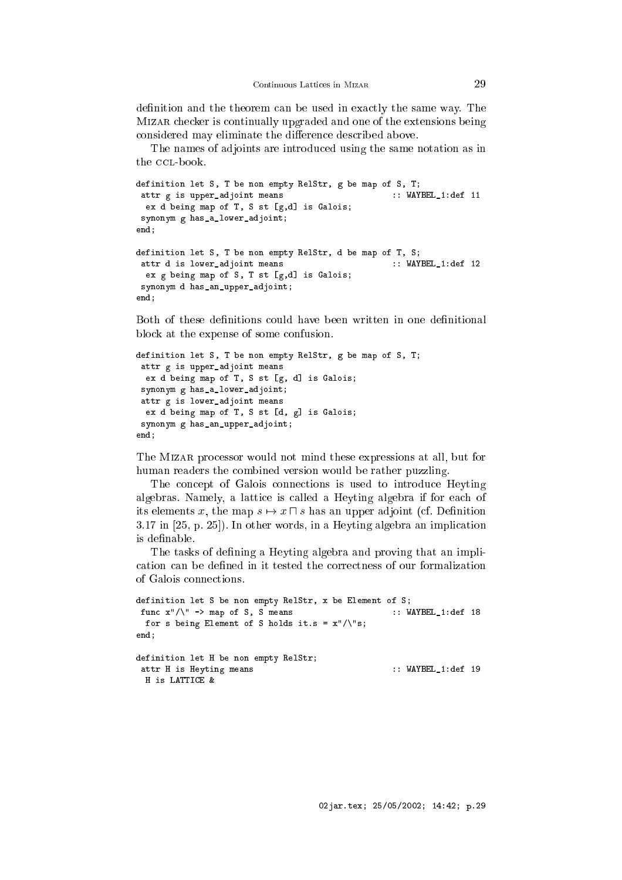definition and the theorem can be used in exactly the same way. The MIZAR checker is continually upgraded and one of the extensions being considered may eliminate the difference described above.

The names of adjoints are introdu
ed using the same notation as in the CCL-book.

```
definition let S, T be non empty RelStr, g be map of S, T;
attr g is upper_adjoint means \cdot : WAYBEL_1:def 11
 ex d being map of T, S st [g,d] is Galois;
synonym g has_a_lower_adjoint;
end;
definition let S, T be non empty RelStr, d be map of T, S;
attr d is lower_adjoint means :: WAYBEL_1:def 12
 ex g being map of S, T st [g,d] is Galois;
synonym d has_an_upper_adjoint;
end;
```
Both of these definitions could have been written in one definitional blo
k at the expense of some onfusion.

```
definition let S, T be non empty RelStr, g be map of S, T;
attr g is upper_adjoint means
 ex d being map of T, S st [g, d] is Galois;
 synonym g has_a_lower_adjoint;
 attr g is lower_adjoint means
 ex d being map of T, S st [d, g] is Galois;
 synonym g has_an_upper_adjoint;
end;
```
The Mizar pro
essor would not mind these expressions at all, but for human readers the combined version would be rather puzzling.

The concept of Galois connections is used to introduce Heyting algebras. Namely, a lattice is called a Heyting algebra if for each of its elements x, the map  $s \mapsto x \sqcap s$  has an upper adjoint (cf. Definition  $3.17$  in  $[25, p. 25]$ ). In other words, in a Heyting algebra an implication is definable.

The tasks of defining a Heyting algebra and proving that an implication can be defined in it tested the correctness of our formalization of Galois onne
tions.

```
definition let S be non empty RelStr, x be Element of S;
func x''/\sqrt{''} -> map of S, S means :: WAYBEL 1:def 18
 for s being Element of S holds it.s = x''/\sqrt{``s};
- - - -definition let H be non empty RelStr;
 attr H is Heyting means \cdot :: WAYBEL_1:def 19
 H is LATTICE &
```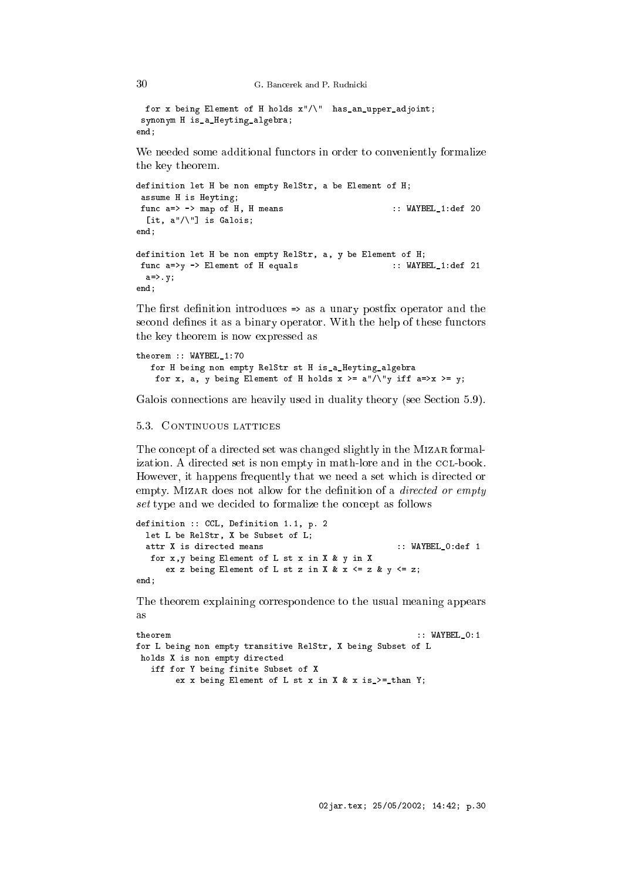```
for x being Element of H holds x"/\" has_an_upper_adjoint;
synonym H is_a_Heyting_algebra;
end;
```
We needed some additional functors in order to conveniently formalize the key theorem.

```
definition let H be non empty RelStr, a be Element of H;
assume H is Heyting;
func a=> -> map of H, H means :: WAYBEL_1:def 20
 [it, a"/\setminus"] is Galois;
end;
definition let H be non empty RelStr, a, y be Element of H;
func a=>y -> Element of H equals :: WAYBEL_1:def 21
 a=>.y;
end;
```
The first definition introduces  $\Rightarrow$  as a unary postfix operator and the second defines it as a binary operator. With the help of these functors the key theorem is now expressed as

```
theorem :: WAYBEL_1:70
   for H being non empty RelStr st H is_a_Heyting_algebra
    for x, a, y being Element of H holds x \ge a''/\sqrt{y} iff a \Rightarrow x \ge y;
```
Galois connections are heavily used in duality theory (see Section 5.9).

# 5.3. CONTINUOUS LATTICES

The concept of a directed set was changed slightly in the MIZAR formalization. A directed set is non empty in math-lore and in the CCL-book. However, it happens frequently that we need a set whi
h is dire
ted or empty. MIZAR does not allow for the definition of a *directed or empty* set type and we decided to formalize the concept as follows

```
definition :: CCL, Definition 1.1, p. 2
  let L be RelStr, X be Subset of L;
  attr X is directed means
                                                       : WAYBEL 0: def 1
   for x,y being Element of L st x in X & y in X
      ex z being Element of L st z in X & x \leq z & \sqrt{2} x \leqend;
```
The theorem explaining orresponden
e to the usual meaning appears  $2S$ 

```
theorem :: WAYBEL_0:1
for L being non empty transitive RelStr, X being Subset of L
holds X is non empty directed
  iff for Y being finite Subset of X
      ex x being Element of L st x in X & x is_>= than Y;
```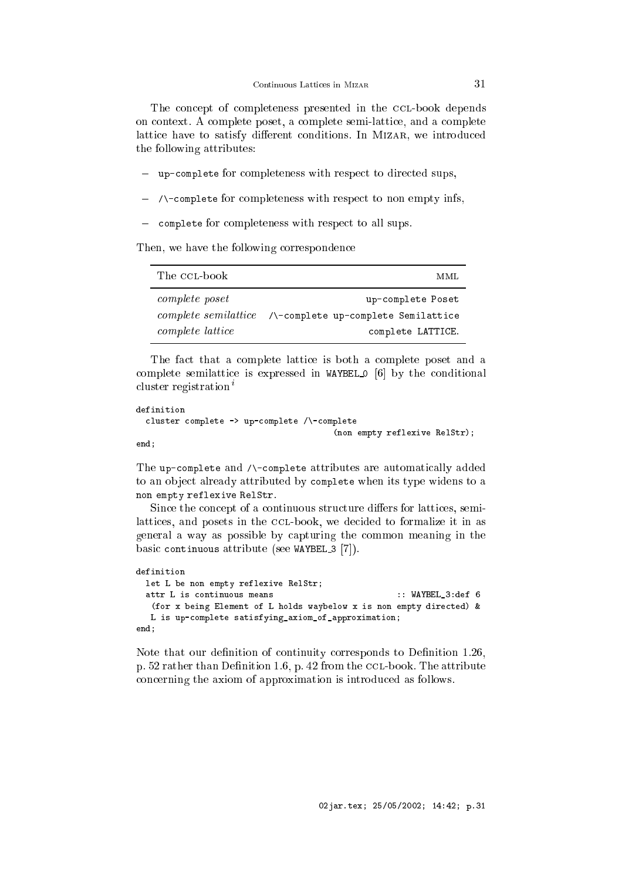The concept of completeness presented in the CCL-book depends on ontext. A omplete poset, a omplete semi-latti
e, and a omplete lattice have to satisfy different conditions. In MIZAR, we introduced the following attributes:

- up-complete for completeness with respect to directed sups,
- /\omplete for ompleteness with respe
t to non empty infs,
- complete for completeness with respect to all sups.

Then, we have the following correspondence

| The CCL-book     | MML                                                         |
|------------------|-------------------------------------------------------------|
| complete poset   | up-complete Poset                                           |
|                  | $complete\ semilattice$ /\-complete up-complete Semilattice |
| complete lattice | complete LATTICE.                                           |

The fact that a complete lattice is both a complete poset and a complete semilattice is expressed in WAYBEL 0  $[6]$  by the conditional cluster registration<sup> $i$ </sup>

```
definition
 cluster complete -> up-complete /\-complete
                                         (non empty reflexive RelStr);
end;
```
The up-complete and /\-complete attributes are automatically added to an object already attributed by complete when its type widens to a non empty reflexive RelStr.

Since the concept of a continuous structure differs for lattices, semilattices, and posets in the CCL-book, we decided to formalize it in as general a way as possible by apturing the ommon meaning in the basic continuous attribute (see WAYBEL\_3 [7]).

```
definition
 let L be non empty reflexive RelStr;
 attr L is continuous means \cdots :: WAYBEL_3:def 6
  (for x being Element of L holds waybelow x is non empty dire
ted) &
  L is up-
omplete satisfying_axiom_of_approximation;
end;
```
Note that our definition of continuity corresponds to Definition 1.26, p. 52 rather than Definition 1.6, p. 42 from the CCL-book. The attribute on
erning the axiom of approximation is introdu
ed as follows.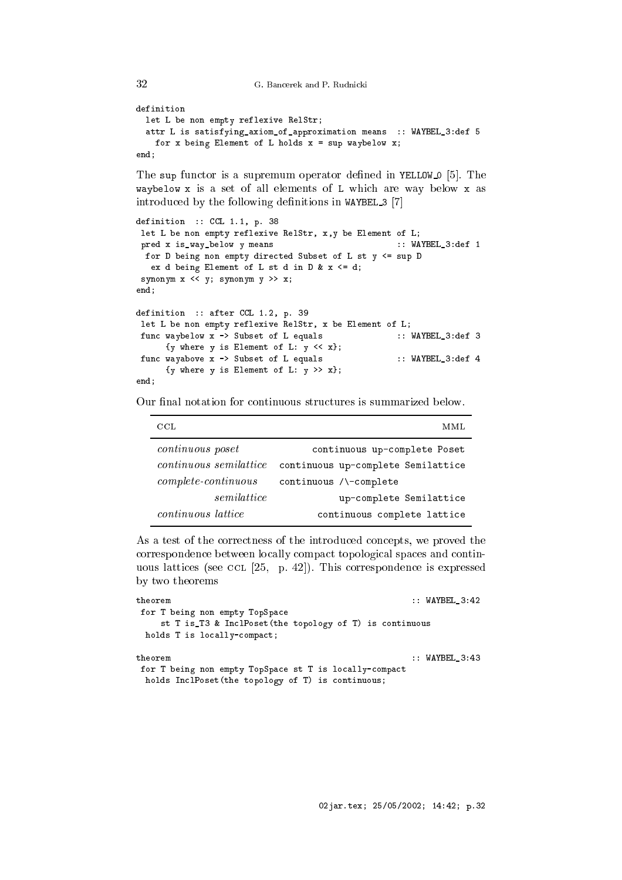G. Bancerek and P. Rudnicki

32

```
definition
 let L be non empty reflexive RelStr;
 attr L is satisfying_axiom_of_approximation means :: WAYBEL_3:def 5
   for x being Element of L holds x = sup waybelow x;
end;
```
The sup functor is a supremum operator defined in YELLOW  $\Omega$  [5]. The waybelow x is a set of all elements of L whi
h are way below x as introduced by the following definitions in WAYBEL 3 [7]

```
definition :: CCL 1.1, p. 38
let L be non empty reflexive RelStr, x,y be Element of L;
pred x is_way_below y means :: WAYBEL_3:def 1
 for D being non empty dire
ted Subset of L st y <= sup D
  ex d being Element of L st d in D & x \le d;
synonym x \leq y; synonym y \gg x;
end;
definition :: after CCL 1.2, p. 39
let L be non empty reflexive RelStr, x be Element of L;
func waybelow x -> Subset of L equals :: WAYBEL_3:def 3
     {y where y is Element of L: y \le x};
func wayabove x -> Subset of L equals :: WAYBEL_3:def 4
     {y where y is Element of L: y \gg x};
end;
```
Our final notation for continuous structures is summarized below.

| CCL.                          | MML                                |
|-------------------------------|------------------------------------|
| <i>continuous</i> poset       | continuous up-complete Poset       |
| <i>continuous</i> semilattice | continuous up-complete Semilattice |
| $complete\text{-}continuous$  | $continuous / \text{-complete}$    |
| semilattice                   | up-complete Semilattice            |
| <i>continuous lattice</i>     | continuous complete lattice        |

As a test of the correctness of the introduced concepts, we proved the orresponden
e between lo
ally ompa
t topologi
al spa
es and ontinuous lattices (see CCL  $[25, p. 42]$ ). This correspondence is expressed by two theorems

```
theorem :: WAYBEL_3:42
for T being non empty TopSpa
e
    st T is_T3 & InclPoset(the topology of T) is continuous
 holds T is locally-compact;
                                               : WAYBEL_3:43
theorem
for T being non empty TopSpace st T is locally-compact
 holds InclPoset(the topology of T) is continuous;
```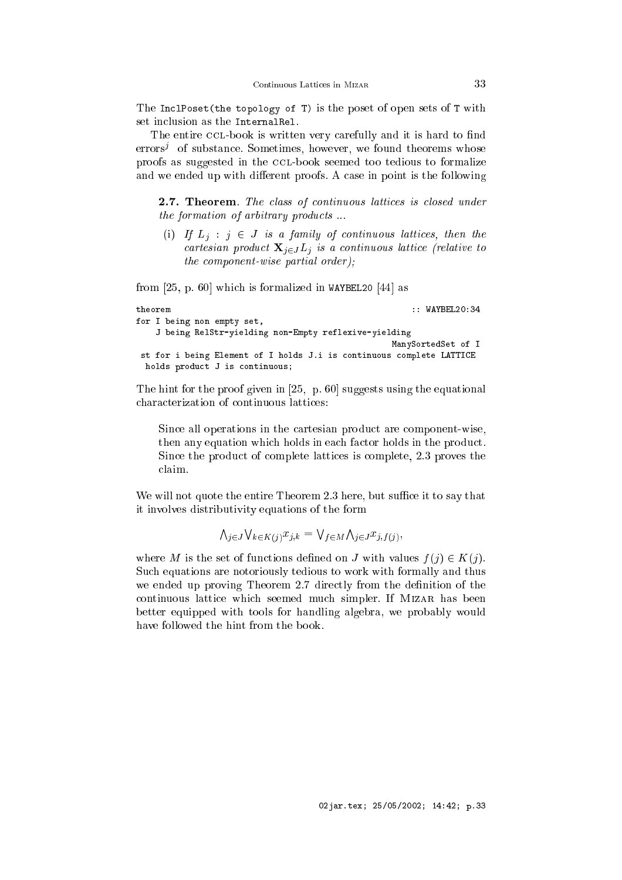The InclPoset(the topology of T) is the poset of open sets of T with set inclusion as the Internal Rel.

The entire CCL-book is written very carefully and it is hard to find errors<sup>,</sup> of substance. Sometimes, however, we found theorems whose proofs as suggested in the CCL-book seemed too tedious to formalize and we ended up with different proofs. A case in point is the following

2.7. Theorem. The class of continuous lattices is closed under the formation of arbitrary products...

(i) If  $L_i$  :  $j \in J$  is a family of continuous lattices, then the cartesian product  $\mathbf{X}_{i \in J}$  *L<sub>i</sub>* is a continuous lattice (relative to the omponent-wise partial order);

from  $[25, p. 60]$  which is formalized in WAYBEL20  $[44]$  as

```
theorem :: WAYBEL20:34
for I being non empty set,
   J being RelStr-yielding non-Empty reflexive-yielding
                                           ManySortedSet of I
 st for i being Element of I holds J.i is 
ontinuous 
omplete LATTICE
 holds product J is continuous;
```
The hint for the proof given in  $[25, p. 60]$  suggests using the equational characterization of continuous lattices:

Sin
e all operations in the artesian produ
t are omponent-wise, then any equation which holds in each factor holds in the product. Sin
e the produ
t of omplete latti
es is omplete, 2.3 proves the claim.

We will not quote the entire Theorem 2.3 here, but suffice it to say that it involves distributivity equations of the form

> $\bigwedge_{i \in J} \bigvee_{k \in K(i)} x_{i,k} = \bigvee_{f \in M} \bigwedge_{i \in J} x_{i,f(i)},$  $\sim$   $\sim$   $\sim$   $\sim$

where M is the set of functions defined on J with values  $f(j) \in K(j)$ . Su
h equations are notoriously tedious to work with formally and thus we ended up proving Theorem 2.7 directly from the definition of the ontinuous latti
e whi
h seemed mu
h simpler. If Mizar has been better equipped with tools for handling algebra, we probably would have followed the hint from the book.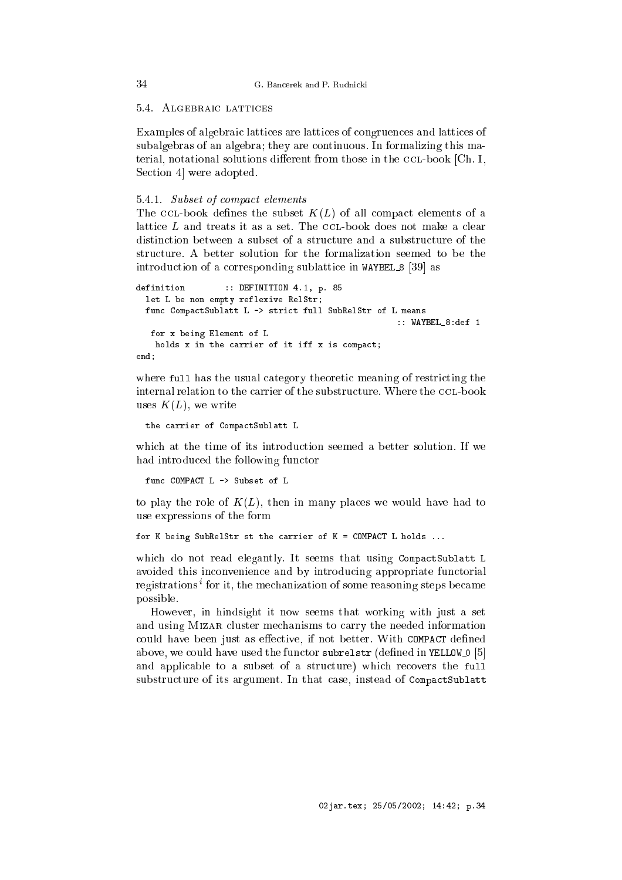# 5.4. ALGEBRAIC LATTICES

Examples of algebraic lattices are lattices of congruences and lattices of subalgebras of an algebra; they are ontinuous. In formalizing this material, notational solutions different from those in the CCL-book [Ch. I, Section 4 were adopted.

# 5.4.1. Subset of ompa
t elements

The CCL-book defines the subset  $K(L)$  of all compact elements of a lattice  $L$  and treats it as a set. The CCL-book does not make a clear distinction between a subset of a structure and a substructure of the stru
ture. A better solution for the formalization seemed to be the introduction of a corresponding sublattice in WAYBEL 8 [39] as

```
definition :: DEFINITION 4.1, p. 85
  let L be non empty reflexive RelStr;
 func CompactSublatt L -> strict full SubRelStr of L means
                                                    :: WAYBEL_8:def 1
  for x being Element of L
   holds x in the carrier of it iff x is compact;
end;
```
where full has the usual category theoretic meaning of restricting the internal relation to the carrier of the substructure. Where the CCL-book uses  $K(L)$ , we write

the carrier of CompactSublatt L

which at the time of its introduction seemed a better solution. If we had introdu
ed the following fun
tor

func COMPACT L -> Subset of L

to play the role of  $K(L)$ , then in many places we would have had to use expressions of the form

```
for K being SubRelStr st the 
arrier of K = COMPACT L holds ...
```
which do not read elegantly. It seems that using CompactSublatt L avoided this in
onvenien
e and by introdu
ing appropriate fun
torial registrations tor it, the mechanization of some reasoning steps became possible.

However, in hindsight it now seems that working with just a set and using Mizar luster me
hanisms to arry the needed information could have been just as effective, if not better. With COMPACT defined above, we could have used the functor subrelstr (defined in YELLOW  $[5]$ and applicable to a subset of a structure) which recovers the full substructure of its argument. In that case, instead of CompactSublatt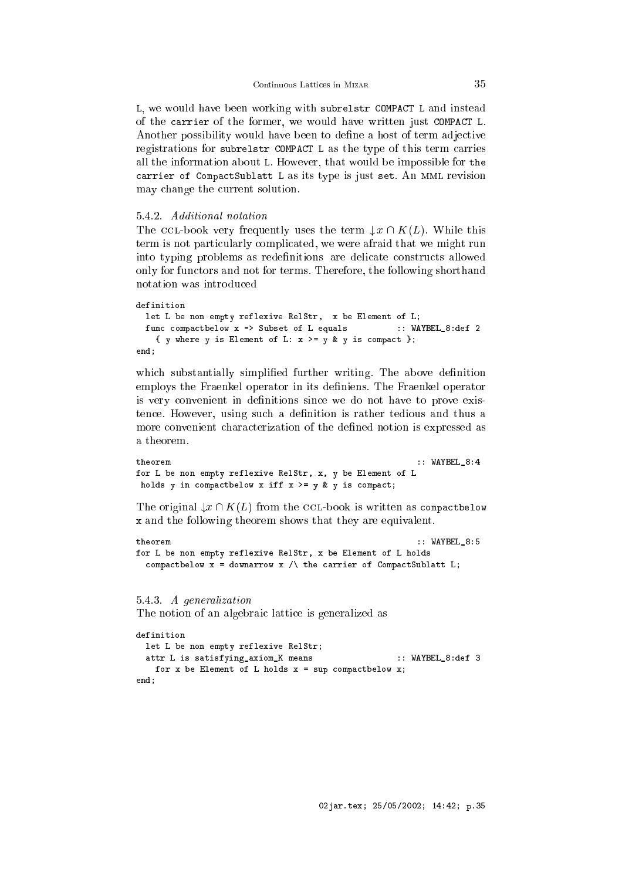L, we would have been working with subrelstr COMPACT L and instead of the arrier of the former, we would have written just COMPACT L. Another possibility would have been to define a host of term adjective registrations for subrelstr COMPACT L as the type of this term carries all the information about L. However, that would be impossible for the carrier of CompactSublatt L as its type is just set. An MML revision may hange the urrent solution.

### 5.4.2. Additional notation

The CCL-book very frequently uses the term  $\downarrow x \cap K(L)$ . While this term is not particularly complicated, we were afraid that we might run into typing problems as redefinitions are delicate constructs allowed only for fun
tors and not for terms. Therefore, the following shorthand notation was introduced

```
definition
 let L be non empty reflexive RelStr, x be Element of L;
 func compactbelow x -> Subset of L equals :: WAYBEL_8:def 2
   { y where y is Element of L: x >= y & y is compact };
end;
```
which substantially simplified further writing. The above definition employs the Fraenkel operator in its definiens. The Fraenkel operator is very convenient in definitions since we do not have to prove existence. However, using such a definition is rather tedious and thus a more onvenient hara
terization of the dened notion is expressed as a theorem.

```
: WAYBEL_8:4tho</math>for L be non empty reflexive RelStr, x, y be Element of L
holds y in compactbelow x iff x \geq y \leq y is compact;
```
The original  $\downarrow x \cap K(L)$  from the CCL-book is written as compactbelow x and the following theorem shows that they are equivalent.

```
theorem
                                                             :: WAYBEL_8:5
for L be non empty reflexive RelStr, x be Element of L holds
  compactbelow x = downarrow x / \backslash the carrier of CompactSublatt L;
```
### 5.4.3. A generalization

The notion of an algebraic lattice is generalized as

```
let L be non empty reflexive RelStr;
 attr L is satisfying_axiom_K means :: WAYBEL_8:def 3
   for x be Element of L holds x = sup compactbelow x;
end:
end;
```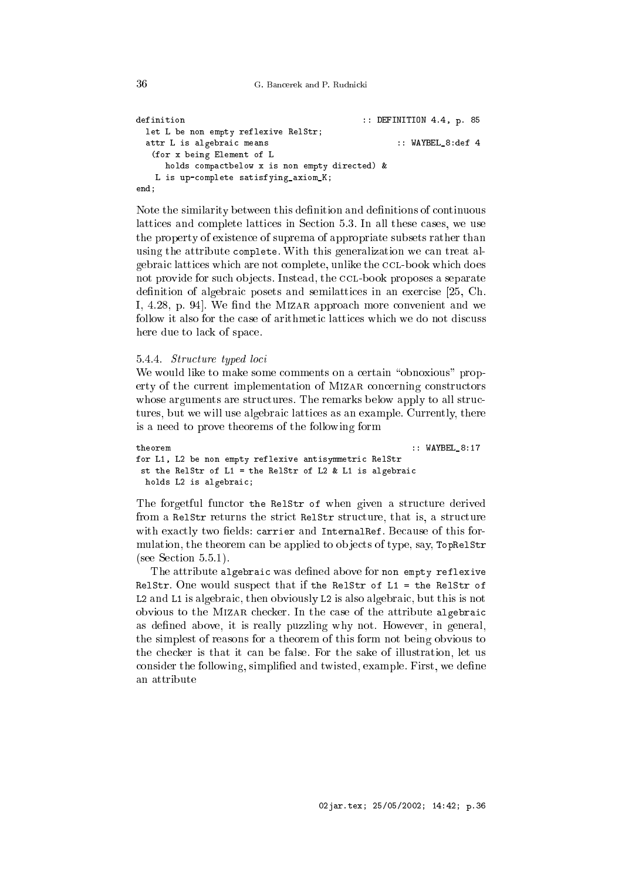```
G. Bancerek and P. Rudnicki
```

```
definition \qquad \qquad :: \text{DEFINITION 4.4, p. 85}let L be non empty reflexive RelStr;
 attr L is algebraic means \cdot :: WAYBEL_8:def 4
  (for x being Element of L
     holds compactbelow x is non empty directed) &
   L is up-
omplete satisfying_axiom_K;
end;
```
Note the similarity between this definition and definitions of continuous lattices and complete lattices in Section 5.3. In all these cases, we use the property of existen
e of suprema of appropriate subsets rather than using the attribute complete. With this generalization we can treat algebraic lattices which are not complete, unlike the CCL-book which does not provide for such objects. Instead, the CCL-book proposes a separate definition of algebraic posets and semilattices in an exercise [25, Ch. I, 4.28, p. 94. We find the MIZAR approach more convenient and we follow it also for the case of arithmetic lattices which we do not discuss here due to lack of space.

## 5.4.4. Stru
ture typed lo
i

We would like to make some comments on a certain "obnoxious" property of the current implementation of MIZAR concerning constructors whose arguments are structures. The remarks below apply to all structures, but we will use algebraic lattices as an example. Currently, there is a need to prove theorems of the following form

```
theorem
                                                         :: WAYBEL_8:17
for L1, L2 be non empty reflexive antisymmetri
 RelStr
st the RelStr of L1 = the RelStr of L2 & L1 is algebrai

 holds L2 is algebraic;
```
The forgetful functor the RelStr of when given a structure derived from a RelStr returns the strict RelStr structure, that is, a structure with exactly two fields: carrier and InternalRef. Because of this formulation, the theorem can be applied to objects of type, say, TopRe1Str  $(see Section 5.5.1).$ 

The attribute algebraic was defined above for non empty reflexive RelStr. One would suspe
t that if the RelStr of L1 = the RelStr of L2 and L1 is algebraic, then obviously L2 is also algebraic, but this is not obvious to the MIZAR checker. In the case of the attribute algebraic as defined above, it is really puzzling why not. However, in general, the simplest of reasons for a theorem of this form not being obvious to the he
ker is that it an be false. For the sake of illustration, let us consider the following, simplified and twisted, example. First, we define an attribute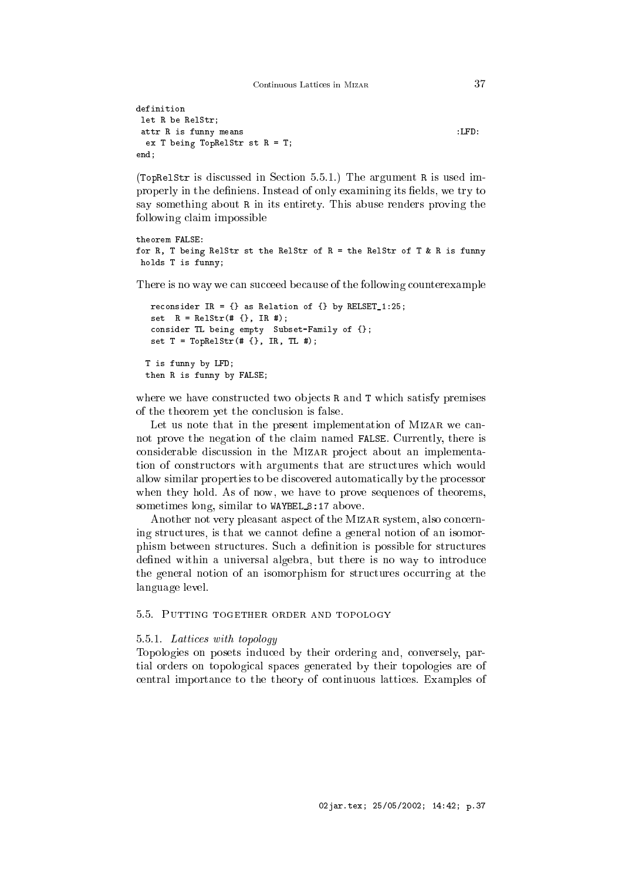Continuous Lattices in MIZAR

```
definition
let R be RelStr;
attr R is funny means :LFD:
 ex T being TopRelStr st R = T;
end;
```
(TopRelStr is dis
ussed in Se
tion 5.5.1.) The argument R is used improperly in the definiens. Instead of only examining its fields, we try to say something about R in its entirety. This abuse renders proving the following laim impossible

```
theorem FALSE:
for R, T being RelStr st the RelStr of R = the RelStr of T & R is funny
holds T is funny;
```
There is no way we can succeed because of the following counterexample

```
reconsider IR = \{\} as Relation of \{\} by RELSET_1:25;
 set R = RelStr( # {}, IR #);
onsider TL being empty Subset-Family of {};
 set T = T \text{op} (t + \{ \}, I R, TL +);T is funny by LFD;
then R is funny by FALSE;
```
where we have constructed two objects R and T which satisfy premises of the theorem yet the on
lusion is false.

Let us note that in the present implementation of MIZAR we cannot prove the negation of the laim named FALSE. Currently, there is considerable discussion in the MIZAR project about an implementation of constructors with arguments that are structures which would allow similar properties to be dis
overed automati
ally by the pro
essor when they hold. As of now, we have to prove sequences of theorems, sometimes long, similar to WAYBEL 8:17 above.

Another not very pleasant aspect of the MIZAR system, also concerning structures, is that we cannot define a general notion of an isomorphism between structures. Such a definition is possible for structures defined within a universal algebra, but there is no way to introduce the general notion of an isomorphism for structures occurring at the language level.

5.5. PUTTING TOGETHER ORDER AND TOPOLOGY

### 5.5.1. Latti
es with topology

Topologies on posets indu
ed by their ordering and, onversely, partial orders on topologi
al spa
es generated by their topologies are of entral importan
e to the theory of ontinuous latti
es. Examples of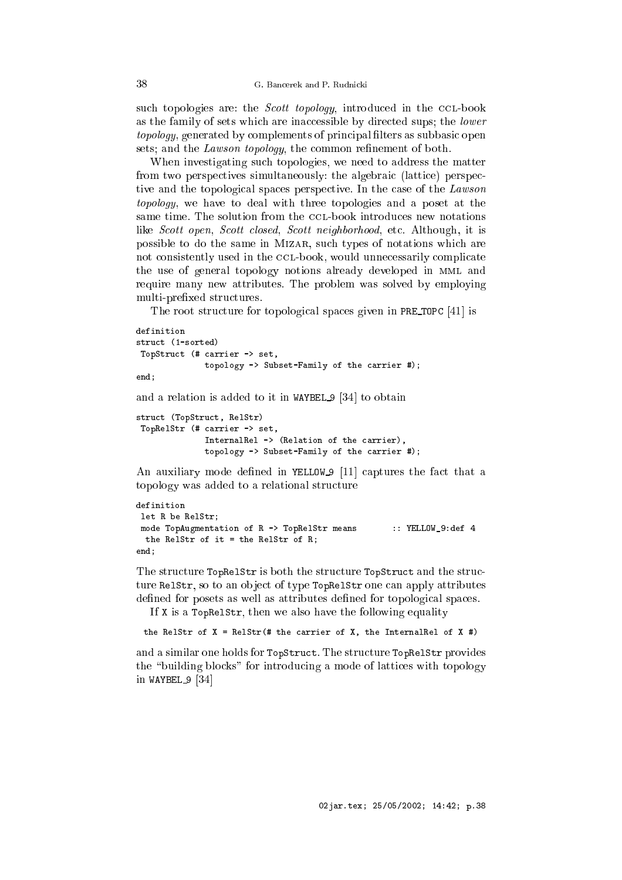such topologies are: the Scott topology, introduced in the CCL-book as the family of sets which are inaccessible by directed sups; the *lower* topology, generated by complements of principal filters as subbasic open sets; and the *Lawson topology*, the common refinement of both.

When investigating su
h topologies, we need to address the matter from two perspectives simultaneously: the algebraic (lattice) perspective and the topological spaces perspective. In the case of the *Lawson* topology, we have to deal with three topologies and a poset at the same time. The solution from the CCL-book introduces new notations like Scott open, Scott closed, Scott neighborhood, etc. Although, it is possible to do the same in Mizar, su
h types of notations whi
h are not consistently used in the CCL-book, would unnecessarily complicate the use of general topology notions already developed in mml and require many new attributes. The problem was solved by employing multi-prefixed structures.

The root structure for topological spaces given in PRE TOPC  $[41]$  is

```
definition
stru
t (1-sorted)
TopStru
t (# 
arrier -> set,
              topology -> Subset-Family of the 
arrier #);
end:
```
 $-$ 

and a relation is added to it in WAYBEL  $9 \left[ 34 \right]$  to obtain

```
struct (TopStruct, RelStr)
TopRelStr (# 
arrier -> set,
              InternalRel -> (Relation of the 
arrier),
             topology -> Subset-Family of the 
arrier #);
```
An auxiliary mode defined in YELLOW  $9$  [11] captures the fact that a topology was added to a relational stru
ture

```
definition
let R be RelStr;
mode TopAugmentation of R -> TopRelStr means :: YELLOW_9:def 4
 the RelStr of it = the RelStr of R;
- - - -
```
The structure TopRelStr is both the structure TopStruct and the structure Relstr, so to an object of type TopRelStr one can apply attributes defined for posets as well as attributes defined for topological spaces.

If X is a TopRelStr, then we also have the following equality

```
the RelStr of X = RelStr (# the carrier of X, the InternalRel of X #)
```
and a similar one holds for TopStruct. The structure TopRelStr provides the "building blocks" for introducing a mode of lattices with topology in WAYBEL  $9$  [34]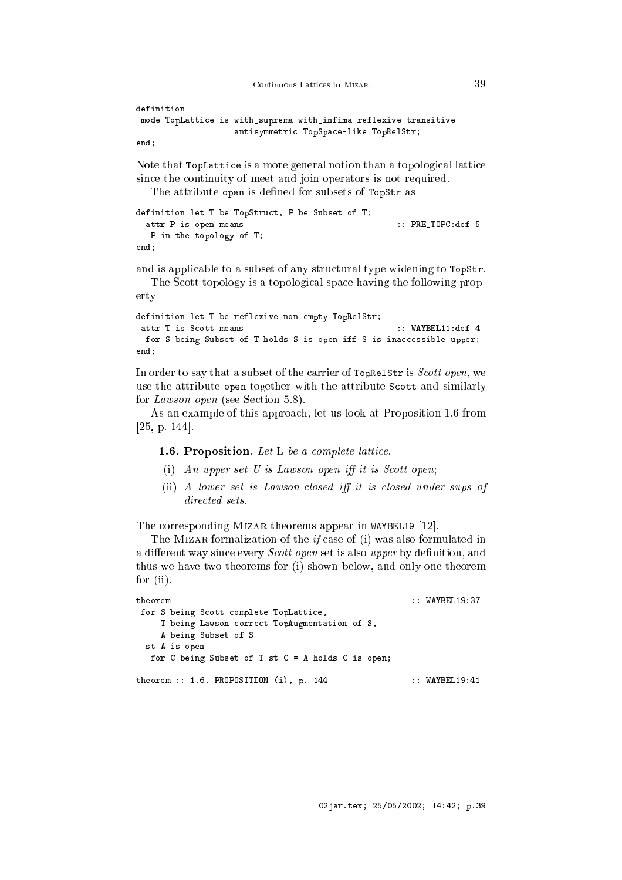Continuous Lattices in MIZAR

```
definition
mode TopLatti
e is with_suprema with_infima reflexive transitive
                    antisymmetri
 TopSpa
e-like TopRelStr;
```
end;

Note that TopLattice is a more general notion than a topological lattice sin
e the ontinuity of meet and join operators is not required.

The attribute open is defined for subsets of TopStr as

```
definition let T be TopStru
t, P be Subset of T;
 attr P is open means \cdot : PRE_TOPC:def 5
  P in the topology of T;
- - - -
```
and is applicable to a subset of any structural type widening to  $TopStr$ .

The Scott topology is a topological space having the following property

definition let T be reflexive non empty TopRelStr; attr T is S
ott means :: WAYBEL11:def 4 for S being Subset of T holds S is open iff S is inaccessible upper; end;

In order to say that a subset of the carrier of  $TopRelStris *Scott open*, we$ use the attribute open together with the attribute S
ott and similarly for *Lawson open* (see Section 5.8).

As an example of this approach, let us look at Proposition 1.6 from  $[25, p. 144].$ 

1.6. Proposition. Let L be a complete lattice.

- (i) An upper set U is Lawson open iff it is Scott open;
- $(ii)$  A lower set is Lawson-closed iff it is closed under sups of directed sets.

The corresponding MIZAR theorems appear in WAYBEL19 [12].

The MIZAR formalization of the  $if$  case of (i) was also formulated in a different way since every *Scott open* set is also upper by definition, and thus we have two theorems for (i) shown below, and only one theorem for (ii).

```
theorem :: WAYBEL19:37
for S being Scott complete TopLattice,
   T being Lawson 
orre
t TopAugmentation of S,
   A being Subset of S
 st A is open
  for C being Subset of T st C = A holds C is open;
theorem :: 1.6. PROPOSITION (i), p. 144 :: WAYBEL19:41
```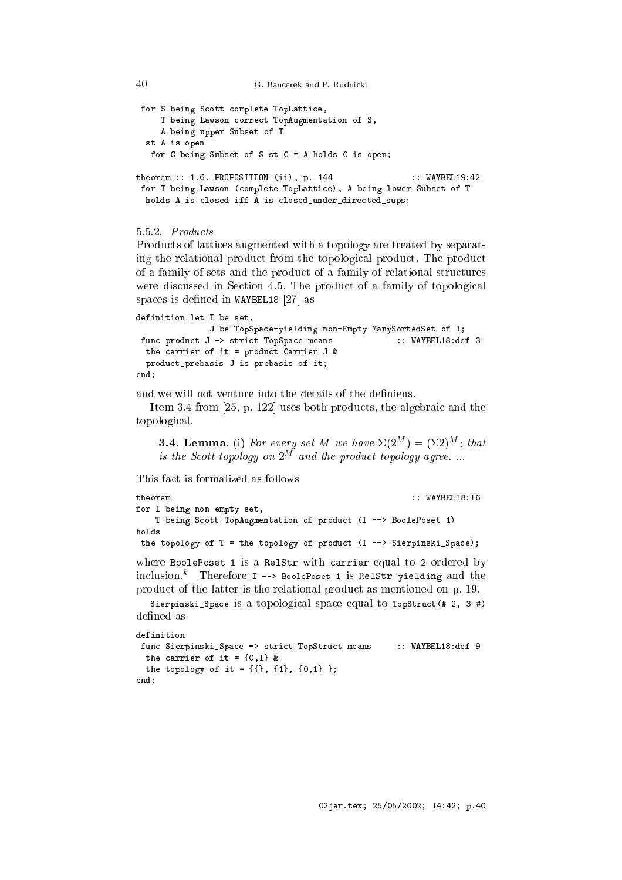G. Bancerek and P. Rudnicki

```
for S being Scott complete TopLattice,
    T being Lawson 
orre
t TopAugmentation of S,
    A being upper Subset of T
 st A is open
  for C being Subset of S st C = A holds C is open;
theorem :: 1.6. PROPOSITION (ii), p. 144 :: WAYBEL19:42
for T being Lawson (
omplete TopLatti
e), A being lower Subset of T
 holds A is closed iff A is closed_under_directed_sups;
```
### $5.5.2.$  Products

Products of lattices augmented with a topology are treated by separating the relational product from the topological product. The product of a family of sets and the produ
t of a family of relational stru
tures were discussed in Section 4.5. The product of a family of topological spaces is defined in WAYBEL18  $[27]$  as

```
definition let I be set,
              J be TopSpa
e-yielding non-Empty ManySortedSet of I;
func product J -> strict TopSpace means :: WAYBEL18:def 3
 the carrier of it = product Carrier J &
 produ
t_prebasis J is prebasis of it;
- - - -
```
and we will not venture into the details of the definiens.

Item 3.4 from  $[25, p. 122]$  uses both products, the algebraic and the topologi
al.

**3.4. Lemma.** (i) For every set M we have  $\Sigma(2^M) = (\Sigma 2)^M$ ; that is the Scott topology on  $2^M$  and the product topology agree....

```
theorem :: WAYBEL18:16
for I being non empty set,
   T being S
ott TopAugmentation of produ
t (I --> BoolePoset 1)
holds
the topology of T = the topology of product (I -\rightarrow Sierpinski_Space);
```
where BoolePoset 1 is a RelStr with carrier equal to 2 ordered by in
lusion.<sup>k</sup> Therefore I --> BoolePoset 1 is RelStr-yielding and the produ
t of the latter is the relational produ
t as mentioned on p. 19.

Sierpinski\_Space is a topological space equal to TopStruct(# 2, 3 #) defined as

```
func Sierpinski_Space -> strict TopStruct means :: WAYBEL18:def 9
 the carrier of it = \{0,1\} &
 the topology of it = \{\{\}\}, \{1\}, \{0,1\} \};
end;
```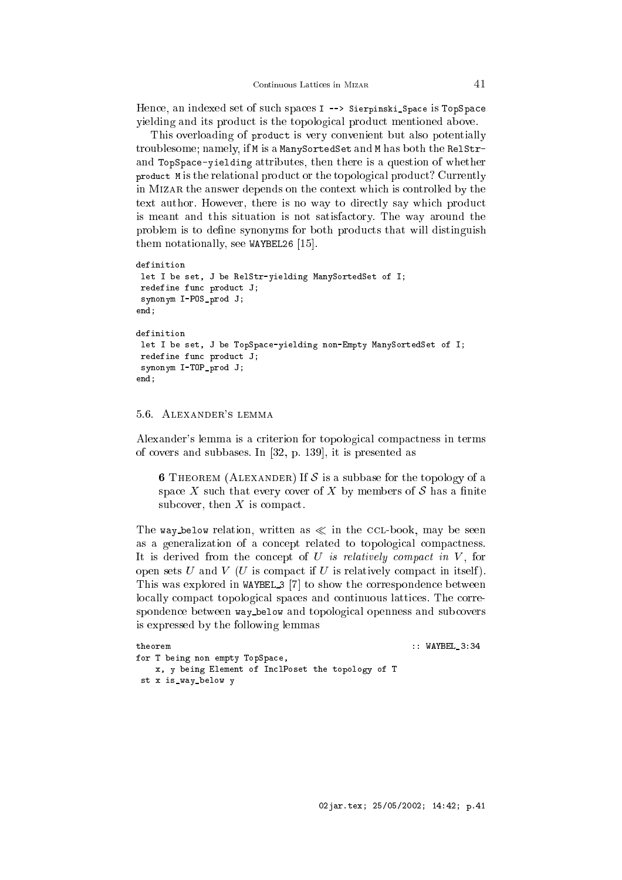Hence, an indexed set of such spaces I --> Sierpinski\_Space is TopSpace vielding and its product is the topological product mentioned above.

This overloading of product is very convenient but also potentially troublesome; namely, if M is a ManySortedSet and M has both the RelStrand TopSpa
e-yielding attributes, then there is a question of whether product M is the relational product or the topological product? Currently in Mizar the answer depends on the ontext whi
h is ontrolled by the text author. However, there is no way to directly say which product is meant and this situation is not satisfa
tory. The way around the problem is to define synonyms for both products that will distinguish them notationally, see WAYBEL26  $[15]$ .

```
definition
let I be set, J be RelStr-yielding ManySortedSet of I;
redefine func product J;
synonym I-POS_prod J;
end;
definition
let I be set, J be TopSpa
e-yielding non-Empty ManySortedSet of I;
redefine func product J;
synonym I-TOP_prod J;
end:- - - -
```
#### 5.6. Alexander's lemma

Alexander's lemma is a criterion for topological compactness in terms of covers and subbases. In  $[32, p. 139]$ , it is presented as

**6** THEOREM (ALEXANDER) If S is a subbase for the topology of a space X such that every cover of X by members of S has a finite subcover, then  $X$  is compact.

The way below relation, written as  $\ll$  in the CCL-book, may be seen as a generalization of a concept related to topological compactness. It is derived from the concept of  $U$  is relatively compact in  $V$ , for open sets U and V (U is compact if U is relatively compact in itself). This was explored in WAYBEL  $3$  [7] to show the correspondence between locally compact topological spaces and continuous lattices. The correspondence between way\_below and topological openness and subcovers is expressed by the following lemmas

```
theorem :: WAYBELL STATE STATE STATE STATE STATE STATE STATE STATE STATE STATE STATE STATE STATE STATE STATE S
for T being non empty TopSpa
e,
    x, y being Element of In
lPoset the topology of T
 st x is_way_below y
```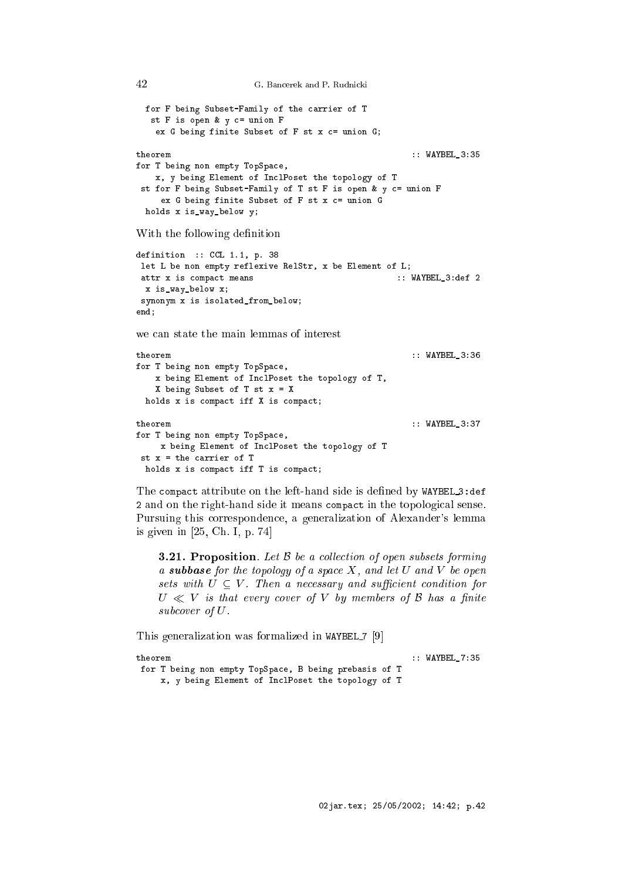```
G. Bancerek and P. Rudnicki
```
42

```
for F being Subset-Family of the 
arrier of T
  st F is open & y c= union F
   ex G being finite Subset of F st x c= union G;
theorem :: WAYBEL_3:35
for T being non empty TopSpa
e,
   x, y being Element of In
lPoset the topology of T
 st for F being Subset-Family of T st F is open & y c= union F
    ex G being finite Subset of F st x c= union G
 holds x is_way_below y;
With the following definition
definition :: CCL 1.1, p. 38
let L be non empty reflexive RelStr, x be Element of L;
attr x is 
ompa
t means :: WAYBEL_3:def 2
 x is_way_below x;
synonym x is isolated_from_below;
end;
we can state the main lemmas of interest
theorem :: WAYBEL_3:36
for T being non empty TopSpa
e,
   x being Element of In
lPoset the topology of T,
   X being Subset of T st x = Xholds x is compact iff X is compact;
                                                 :: WAYBEL_3:37
theorem
for T being non empty TopSpa
e,
   x being Element of In
lPoset the topology of T
st x = the 
arrier of T
 holds x is compact iff T is compact;
```
The compact attribute on the left-hand side is defined by WAYBEL 3:def 2 and on the right-hand side it means compact in the topological sense. Pursuing this orresponden
e, a generalization of Alexander's lemma is given in  $[25, Ch. I, p. 74]$ 

**3.21. Proposition**. Let  $\beta$  be a collection of open subsets forming a **subbase** for the topology of a space X, and let U and V be open sets with  $U \subseteq V$ . Then a necessary and sufficient condition for  $U \ll V$  is that every cover of V by members of B has a finite subcover of U.

This generalization was formalized in WAYBEL  $7 \left[ 9 \right]$ 

```
:: WAYBEL_7:35
theorem
for T being non empty TopSpa
e, B being prebasis of T
    x, y being Element of In
lPoset the topology of T
```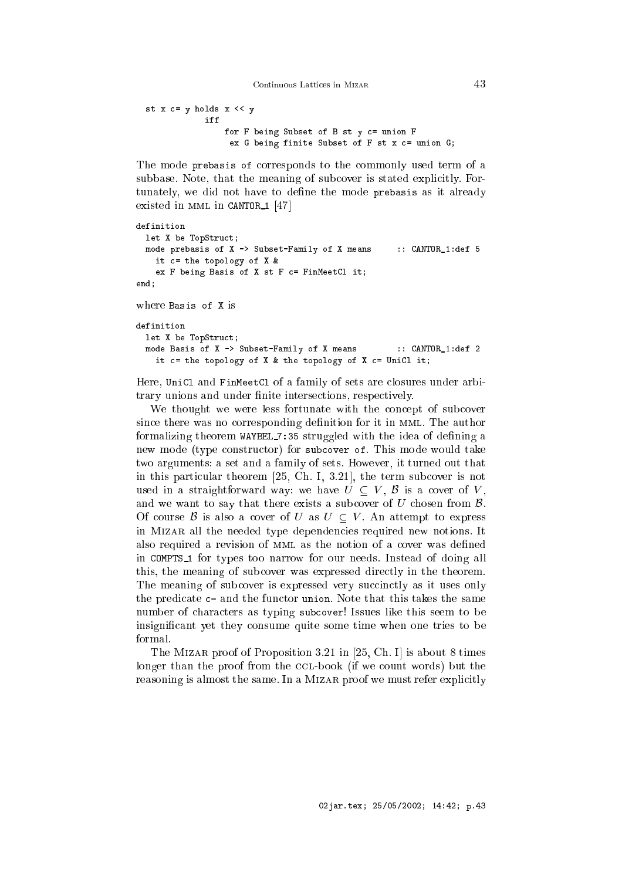Continuous Lattices in MIZAR

```
st x c= y holds x << y
            iff
                for F being Subset of B st y c= union F
                 ex G being finite Subset of F st x c= union G;
```
The mode prebasis of corresponds to the commonly used term of a subbase. Note, that the meaning of subcover is stated explicitly. Fortunately, we did not have to define the mode prebasis as it already existed in MML in CANTOR 1  $[47]$ 

```
definition
 let X be TopStruct;
 mode prebasis of X -> Subset-Family of X means :: CANTOR_1:def 5
   it c = the topology of X &
    ex F being Basis of X st F c = F in Meet Cl it;
and- - - -where Basis of X is
definition
 let X be TopStruct;
  mode Basis of X -> Subset-Family of X means :: CANTOR_1:def 2
    it c= the topology of X & the topology of X c= UniCl it;
```
Here, UniCl and FinMeetCl of a family of sets are losures under arbitrary unions and under finite intersections, respectively.

We thought we were less fortunate with the concept of subcover since there was no corresponding definition for it in MML. The author formalizing theorem WAYBEL 7:35 struggled with the idea of defining a new mode (type constructor) for subcover of. This mode would take two arguments: a set and a family of sets. However, it turned out that in this particular theorem  $[25, Ch. I, 3.21]$ , the term subcover is not used in a straightforward way: we have  $U \subseteq V$ ,  $\beta$  is a cover of V, and we want to say that there exists a subcover of  $U$  chosen from  $\mathcal{B}$ . Of course  $\mathcal{B}$  is also a cover of U as  $U \subset V$ . An attempt to express in Mizar all the needed type dependen
ies required new notions. It also required a revision of MML as the notion of a cover was defined in COMPTS <sup>1</sup> for types too narrow for our needs. Instead of doing all this, the meaning of sub
over was expressed dire
tly in the theorem. The meaning of subcover is expressed very succinctly as it uses only the predicate  $c$ = and the functor union. Note that this takes the same number of characters as typing subcover! Issues like this seem to be insignificant yet they consume quite some time when one tries to be formal

The MIZAR proof of Proposition 3.21 in [25, Ch. I] is about 8 times longer than the proof from the CCL-book (if we count words) but the reasoning is almost the same. In a MIZAR proof we must refer explicitly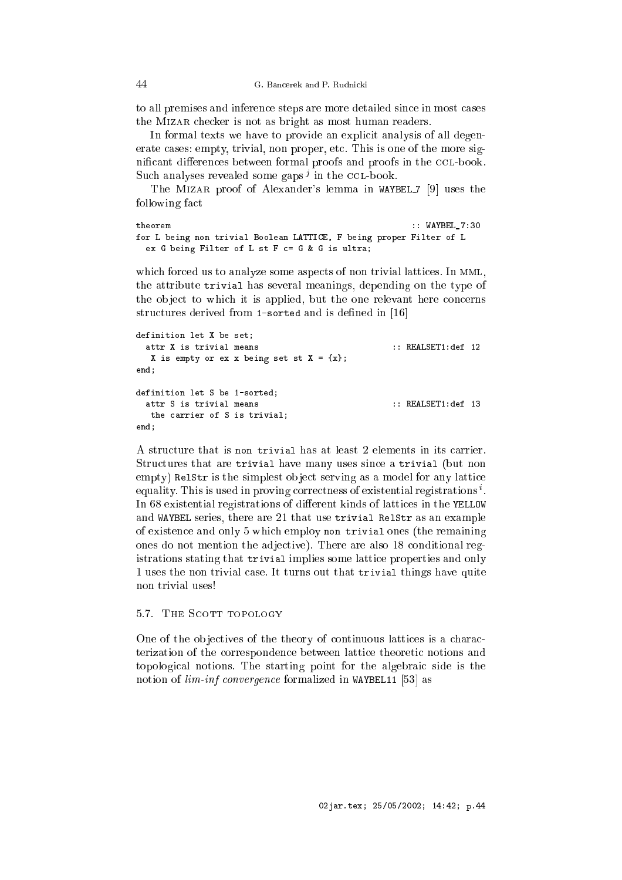to all premises and inferen
e steps are more detailed sin
e in most ases the Mizar he
ker is not as bright as most human readers.

In formal texts we have to provide an explicit analysis of all degenerate cases: empty, trivial, non proper, etc. This is one of the more significant differences between formal proofs and proofs in the CCL-book. Such analyses revealed some gaps qui the CCL-book.

The MIZAR proof of Alexander's lemma in WAYBEL 7 [9] uses the following fa
t

```
theorem :: WAYBEL_7:30
for L being non trivial Boolean LATTICE, F being proper Filter of L
 ex G being Filter of L st F c= G & G is ultra;
```
which forced us to analyze some aspects of non trivial lattices. In MML, the attribute trivial has several meanings, depending on the type of the object to which it is applied, but the one relevant here concerns structures derived from 1-sorted and is defined in [16]

```
definition let X be set;
  attr X is trivial means \qquad \qquad :: \quad \text{REALSET1:def} \quad 12X is empty or ex x being set st X = \{x\};end;
definition let S be 1-sorted;
  attr S is trivial means
                                                       :: REALSET1:def 13
   the 
arrier of S is trivial;
end:- - - -
```
A structure that is non trivial has at least 2 elements in its carrier. Structures that are trivial have many uses since a trivial (but non empty) Relstr is the simplest object serving as a model for any lattice equality. This is used in proving correctness of existential registrations  $\,$  . In 68 existential registrations of different kinds of lattices in the YELLOW and WAYBEL series, there are 21 that use trivial RelStr as an example of existen
e and only 5 whi
h employ non trivial ones (the remaining ones do not mention the adjective). There are also 18 conditional registrations stating that trivial implies some latti
e properties and only 1 uses the non trivial ase. It turns out that trivial things have quite non trivial uses!

# 5.7 THE SCOTT TOPOLOGY

One of the objectives of the theory of continuous lattices is a characterization of the orresponden
e between latti
e theoreti notions and topological notions. The starting point for the algebraic side is the notion of *lim-inf convergence* formalized in WAYBEL11 [53] as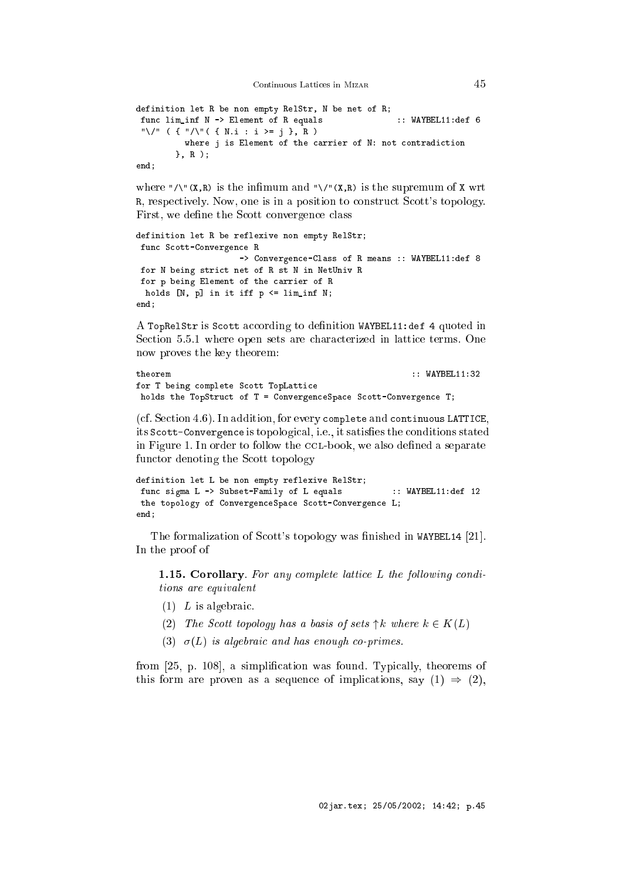definition let R be non empty RelStr, N be net of R; func lim\_inf N -> Element of R equals :: WAYBEL11:def 6 "\/" ( { "/\"( { N.i : i >= j }, R ) where j is Element of the carrier of N: not contradiction }, R );

 $end:$  $-$ 

where " $\wedge$ "( $x, R$ ) is the infimum and " $\vee$ "( $x, R$ ) is the supremum of  $x$  wrt R, respectively. Now, one is in a position to construct Scott's topology. First, we define the Scott convergence class

```
definition let R be reflexive non empty RelStr;
func Scott-Convergence R
                     -> Convergence-Class of R means :: WAYBEL11:def 8
for N being stri
t net of R st N in NetUniv R
for p being Element of the 
arrier of R
 holds [N, p] in it iff p \leq \liminf N;
end;
```
A TopRelStr is Scott according to definition WAYBEL11:def 4 quoted in Section 5.5.1 where open sets are characterized in lattice terms. One now proves the key theorem:

```
theorem
                                                        :: WAYBEL11:32
for T being complete Scott TopLattice
holds the TopStruct of T = ConvergenceSpace Scott-Convergence T;
```
(cf. Section 4.6). In addition, for every complete and continuous LATTICE, its Scott-Convergence is topological, i.e., it satisfies the conditions stated in Figure 1. In order to follow the CCL-book, we also defined a separate functor denoting the Scott topology

```
definition let L be non empty reflexive RelStr;
func sigma L -> Subset-Family of L equals :: WAYBEL11:def 12
the topology of ConvergenceSpace Scott-Convergence L;
end:
end;
```
The formalization of Scott's topology was finished in WAYBEL14 [21]. In the proof of

**1.15. Corollary**. For any complete lattice  $L$  the following conditions are equivalent

- $(1)$  L is algebraic.
- (2) The Scott topology has a basis of sets  $\uparrow k$  where  $k \in K(L)$
- (3)  $\sigma(L)$  is algebraic and has enough co-primes.

from [25, p. 108], a simplification was found. Typically, theorems of this form are proven as a sequence of implications, say  $(1) \Rightarrow (2)$ ,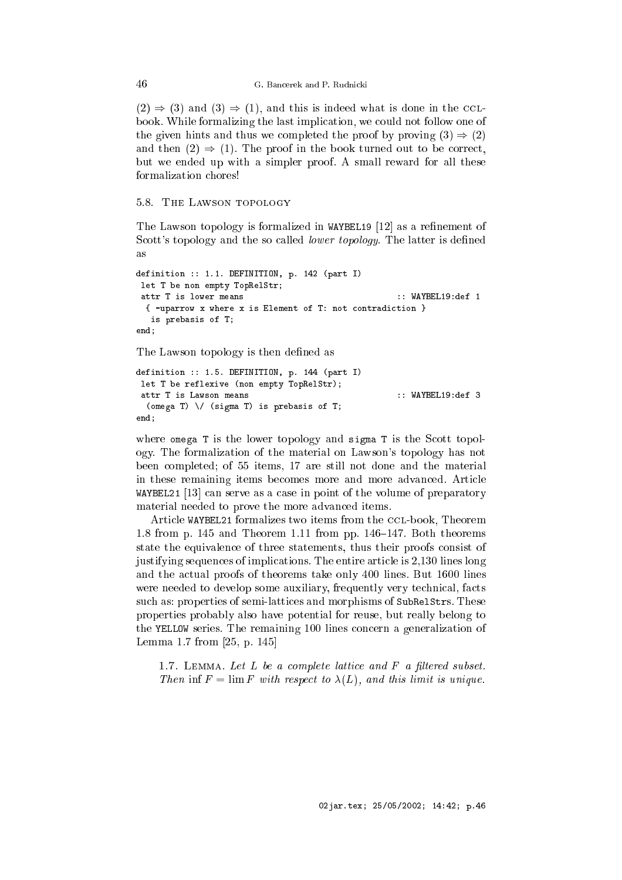$(2) \Rightarrow (3)$  and  $(3) \Rightarrow (1)$ , and this is indeed what is done in the CCLbook. While formalizing the last implication, we could not follow one of the given hints and thus we completed the proof by proving  $(3) \Rightarrow (2)$ and then  $(2) \Rightarrow (1)$ . The proof in the book turned out to be correct, but we ended up with a simpler proof. A small reward for all these formalization hores!

## 5.8. THE LAWSON TOPOLOGY

The Lawson topology is formalized in WAYBEL19  $[12]$  as a refinement of Scott's topology and the so called *lower topology*. The latter is defined as

```
definition :: 1.1. DEFINITION, p. 142 (part I)
let T be non empty TopRelStr;
 attr T is lower means
                                                        \cdots WAVREL19\cdots1
  { -uparrow x where x is Element of T: not 
ontradi
tion }
   is prebasis of T;
- - - -
```
The Lawson topology is then defined as

```
definition :: 1.5. DEFINITION, p. 144 (part I)
let T be reflexive (non empty TopRelStr);
attr T is Lawson means :: WAYBEL19:def 3
 (omega T) \setminus (sigma T) is prebasis of T;
end;
```
where omega  $T$  is the lower topology and sigma  $T$  is the Scott topology. The formalization of the material on Lawson's topology has not been ompleted; of 55 items, 17 are still not done and the material in these remaining items be
omes more and more advan
ed. Arti
le WAYBEL21 [13] can serve as a case in point of the volume of preparatory material needed to prove the more advan
ed items.

Article WAYBEL21 formalizes two items from the CCL-book, Theorem 1.8 from p. 145 and Theorem 1.11 from pp. 146–147. Both theorems state the equivalen
e of three statements, thus their proofs onsist of justifying sequen
es of impli
ations. The entire arti
le is 2,130 lines long and the a
tual proofs of theorems take only 400 lines. But 1600 lines were needed to develop some auxiliary, frequently very technical, facts su
h as: properties of semi-latti
es and morphisms of SubRelStrs. These properties probably also have potential for reuse, but really belong to the YELLOW series. The remaining 100 lines concern a generalization of Lemma 1.7 from  $[25, p. 145]$ 

1.7. LEMMA. Let  $L$  be a complete lattice and  $F$  a filtered subset. Then inf  $F = \lim F$  with respect to  $\lambda(L)$ , and this limit is unique.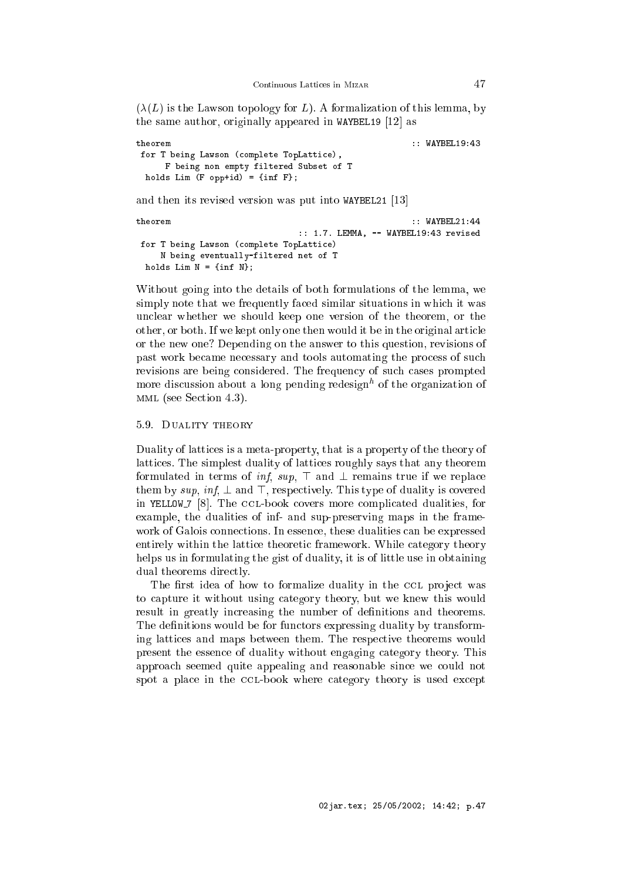$(\lambda(L))$  is the Lawson topology for L). A formalization of this lemma, by the same author, originally appeared in WAYBEL19  $[12]$  as

```
theorem :: WAYBEL19:43
for T being Lawson (complete TopLattice),
    F being non empty filtered Subset of T
 holds Lim (F opp+id) = {inf F};
```
and then its revised version was put into WAYBEL21  $[13]$ 

```
theorem :: WAYBEL21:44
                         :: 1.7. LEMMA, -- WAYBEL19:43 revised
for T being Lawson (
omplete TopLatti
e)
   N being eventually-filtered net of T
 holds Lim N = \{inf N\};
```
Without going into the details of both formulations of the lemma, we simply note that we frequently faced similar situations in which it was un
lear whether we should keep one version of the theorem, or the other, or both. If we kept only one then would it be in the original arti
le or the new one? Depending on the answer to this question, revisions of past work be
ame ne
essary and tools automating the pro
ess of su
h revisions are being considered. The frequency of such cases prompted more dis
ussion about a long pending redesignh of the organization of mml (see Se
tion 4.3).

### 5.9. Duality theory

Duality of latti
es is a meta-property, that is a property of the theory of latti
es. The simplest duality of latti
es roughly says that any theorem formulated in terms of *inf*,  $\sup$ ,  $\top$  and  $\bot$  remains true if we replace them by sup, inf,  $\perp$  and  $\top$ , respectively. This type of duality is covered in YELLOW 7 [8]. The CCL-book covers more complicated dualities, for example, the dualities of inf- and sup-preserving maps in the framework of Galois connections. In essence, these dualities can be expressed entirely within the lattice theoretic framework. While category theory helps us in formulating the gist of duality, it is of little use in obtaining dual theorems directly.

The first idea of how to formalize duality in the CCL project was to apture it without using ategory theory, but we knew this would result in greatly increasing the number of definitions and theorems. The definitions would be for functors expressing duality by transforming latti
es and maps between them. The respe
tive theorems would present the essen
e of duality without engaging ategory theory. This approa
h seemed quite appealing and reasonable sin
e we ould not spot a place in the CCL-book where category theory is used except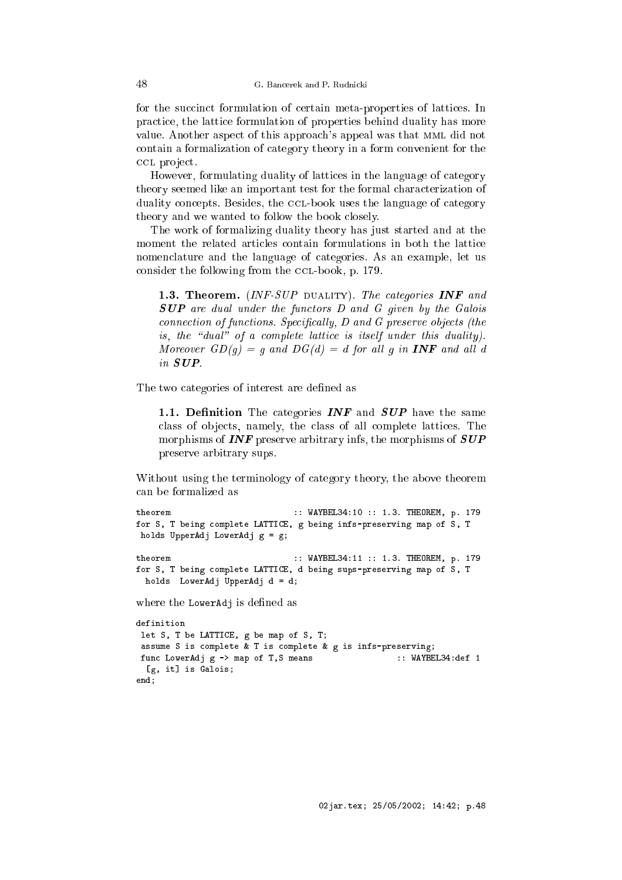for the succinct formulation of certain meta-properties of lattices. In practice, the lattice formulation of properties behind duality has more value. Another aspe
t of this approa
h's appeal was that mml did not ontain a formalization of ategory theory in a form onvenient for the CCL project.

However, formulating duality of lattices in the language of category theory seemed like an important test for the formal characterization of duality concepts. Besides, the CCL-book uses the language of category theory and we wanted to follow the book losely.

The work of formalizing duality theory has just started and at the moment the related articles contain formulations in both the lattice nomen
lature and the language of ategories. As an example, let us consider the following from the CCL-book, p. 179.

1.3. Theorem.  $(INF-SUP$  DUALITY). The categories INF and SUP are dual under the functors D and G given by the Galois connection of functions. Specifically, D and G preserve objects (the is, the "dual" of a complete lattice is itself under this duality). Moreover  $GD(g) = g$  and  $DG(d) = d$  for all g in **INF** and all d in SUP.

The two categories of interest are defined as

1.1. Definition The categories **INF** and **SUP** have the same class of objects, namely, the class of all complete lattices. The morphisms of  $\textit{INF}$  preserve arbitrary infs, the morphisms of  $\textit{SUP}$ preserve arbitrary sups.

Without using the terminology of category theory, the above theorem can be formalized as

```
:: WAYBEL34:10 :: 1.3. THEOREM, p. 179
theorem
for S, T being 
omplete LATTICE, g being infs-preserving map of S, T
holds UpperAdj LowerAdj g = g;
                               :: WAYBEL34:11 :: 1.3. THEOREM, p. 179
theorem
for S, T being 
omplete LATTICE, d being sups-preserving map of S, T
 holds LowerAdj UpperAdj d = d;
where the LowerAdj is defined as
definition
let S, T be LATTICE, g be map of S, T;
 assume S is 
omplete & T is 
omplete & g is infs-preserving;
```

```
func LowerAdj g -> map of T,S means :: WAYBEL34:def 1
 [g, it] is Galois;
end;
```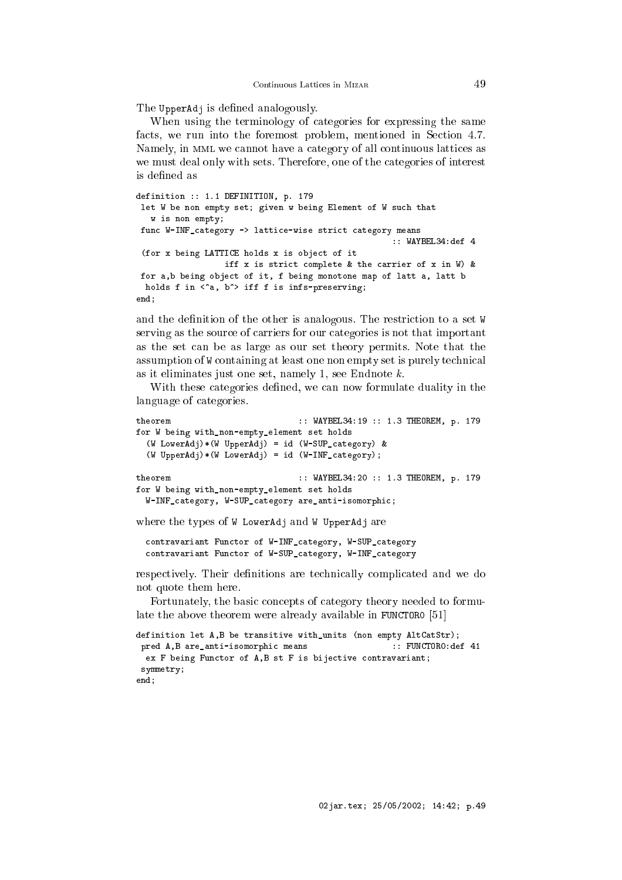The UpperAdj is defined analogously.

When using the terminology of categories for expressing the same facts, we run into the foremost problem, mentioned in Section 4.7. Namely, in MML we cannot have a category of all continuous lattices as we must deal only with sets. Therefore, one of the ategories of interest is defined as

```
definition :: 1.1 DEFINITION, p. 179
let W be non empty set; given w being Element of W such that
  w is non empty;
func W-INF_category -> lattice-wise strict category means
                                                     :: WAYBEL34:def 4
 (for x being LATTICE holds x is obje
t of it
                  iff x is strict complete & the carrier of x in W) &
for a,b being object of it, f being monotone map of latt a, latt b
 holds f in \langle a, b \rangle iff f is infs-preserving;
- - - -
```
and the definition of the other is analogous. The restriction to a set W serving as the source of carriers for our categories is not that important as the set an be as large as our set theory permits. Note that the assumption of W containing at least one non empty set is purely technical as it eliminates just one set, namely 1, see Endnote k.

With these categories defined, we can now formulate duality in the language of ategories.

```
:: WAYBEL34:19 :: 1.3 THEOREM, p. 179
tho</math>for W being with_non-empty_element set holds
  (W LowerAdj) * (W UpperAdj) = id (W - SUP\_category) &
  (W \text{ UpperAdj})*(W \text{LowerAdj}) = id (W - INF\_category);theorem
                                   :: WAYBEL34:20 :: 1.3 THEOREM, p. 179
for W being with_non-empty_element set holds
  W-INF_category, W-SUP_category are_anti-isomorphic;
```
where the types of W LowerAdj and W UpperAdj are

contravariant Functor of W-INF\_category, W-SUP\_category contravariant Functor of W-SUP\_category, W-INF\_category

respectively. Their definitions are technically complicated and we do not quote them here.

Fortunately, the basic concepts of category theory needed to formulate the above theorem were already available in FUNCTORO  $[51]$ 

```
definition let A,B be transitive with_units (non empty AltCatStr);
pred A,B are_anti-isomorphic means :: FUNCTORO:def 41
 ex F being Functor of A, B st F is bijective contravariant;
symmetry;
end;
```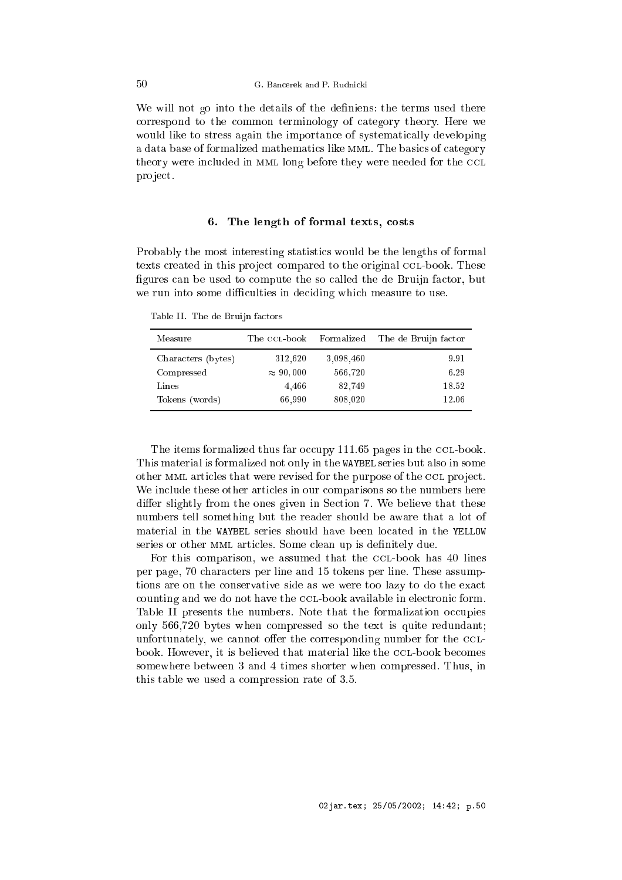We will not go into the details of the definiens: the terms used there orrespond to the ommon terminology of ategory theory. Here we would like to stress again the importance of systematically developing a data base of formalized mathematics like MML. The basics of category theory were included in MML long before they were needed for the CCL pro je
t.

# 6. The length of formal texts, osts

Probably the most interesting statisti
s would be the lengths of formal texts created in this project compared to the original CCL-book. These figures can be used to compute the so called the de Bruijn factor, but we run into some difficulties in deciding which measure to use.

Table II. The de Bruijn fa
tors

| Measure            | The CCL-book     | Formalized | The de Bruijn factor |
|--------------------|------------------|------------|----------------------|
| Characters (bytes) | 312,620          | 3,098,460  | 9.91                 |
| Compressed         | $\approx 90,000$ | 566,720    | 6.29                 |
| Lines              | 4,466            | 82.749     | 18.52                |
| Tokens (words)     | 66,990           | 808,020    | 12.06                |

The items formalized thus far occupy 111.65 pages in the CCL-book. This material is formalized not only in the WAYBEL series but also in some other MML articles that were revised for the purpose of the CCL project. We include these other articles in our comparisons so the numbers here differ slightly from the ones given in Section 7. We believe that these numbers tell something but the reader should be aware that a lot of material in the WAYBEL series should have been located in the YELLOW series or other MML articles. Some clean up is definitely due.

For this comparison, we assumed that the CCL-book has 40 lines per page, 70 hara
ters per line and 15 tokens per line. These assumptions are on the conservative side as we were too lazy to do the exact counting and we do not have the CCL-book available in electronic form. Table II presents the numbers. Note that the formalization occupies only 566,720 bytes when ompressed so the text is quite redundant; unfortunately, we cannot offer the corresponding number for the CCLbook. However, it is believed that material like the CCL-book becomes somewhere between 3 and 4 times shorter when ompressed. Thus, in this table we used a ompression rate of 3.5.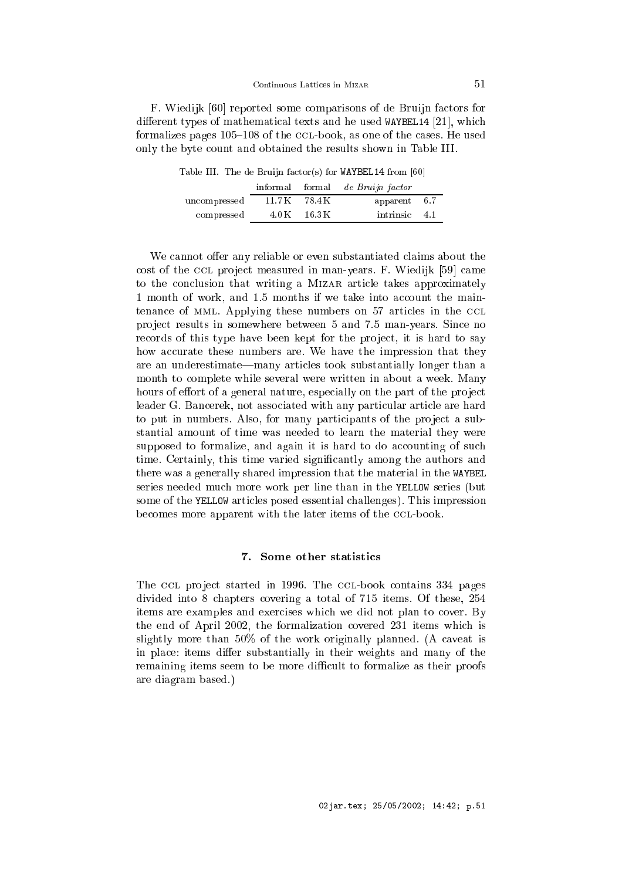F. Wiedijk [60] reported some comparisons of de Bruijn factors for different types of mathematical texts and he used WAYBEL14 [21], which formalizes pages  $105-108$  of the CCL-book, as one of the cases. He used only the byte ount and obtained the results shown in Table III.

Table III. The de Bruijn factor(s) for  $WAYBEL14$  from [60]

|              |                          | informal formal de Bruijn factor |  |
|--------------|--------------------------|----------------------------------|--|
| uncompressed | 11.7 K 78.4 K            | apparent 6.7                     |  |
| compressed   | $4.0\,\mathrm{K}$ 16.3 K | intrinsic 4.1                    |  |

We cannot offer any reliable or even substantiated claims about the cost of the CCL project measured in man-years. F. Wiedijk [59] came to the conclusion that writing a MIZAR article takes approximately 1 month of work, and 1.5 months if we take into account the maintenance of MML. Applying these numbers on 57 articles in the CCL project results in somewhere between 5 and 7.5 man-years. Since no records of this type have been kept for the project, it is hard to say how accurate these numbers are. We have the impression that they are an underestimate—many articles took substantially longer than a month to complete while several were written in about a week. Many hours of effort of a general nature, especially on the part of the project leader G. Bancerek, not associated with any particular article are hard to put in numbers. Also, for many participants of the project a substantial amount of time was needed to learn the material they were supposed to formalize, and again it is hard to do accounting of such time. Certainly, this time varied significantly among the authors and there was a generally shared impression that the material in the WAYBEL series needed mu
h more work per line than in the YELLOW series (but some of the YELLOW arti
les posed essential hallenges). This impression becomes more apparent with the later items of the CCL-book.

#### 7. Some other statistics

The CCL project started in 1996. The CCL-book contains 334 pages divided into 8 hapters overing a total of 715 items. Of these, 254 items are examples and exercises which we did not plan to cover. By the end of April 2002, the formalization overed 231 items whi
h is slightly more than 50% of the work originally planned. (A caveat is in place: items differ substantially in their weights and many of the remaining items seem to be more difficult to formalize as their proofs are diagram based.)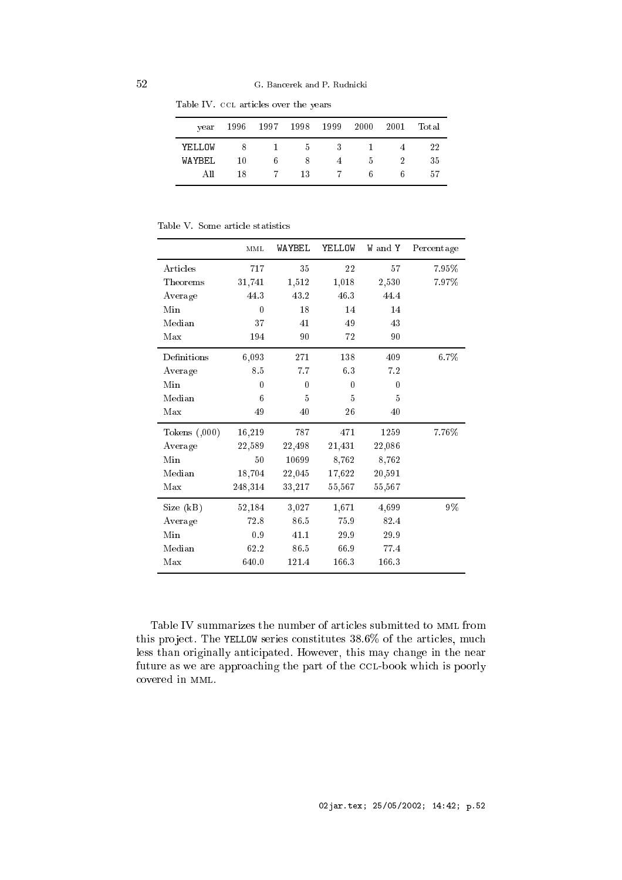| vear    |     |             |     | 1996 1997 1998 1999 2000 2001 |             |   | Total |
|---------|-----|-------------|-----|-------------------------------|-------------|---|-------|
| YELLOW  | - 8 | $1 \quad 5$ |     | $\overline{\phantom{a}3}$     | - 13        |   | 22    |
| WAYREL. | 10  | 6.          | - 8 | 4                             | $5^{\circ}$ |   | 35    |
| AH      | 18  |             | -13 | $\sim$ 7                      | 6           | h | 57    |

Table IV. CCL articles over the years  $\overline{\phantom{a}}$ 

|  |  | Table V. Some article statistics |
|--|--|----------------------------------|
|  |  |                                  |

|                | MML      | WAYBEL   | YELLOW   | W and Y  | Percentage |
|----------------|----------|----------|----------|----------|------------|
| Articles       | 717      | 35       | 22       | 57       | 7.95%      |
| Theorems       | 31,741   | 1,512    | 1,018    | 2,530    | 7.97%      |
| Average        | 44.3     | 43.2     | 46.3     | 44.4     |            |
| Min            | $\theta$ | 18       | 14       | 14       |            |
| Median         | 37       | 41       | 49       | 43       |            |
| Max            | 194      | 90       | 72       | 90       |            |
| Definitions    | 6,093    | 271      | 138      | 409      | 6.7%       |
| Average        | 8.5      | 7.7      | 6.3      | 7.2      |            |
| Min            | $\theta$ | $\theta$ | $\theta$ | $\Omega$ |            |
| Median         | 6        | 5        | 5        | 5        |            |
| Max            | 49       | 40       | 26       | 40       |            |
| Tokens $(000)$ | 16,219   | 787      | 471      | 1259     | 7.76%      |
| Average        | 22,589   | 22,498   | 21,431   | 22,086   |            |
| Min            | 50       | 10699    | 8,762    | 8,762    |            |
| Median         | 18,704   | 22,045   | 17,622   | 20,591   |            |
| Max            | 248,314  | 33,217   | 55,567   | 55,567   |            |
| Size (kB)      | 52,184   | 3,027    | 1,671    | 4,699    | 9%         |
| Average        | 72.8     | 86.5     | 75.9     | 82.4     |            |
| Min            | 0.9      | 41.1     | 29.9     | 29.9     |            |
| Median         | 62.2     | 86.5     | 66.9     | 77.4     |            |
| Max            | 640.0    | 121.4    | 166.3    | 166.3    |            |

Table IV summarizes the number of articles submitted to MML from this project. The YELLOW series constitutes 38.6% of the articles, much less than originally anticipated. However, this may change in the near future as we are approaching the part of the CCL-book which is poorly overed in mml.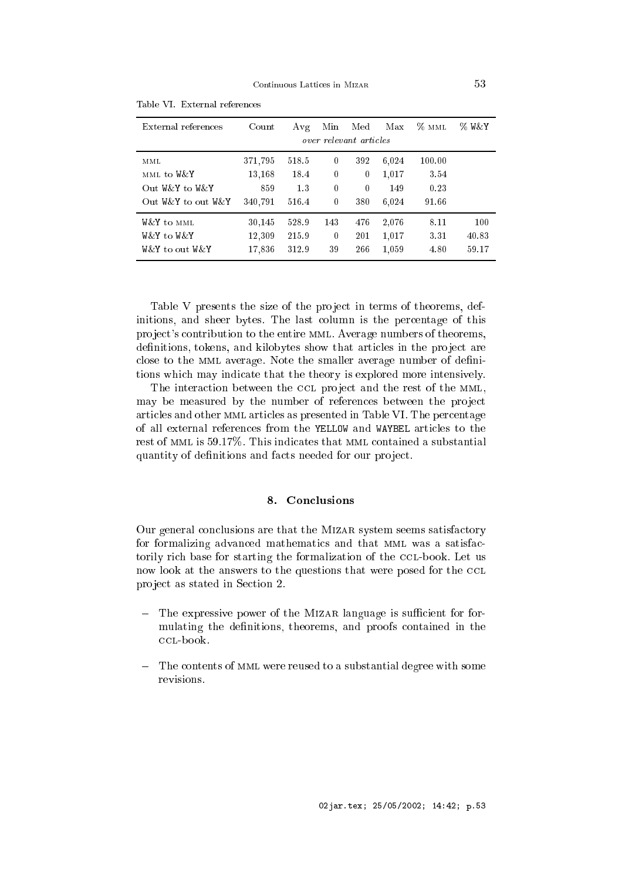| External references | Count   | Avg   | Min      | Med                    | Max   | $\%$ MML | % W&Y |
|---------------------|---------|-------|----------|------------------------|-------|----------|-------|
|                     |         |       |          | over relevant articles |       |          |       |
| MML                 | 371,795 | 518.5 | 0        | 392                    | 6.024 | 100.00   |       |
| MML to W&Y          | 13,168  | 18.4  | 0        | $\boldsymbol{0}$       | 1,017 | 3.54     |       |
| Out W&Y to W&Y      | 859     | 1.3   | $\theta$ | $\theta$               | 149   | 0.23     |       |
| Out W&Y to out W&Y  | 340.791 | 516.4 | $\theta$ | 380                    | 6.024 | 91.66    |       |
| W&Y to MML          | 30,145  | 528.9 | 143      | 476                    | 2,076 | 8.11     | 100   |
| W&Y to W&Y          | 12,309  | 215.9 | $\theta$ | 201                    | 1,017 | 3.31     | 40.83 |
| W& Y to out W& Y    | 17,836  | 312.9 | 39       | 266                    | 1,059 | 4.80     | 59.17 |

Table VI. External referen
es

Table V presents the size of the project in terms of theorems, definitions, and sheer bytes. The last olumn is the per
entage of this project's contribution to the entire MML. Average numbers of theorems, definitions, tokens, and kilobytes show that articles in the project are close to the MML average. Note the smaller average number of definitions whi
h may indi
ate that the theory is explored more intensively.

The interaction between the CCL project and the rest of the MML, may be measured by the number of references between the project arti
les and other mml arti
les as presented in Table VI. The per
entage of all external referen
es from the YELLOW and WAYBEL arti
les to the rest of MML is 59.17%. This indicates that MML contained a substantial quantity of definitions and facts needed for our project.

# 8. Con
lusions

Our general conclusions are that the MIZAR system seems satisfactory for formalizing advanced mathematics and that MML was a satisfactorily rich base for starting the formalization of the CCL-book. Let us now look at the answers to the questions that were posed for the CCL project as stated in Section 2.

- The expressive power of the MIZAR language is sufficient for formulating the definitions, theorems, and proofs contained in the CCL-book.
- The contents of MML were reused to a substantial degree with some revisions.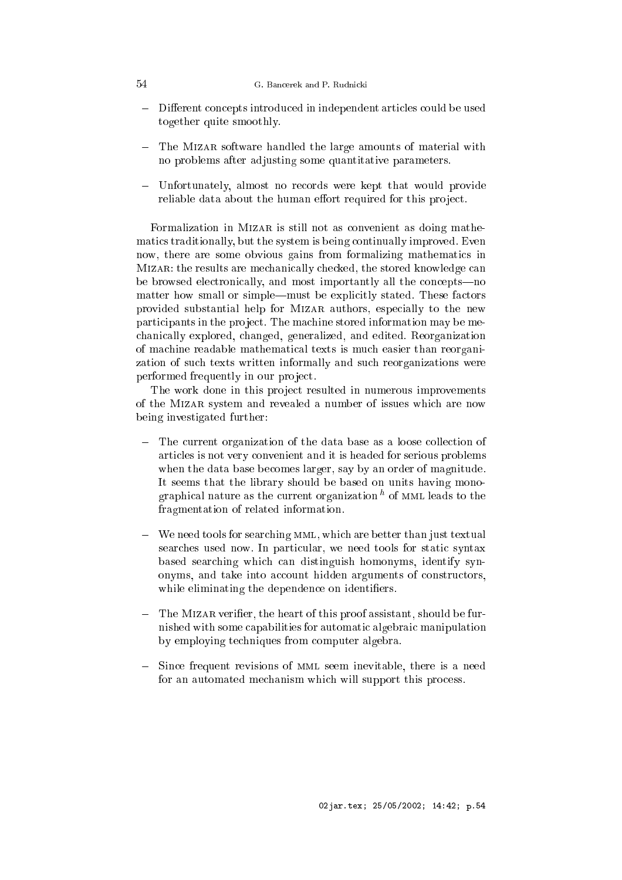#### 54 G. Ban
erek and P. Rudni
ki

- Different concepts introduced in independent articles could be used together quite smoothly.
- The MIZAR software handled the large amounts of material with no problems after adjusting some quantitative parameters.
- Unfortunately, almost no records were kept that would provide reliable data about the human effort required for this project.

Formalization in MIZAR is still not as convenient as doing mathematics traditionally, but the system is being continually improved. Even now, there are some obvious gains from formalizing mathematics in MIZAR: the results are mechanically checked, the stored knowledge can be browsed electronically, and most importantly all the concepts—no matter how small or simple—must be explicitly stated. These factors provided substantial help for Mizar authors, espe
ially to the new participants in the project. The machine stored information may be mehani
ally explored, hanged, generalized, and edited. Reorganization of ma
hine readable mathemati
al texts is mu
h easier than reorganization of su
h texts written informally and su
h reorganizations were performed frequently in our project.

The work done in this project resulted in numerous improvements of the Mizar system and revealed a number of issues whi
h are now being investigated further:

- $\frac{1}{2}$ The current organization of the data base as a loose collection of arti
les is not very onvenient and it is headed for serious problems when the data base becomes larger, say by an order of magnitude. It seems that the library should be based on units having monographical nature as the current organization to MML leads to the fragmentation of related information.
- We need tools for searching MML, which are better than just textual searches used now. In particular, we need tools for static syntax based sear
hing whi
h an distinguish homonyms, identify synonyms, and take into account hidden arguments of constructors, while eliminating the dependence on identifiers.
- The MIZAR verifier, the heart of this proof assistant, should be furnished with some apabilities for automati algebrai manipulation by employing te
hniques from omputer algebra.
- Since frequent revisions of MML seem inevitable, there is a need for an automated mechanism which will support this process.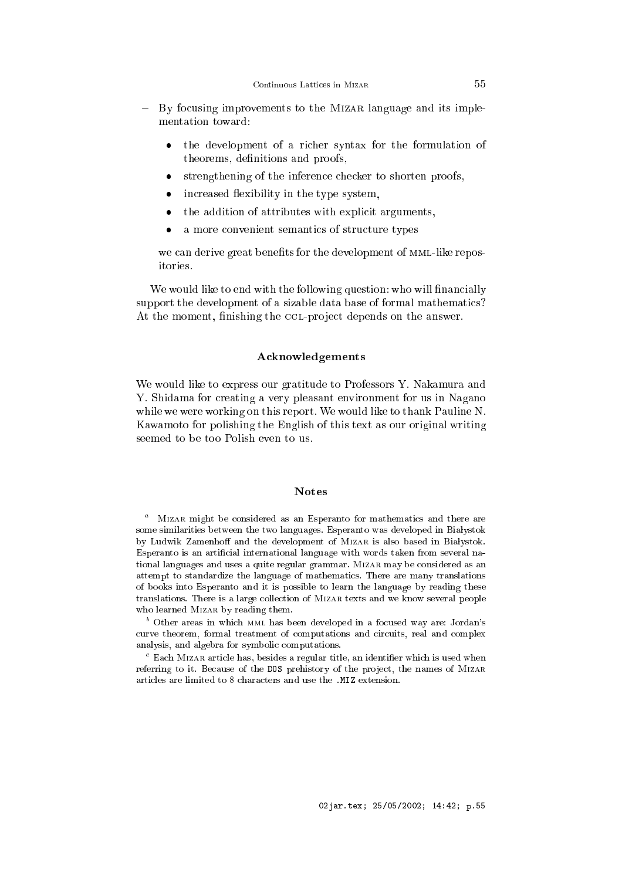- By focusing improvements to the MIZAR language and its implementation toward:
	- the development of a ri
	her syntax for the formulation of  $\bullet$ theorems, definitions and proofs,
	- strengthening of the inference checker to shorten proofs,
	- increased flexibility in the type system,
	- the addition of attributes with explicit arguments,
	- a more convenient semantics of structure types

we can derive great benefits for the development of MML-like repositories.

We would like to end with the following question: who will financially support the development of a sizable data base of formal mathematics? At the moment, finishing the CCL-project depends on the answer.

#### **Acknowledgements**

We would like to express our gratitude to Professors Y. Nakamura and Y. Shidama for creating a very pleasant environment for us in Nagano while we were working on this report. We would like to thank Pauline N. Kawamoto for polishing the English of this text as our original writing seemed to be too Polish even to us.

### **Notes**

 $\degree$  -Mizar might be considered as an Esperanto for mathematics and there are some similarities between the two languages. Esperanto was developed in Białystok by Ludwik Zamenhoff and the development of MIZAR is also based in Białystok. Esperanto is an artificial international language with words taken from several national languages and uses a quite regular grammar. Mizar may be onsidered as an attempt to standardize the language of mathemati
s. There are many translations of books into Esperanto and it is possible to learn the language by reading these translations. There is a large olle
tion of Mizar texts and we know several people who learned Mizar by reading them.

<sup>o</sup> Other areas in which <sub>MML</sub> has been developed in a focused way are: Jordan's curve theorem, formal treatment of computations and circuits, real and complex analysis, and algebra for symbolic computations.

 $\,$  - Each Mizar article has, besides a regular title, an identifier which is used when referring to it. Because of the DOS prehistory of the project, the names of MIZAR arti
les are limited to 8 hara
ters and use the .MIZ extension.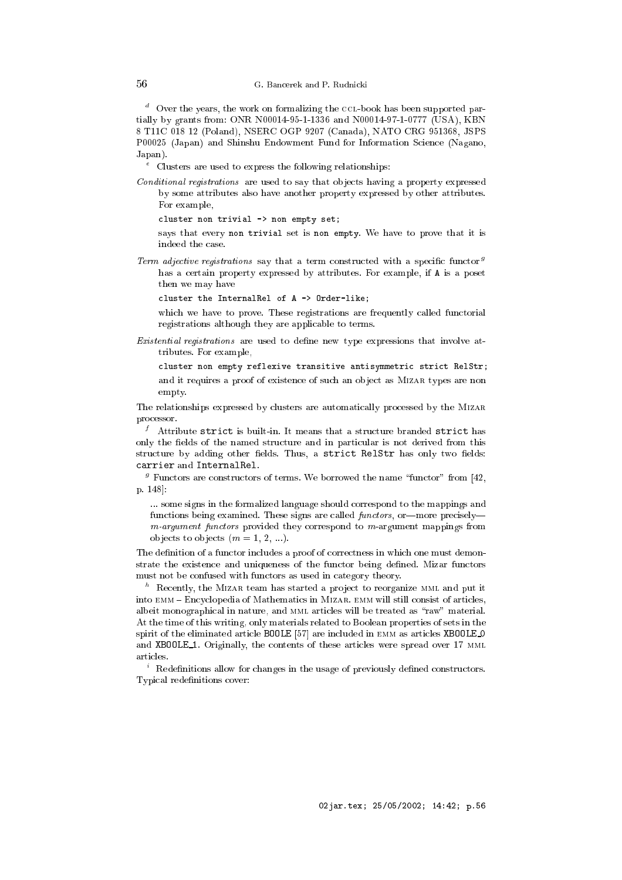$\degree$  Over the years, the work on formalizing the CCL-book has been supported partially by grants from: ONR N00014-95-1-1336 and N00014-97-1-0777 (USA), KBN 8 T11C 018 12 (Poland), NSERC OGP 9207 (Canada), NATO CRG 951368, JSPS P00025 (Japan) and Shinshu Endowment Fund for Information Science (Nagano, Japan).

e Clusters are used to express the following relationships:

Conditional registrations are used to say that objects having a property expressed by some attributes also have another property expressed by other attributes. For example,

cluster non trivial -> non empty set;

says that every non trivial set is non empty. We have to prove that it is indeed the ase.

Term adjective registrations say that a term constructed with a specific functor  $9$ has a ertain property expressed by attributes. For example, if A is a poset then we may have

luster the InternalRel of A -> Order-like;

which we have to prove. These registrations are frequently called functorial registrations although they are appli
able to terms.

Existential registrations are used to define new type expressions that involve attributes. For example,

cluster non empty reflexive transitive antisymmetric strict RelStr; and it requires a proof of existen
e of su
h an ob je
t as Mizar types are non empty.

The relationships expressed by lusters are automati
ally pro
essed by the Mizar pro
essor.

In a strict is built-in. It means that a structure branded  $\tt{strict}$  has only the fields of the named structure and in particular is not derived from this structure by adding other fields. Thus, a strict RelStr has only two fields: arrier and InternalRel.

per transformation terms. We borrowed the name "functor" from [42, p. 148.

... some signs in the formalized language should orrespond to the mappings and functions being examined. These signs are called *functors*, or more precisely $m$ -argument functors provided they correspond to  $m$ -argument mappings from objects to objects  $(m = 1, 2, ...)$ .

The definition of a functor includes a proof of correctness in which one must demonstrate the existence and uniqueness of the functor being defined. Mizar functors must not be onfused with fun
tors as used in ategory theory.

 $\degree$  -Kecently, the Mizar team has started a project to reorganize MML and put it into EMM - Encyclopedia of Mathematics in MizAR. EMM will still consist of articles, albeit monographical in nature, and MML articles will be treated as "raw" material. At the time of this writing, only materials related to Boolean properties of sets in the spirit of the eliminated article BOOLE [57] are included in EMM as articles XBOOLE\_O and XBOOLE<sub>1</sub>. Originally, the contents of these articles were spread over 17 MML arti
les.

 $\,$  - Redefinitions allow for changes in the usage of previously defined constructors. Typical redefinitions cover: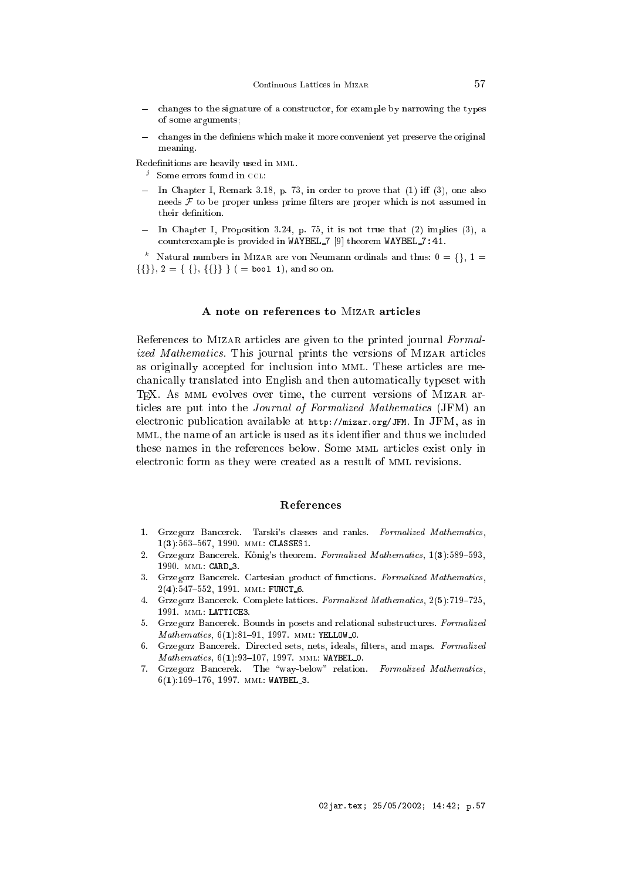- changes to the signature of a constructor, for example by narrowing the types of some arguments;
- changes in the definiens which make it more convenient yet preserve the original meaning.

Redefinitions are heavily used in MML.

- , some errors found in CCL:
- In Chapter I, Remark 3.18, p. 73, in order to prove that (1) i (3), one also needs  $F$  to be proper unless prime filters are proper which is not assumed in their definition.
- In Chapter I, Proposition 3.24, p. 75, it is not true that (2) implies (3), a counterexample is provided in WAYBEL  $7$  [9] theorem WAYBEL  $7:41$ .

 $\degree$  - Natural numbers in Mizar are von Neumann ordinals and thus:  $0 = \{\}, \ 1 = \degree$  $\{\{\}\}, 2 = \{\{\}, \{\{\}\}\}\$  ( = bool 1), and so on.

### A note on references to MIZAR articles

References to MIZAR articles are given to the printed journal Formalized Mathematics. This journal prints the versions of MIZAR articles as originally accepted for inclusion into MML. These articles are mehani
ally translated into English and then automati
ally typeset with TEX. As MML evolves over time, the current versions of MIZAR articles are put into the *Journal of Formalized Mathematics* (JFM) an electronic publication available at http://mizar.org/JFM. In JFM, as in MML, the name of an article is used as its identifier and thus we included these names in the referen
es below. Some mml arti
les exist only in electronic form as they were created as a result of MML revisions.

### References

- 1. Grzegorz Bancerek. Tarski's classes and ranks. Formalized Mathematics,  $1(3):563{-}567, 1990.$  MML: CLASSES1.
- 2. Grzegorz Bancerek. König's theorem. Formalized Mathematics, 1(3):589-593, 1990. mml: CARD 3.
- 3. Grzegorz Bancerek. Cartesian product of functions. Formalized Mathematics,  $2(4):547-552, 1991. \text{MML: FUNCT_6.}$
- 4. Grzegorz Bancerek. Complete lattices. Formalized Mathematics, 2(5):719-725, 1991. mml: LATTICE3.
- 5. Grzegorz Bancerek. Bounds in posets and relational substructures. Formalized Mathematics, 6(1):81-91, 1997. MML: YELLOW\_0.
- 6. Grzegorz Bancerek. Directed sets, nets, ideals, filters, and maps. Formalized Mathematics, 6(1):93-107, 1997. MML: WAYBEL 0.
- 7. Grzegorz Bancerek. The "way-below" relation. Formalized Mathematics,  $6(1):169-176, 1997. \text{MML: WAYBEL }$ .3.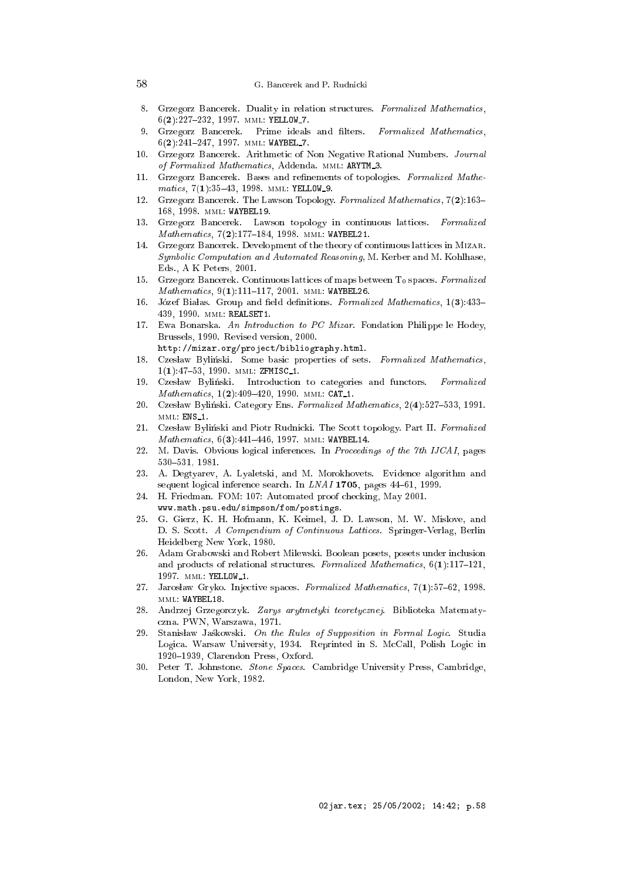#### G. Bancerek and P. Rudnicki

- 8. Grzegorz Bancerek. Duality in relation structures. Formalized Mathematics,  $6(2):227{-}232, 1997.$  MML: YELLOW 7.
- 9. Grzegorz Bancerek. Prime ideals and filters. Formalized Mathematics,  $6(2):241-247, 1997.$  MML: WAYBEL 7.
- 10. Grzegorz Bancerek. Arithmetic of Non Negative Rational Numbers. Journal of Formalized Mathematics, Addenda. MML: ARYTM\_3.
- 11. Grzegorz Bancerek. Bases and refinements of topologies. Formalized Mathematics, 7(1):35-43, 1998. MML: YELLOW\_9.
- 12. Grzegorz Bancerek. The Lawson Topology. Formalized Mathematics, 7(2):163-168, 1998. mml: WAYBEL19.
- Grzegorz Bancerek. Lawson topology in continuous lattices. Formalized 13. Mathematics, 7(2):177-184, 1998. MML: WAYBEL21.
- 14. Grzegorz Ban
erek. Development of the theory of ontinuous latti
es in Mizar. Symboli Computation and Automated Reasoning, M. Kerber and M. Kohlhase, Eds., A K Peters, 2001.
- 15. Grzegorz Bancerek. Continuous lattices of maps between To spaces. Formalized Mathematics, 9(1):111-117, 2001. MML: WAYBEL26.
- 16. Józef Białas. Group and field definitions. Formalized Mathematics, 1(3):433-439, 1990. mml: REALSET1.
- 17. Ewa Bonarska. An Introduction to PC Mizar. Fondation Philippe le Hodey, Brussels, 1990. Revised version, 2000. http://mizar.org/proje
t/bibliography.html.
- 18. Czesław Byliński. Some basic properties of sets. Formalized Mathematics,  $1(1):47{-}53, 1990.$  MML: ZFMISC\_1.
- 19. Czesław Byliński. Introduction to categories and functors. Formalized Mathematics, 1(2):409-420, 1990. MML: CAT\_1.
- 20. Czesław Byliński. Category Ens. Formalized Mathematics, 2(4):527-533, 1991. MML: ENS\_1.
- 21. Czesław Byliński and Piotr Rudnicki. The Scott topology. Part II. Formalized Mathematics, 6(3):441-446, 1997. MML: WAYBEL14.
- 22. M. Davis. Obvious logical inferences. In Proceedings of the 7th IJCAI, pages 530-531, 1981.
- 23. A. Degtyarev, A. Lyaletski, and M. Morokhovets. Eviden
e algorithm and sequent logical inference search. In LNAI 1705, pages 44-61, 1999.
- 24. H. Friedman. FOM: 107: Automated proof he
king, May 2001.
- www.math.psu.edu/simpson/fom/postings.
- 25. G. Gierz, K. H. Hofmann, K. Keimel, J. D. Lawson, M. W. Mislove, and D. S. Scott. A Compendium of Continuous Lattices. Springer-Verlag, Berlin Heidelberg New York, 1980.
- 26. 26. Adam Grabowski and Robert Milewski. Boolean posets, posets under in
lusion and products of relational structures. Formalized Mathematics,  $6(1)$ :117-121, 1997. MML: YELLOW\_1.
- 27. Jarosław Gryko. Injective spaces. Formalized Mathematics, 7(1):57-62, 1998. mml: WAYBEL18.
- 28. Andrzej Grzegor
zyk. Zarys arytmetyki teorety
znej. Biblioteka Matematy zna. PWN, Warszawa, 1971.
- 29. Stanislaw Jaskowski. On the Rules of Supposition in Formal Logic. Studia Logica. Warsaw University, 1934. Reprinted in S. McCall, Polish Logic in 1920-1939, Clarendon Press, Oxford.
- 30. Peter T. Johnstone. Stone Spa
es. Cambridge University Press, Cambridge, London, New York, 1982.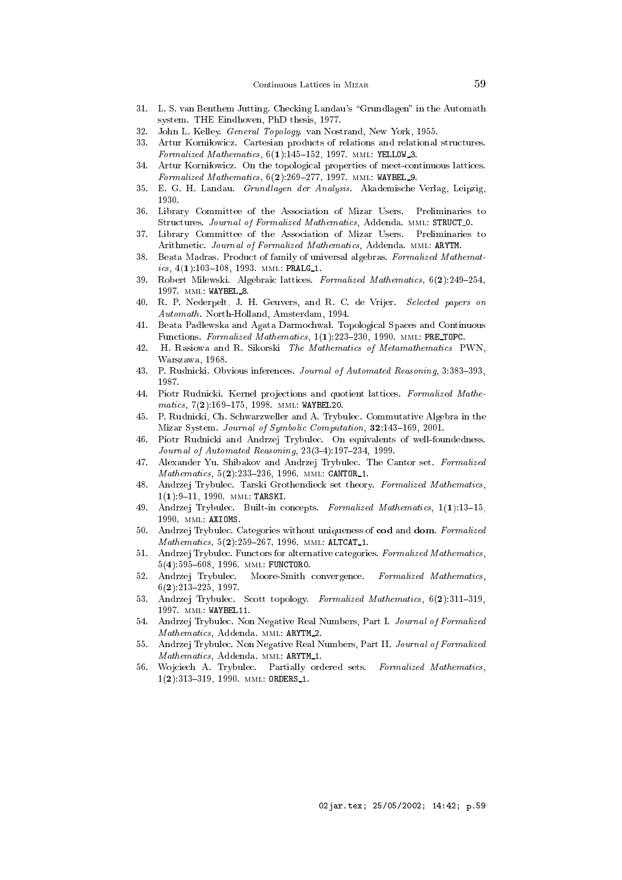- 31. L. S. van Benthem Jutting. Checking Landau's "Grundlagen" in the Automath system. THE Eindhoven, PhD thesis, 1977.
- 32. John L. Kelley. General Topology. van Nostrand, New York, 1955.
- 33. Artur Kornilowicz. Cartesian products of relations and relational structures. Formalized Mathematics,  $6(1):145-152$ , 1997. MML: YELLOW<sub>-3</sub>.
- Artur Korniłowicz. On the topological properties of meet-continuous lattices.  $34$ Formalized Mathematics,  $6(2)$ :269-277, 1997. MML: WAYBEL 9.
- 35. E. G. H. Landau. Grundlagen der Analysis. Akademische Verlag, Leipzig, 1930.
- 36. Library Committee of the Asso
iation of Mizar Users. Preliminaries to Structures. Journal of Formalized Mathematics, Addenda. MML: STRUCT\_0.
- 37. Library Committee of the Asso
iation of Mizar Users. Preliminaries to Arithmetic. Journal of Formalized Mathematics, Addenda. MML: ARYTM.
- 38. Beata Madras. Product of family of universal algebras. Formalized Mathematics,  $4(1):103-108$ , 1993. MML: PRALG\_1.
- 39. Robert Milewski. Algebraic lattices. Formalized Mathematics,  $6(2):249-254$ , 1997. mml: WAYBEL 8.
- 40. R. P. Nederpelt, J. H. Geuvers, and R. C. de Vrijer. Selected papers on Automath. North-Holland, Amsterdam, 1994.
- 41. Beata Padlewska and Agata Darmochwal. Topological Spaces and Continuous Functions. Formalized Mathematics, 1(1):223-230, 1990. MML: PRE\_TOPC.
- $42.$ H. Rasiowa and R. Sikorski The Mathematics of Metamathematics PWN, Warszawa, 1968.
- 43. P. Rudnicki. Obvious inferences. Journal of Automated Reasoning, 3:383-393, 1987.
- 44. Piotr Rudnicki. Kernel projections and quotient lattices. Formalized Mathematics, 7(2):169-175, 1998. MML: WAYBEL20.
- 45. P. Rudni
ki, Ch. S
hwarzweller and A. Trybule
. Commutative Algebra in the Mizar System. Journal of Symbolic Computation, 32:143-169, 2001.
- 46. Piotr Rudni
ki and Andrzej Trybule
. On equivalents of well-foundedness. Journal of Automated Reasoning,  $23(3-4):197-234$ , 1999.
- 47. Alexander Yu. Shibakov and Andrzej Trybule
. The Cantor set. Formalized Mathematics, 5(2):233-236, 1996. MML: CANTOR\_1.
- 48. Andrzej Trybule
. Tarski Grothendie
k set theory. Formalized Mathemati
s,  $1(1):9-11, 1990.$  MML: TARSKI.
- 49. Andrzej Trybulec. Built-in concepts. Formalized Mathematics, 1(1):13-15, 1990. mml: AXIOMS.
- 50. Andrzej Trybulec. Categories without uniqueness of cod and dom. Formalized Mathematics, 5(2):259-267, 1996. MML: ALTCAT\_1.
- 51. Andrzej Trybulec. Functors for alternative categories. Formalized Mathematics,  $5(4):595{-}608, 1996. \text{MML: FUNCTORO.}$
- 52. Andrzej Trybulec. Moore-Smith convergence. Formalized Mathematics,  $6(2):213{-}225, 1997.$
- 53. Andrzej Trybulec. Scott topology. Formalized Mathematics, 6(2):311-319, 1997. mml: WAYBEL11.
- 54. Andrzej Trybule
. Non Negative Real Numbers, Part I. Journal of Formalized 54. Mathematics, Addenda. MML: ARYTM\_2.
- 55. Andrzej Trybule
. Non Negative Real Numbers, Part II. Journal of Formalized Mathematics, Addenda. MML: ARYTM\_1.
- 56. Wojciech A. Trybulec. Partially ordered sets. Formalized Mathematics,  $1(2):313-319, 1990.$  MML: ORDERS 1.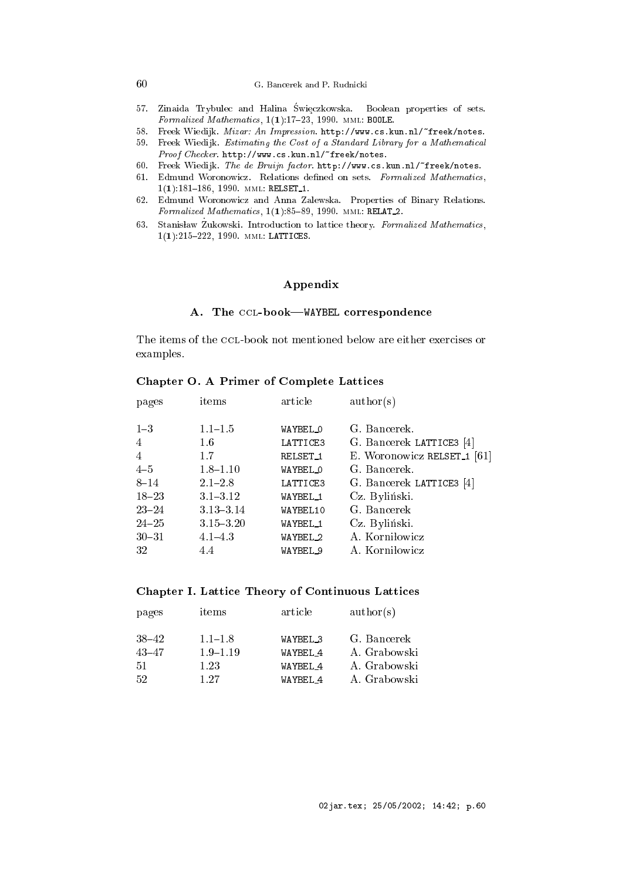# 60 G. Ban
erek and P. Rudni
ki

- or. Zinaida Irybulet and Halina Swietzkowska. Doolean properties of sets. Formalized Mathematics,  $1(1):17-23$ , 1990. MML: BOOLE.
- 58. Freek Wiedijk. Mizar: An Impression. http://www.cs.kun.nl/"freek/notes.
- 59. Freek Wiedijk. Estimating the Cost of a Standard Library for a Mathematical Proof Checker. http://www.cs.kun.nl/"freek/notes.
- 60. Freek Wiedijk. The de Bruijn factor. http://www.cs.kun.nl/"freek/notes.
- 61. Edmund Woronowicz. Relations defined on sets. Formalized Mathematics,  $1(1):181-186, 1990.$  MML: RELSET<sub>-1</sub>.
- 62. Edmund Woronowi
z and Anna Zalewska. Properties of Binary Relations. Formalized Mathematics,  $1(1):85-89$ , 1990. MML: RELAT\_2.
- $\mathfrak{g}_3$ . Stanislaw Zukowski. Introduction to lattice theory. Formalized Mathematics,  $1(1):215{-}222, 1990.$  MML: LATTICES.

# Appendix

# A. The CCL-book-WAYBEL correspondence

The items of the CCL-book not mentioned below are either exercises or examples.

### Chapter O. A Primer of Complete Latti
es

| pages     | items         | article             | $\text{author}(s)$                     |
|-----------|---------------|---------------------|----------------------------------------|
| $1 - 3$   | $1.1 - 1.5$   | WAYBEL O            | G. Bancerek.                           |
| 4         | 1.6           | LATTICE3            | G. Bancerek LATTICE3 [4]               |
| 4         | 1.7           | RELSET <sub>1</sub> | E. Woronowicz RELSET <sub>1</sub> [61] |
| $4 - 5$   | $1.8 - 1.10$  | WAYBEL O            | G. Bancerek.                           |
| $8 - 14$  | $2.1 - 2.8$   | LATTICE3            | G. Bancerek LATTICE3 [4]               |
| $18 - 23$ | $3.1 - 3.12$  | WAYBEL_1            | Cz. Byliński.                          |
| $23 - 24$ | $3.13 - 3.14$ | WAYBEL10            | G. Bancerek                            |
| $24 - 25$ | $3.15 - 3.20$ | WAYBEL_1            | Cz. Byliński.                          |
| $30 - 31$ | $4.1 - 4.3$   | WAYBEL <sub>2</sub> | A. Korniłowicz                         |
| 32        | 4.4           | WAYBEL <sub>9</sub> | A. Korniłowicz                         |
|           |               |                     |                                        |

### Chapter I. Latti
e Theory of Continuous Latti
es

| pages     | items        | article             | $\text{author}(s)$ |
|-----------|--------------|---------------------|--------------------|
| $38 - 42$ | $1.1 - 1.8$  | WAYBEL <sub>3</sub> | G. Bancerek        |
| $43 - 47$ | $1.9 - 1.19$ | WAYBEL 4            | A. Grabowski       |
| -51       | 1.23         | WAYRFI <sub>4</sub> | A. Grabowski       |
| -52       | 1 27         | WAYBEL <sub>4</sub> | A. Grabowski       |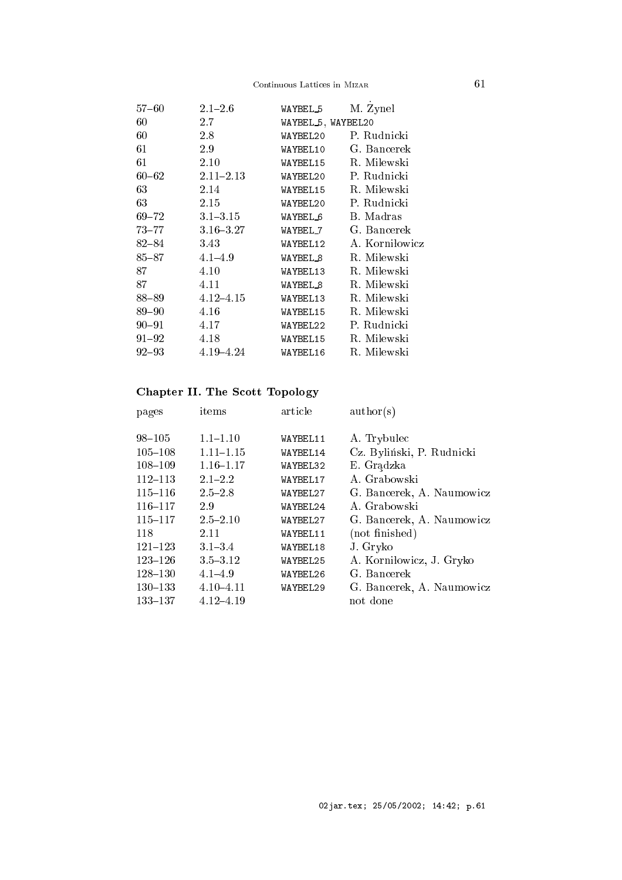# $\begin{tabular}{ll} Continuous Lattices in MIZAR \end{tabular} \hspace{1.5cm} \begin{tabular}{ll} \bf\footnotesize{Co}ntinuous \end{tabular} \hspace{1.5cm} \begin{tabular}{ll} \bf\footnotesize{Co}ntinuous \end{tabular} \end{tabular}$

| $57 - 60$ | $2.1 - 2.6$   | WAYBEL_5            | M. Zynel       |
|-----------|---------------|---------------------|----------------|
| 60        | 2.7           | WAYBEL 5, WAYBEL 20 |                |
| 60        | 2.8           | WAYBEL20            | P. Rudnicki    |
| 61        | 2.9           | WAYBEL10            | G. Bancerek    |
| 61        | 2.10          | WAYBEL15            | R. Milewski    |
| $60 - 62$ | $2.11 - 2.13$ | WAYBEL20            | P. Rudnicki    |
| 63        | 2.14          | WAYBEL15            | R. Milewski    |
| 63        | 2.15          | WAYBEL20            | P. Rudnicki    |
| $69 - 72$ | $3.1 - 3.15$  | WAYBEL <sub>6</sub> | B. Madras      |
| $73 - 77$ | $3.16 - 3.27$ | WAYBEL_7            | G. Bancerek    |
| 82–84     | 3.43          | WAYBEL12            | A. Korniłowicz |
| 85–87     | $4.1 - 4.9$   | WAYBEL 8            | R. Milewski    |
| 87        | 4.10          | WAYBEL13            | R. Milewski    |
| 87        | 4.11          | WAYBEL <sub>8</sub> | R. Milewski    |
| 88–89     | $4.12 - 4.15$ | WAYBEL13            | R. Milewski    |
| 89–90     | 4.16          | WAYBEL15            | R. Milewski    |
| 90–91     | 4.17          | WAYBEL22            | P. Rudnicki    |
| $91 - 92$ | 4.18          | WAYBEL15            | R. Milewski    |
| $92 - 93$ | $4.19 - 4.24$ | WAYBEL16            | R. Milewski    |
|           |               |                     |                |

# Chapter II. The S
ott Topology

| pages       | items         | article  | $\text{author}(s)$        |
|-------------|---------------|----------|---------------------------|
| $98 - 105$  | $1.1 - 1.10$  | WAYBEL11 | A. Trybulec               |
| $105 - 108$ | $1.11 - 1.15$ | WAYBEL14 | Cz. Byliński, P. Rudnicki |
| $108 - 109$ | $1.16 - 1.17$ | WAYBEL32 | E. Grądzka                |
| $112 - 113$ | $2.1 - 2.2$   | WAYBEL17 | A. Grabowski              |
| $115 - 116$ | $2.5 - 2.8$   | WAYBEL27 | G. Bancerek, A. Naumowicz |
| $116 - 117$ | 2.9           | WAYBEL24 | A. Grabowski              |
| $115 - 117$ | $2.5 - 2.10$  | WAYBEL27 | G. Bancerek, A. Naumowicz |
| 118         | 2.11          | WAYBEL11 | (not finished)            |
| $121 - 123$ | $3.1 - 3.4$   | WAYBEL18 | J. Gryko                  |
| $123 - 126$ | $3.5 - 3.12$  | WAYBEL25 | A. Korniłowicz, J. Gryko  |
| $128 - 130$ | $4.1 - 4.9$   | WAYBEL26 | G. Bancerek               |
| $130 - 133$ | $4.10 - 4.11$ | WAYBEL29 | G. Bancerek, A. Naumowicz |
| $133 - 137$ | $4.12 - 4.19$ |          | not done                  |